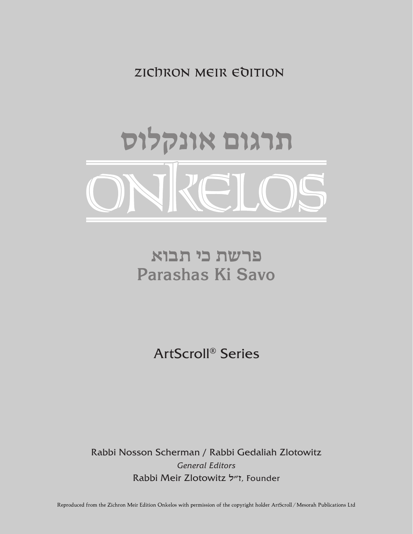zıchron meır edıtıon



# **פרשת כי תבוא Parashas Ki Savo**

ArtScroll® Series

Rabbi Nosson Scherman / Rabbi Gedaliah Zlotowitz *General Editors* Rabbi Meir Zlotowitz ז״ל*,* Founder

Reproduced from the Zichron Meir Edition Onkelos with permission of the copyright holder ArtScroll / Mesorah Publications Ltd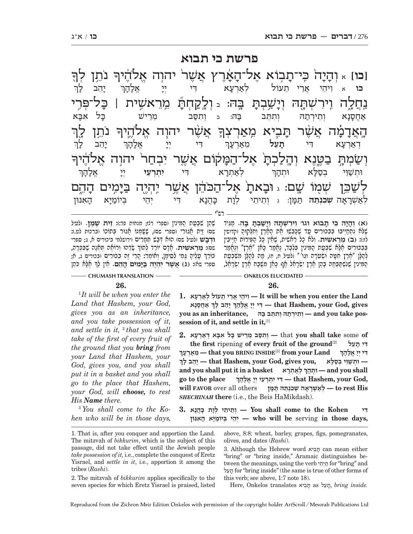֖ ์<br>ก .<br>ก' <u>ׁ נִת<sup>ָ</sup>ן</u> לְךָ **[כו]** <sup>א</sup> ְ וה י ה֙ כּ י־ת ֣ ב ֶ וֹא אל־ה֔ אֶר ֲץ א ֶשׁר֙ ֣ יהו ֱה אלֶֹ֔היך נִחֲלֶה וִירִשְׁתָּהּ וְיָשַׁבְתָּ בֵּהּ: בּוְלֵקַחְתָּ מֵרֵאשָׁית | כָּל־פְּרִי ' ׇׅ֧֧֖֧֦֧֦֧֦֧ׅ֧֚֓֝֜֓֓<u>֚</u> .<br>ก' ַ נִינוֹ בְנ י הו ה .<br>ก. הָאֲדָכָּה אֲשֶׁר תָּבְיא מֵאַרְצְך<del>ָ</del> .<br>ה וְשַׂמְתָ בַשֶּׂנֶא וְהָלַכְתָּ אֶל־הַמָּקוֹם אֲשֶׁר יִבְחַר יהוְה אֱלֹהֶיךָ לְשַׁבֵּן שְׁמָוֹ שֶׁם: ג וּבָאתָ אֶל־הַכּהַן אֲשֶׁר יְהְיֶה בַּיָּמִים הָהֶם ְ ְיהב **כו** א וִיהֵי אֲרֵי תֵעוֹל לְאַרְעָא דִי יִי אֱלָהָךְ אַחֲסָנָא וְתֵירְתַהּ וְתִתֵּב בַּהּ: ב וְתִסַּב 'מֵרֵישׁ כָּל אִבָּא ְ ֧֧֧֧֦֧֦֧֚֝֝֬<u>֓</u> יַהֵב ֧֧֧֧֦֧֦֧֚֝֝֬<u>֓</u> **דִי יִי אֱלָהָן דְאַרְעָא דִי תָעל מֵאַרְעָ**ךְ ֧֧֧֦֧֢ׅ֦֧֚֝֝֬<u>֓</u> ֧֧֧֦֧֢ׅ֦֧֚֝֝֬<u>֓</u> לְאַתְרָא ד<sup>ְ</sup>י יִתְרְעֵי יְיָ אֱלָהָךְ וּתְשַׁוֵּי בְסַכַּא וּתִהַך לְאַשְׁרָאָה **שְׁכִנְתֵּה**ּ תַּמָּן: ג וְהֵיתֵי לְוָת כָּהֲנָא דִיי יְהֵי בְּיוֹמַיָּא הָאִנּוּן

רש"י

שֶׁהֶן שְׁבְּעַת הַמִּינִין (ספרי רגז; מנחות פד:**): יֵוּית שֶׁעֶּתָן.** (לטיל<br>שִׂם) זית אגוּרי (ספרי שִם), שִׁשָּׁמנו אגוּר בּתוֹכוֹ (ברכות לט.): **וּדִבַשׁ** (לעיל שם) הוּא דְּבַשׁ תְּמֵרִים (ירושלמי ביכורים א, ג; ספרי ְיִי <del>בְּ כֹּ מִכְּי יִכְּי יִתְּה וְכָּק יְתָּ</del>נֶז ָשׁ יְרוֹאָה שִׁבְּרה, וְרוֹאָה שִׁבְּכֵּרה, וְ ְַ אִי דְּיִי, אִי דְּיִי, אִי דְּיִי, אִי דְּיִי, אִי דְּיִי, אִי דְּיִי, אִי דְּיִי, אִי דְּיִי, אִי דְּיִי,<br>כּוֹרֵךְ טָלֶיהָ גֶּמִי לְסִימְן, וְאוֹמֵר: הֲרֵי זֶה בִּכּוּרִים (בכורים ג, א;<br>ספרי שאו: (ג) אשר יהיה בינמים ה ָספרי שא): **ֲ (ג) א ֶשׁ ִר י ְהֶיה בּ יּ ִ מים הֵ הם.** ֵא ְ ין לך

**ְ (א) וה י ִ ה כּי ת ִ בוֹא וגו' ו ִיר ְשׁתּ ְ הּ וי שׁ ְ בתּ בּ הּ.** מִ גּיד ָשָׁלֹא נִתְּחַיְּיבוּ בְּבִפוּרִים טַד שֶׁכְּבְשׁוּ מֶת הָתָרֶץ וְחִלְּקוּהָ וקדושין<br>לּוּ: **(ב) מֵרֵאשִׁית.** וְלֹא כָל רֵאשִׁית, שָׁחָין כָּל הַפִּירוֹת חַיִּיבִין בְּבִפוּרִים חֶלָּא שִׁבְּטַת הַמִּינִין בִּלְבָד, נָאֱמַר כָּאן "חֶׁרֶץ" וְנֵאֱמַר<br>לְהַלָּן "חֶׁרֶץ חִפָּה וּשְׂטֹרָה וגו'" ולטיל ח, ח), מַה לְהַלָּן מִשִּׁבְּטַת<br>הַמִּינִין שַׁנִּשְׁפִּבַּחָה בַּהֻן חֶרֶץ יִשְׂרַחֵל חֵף

### **CHUMASH TRANSLATION CONSERVER TRANSLATION CONSERVER TRANSLATION**

### **26.**

1  *It will be when you enter the Land that Hashem, your God, gives you as an inheritance, and you take possession of it, and settle in it,* <sup>2</sup>  *that you shall take of the first of every fruit of the ground that you bring from your Land that Hashem, your God, gives you, and you shall put it in a basket and you shall go to the place that Hashem, your God, will choose, to rest His Name there.*

3  *You shall come to the Kohen who will be in those days,* 

2. The mitzvah of *bikkurim* applies specifically to the seven species for which Eretz Yisrael is praised, listed

# **26.**

 **Land the enter you when be will It — ִו ֵיה ֲ י אֵר ֵ י ת ְ עוֹל לאְרָעא 1. ְ יִי** אֲלָהָךְ יָהֶב לַךְ אָחֵסָנָא — that Hashem, your God, gives **ְyou as an inheritance, בּהּ ב תֵּתִ ו הְּ תירְ תֵוְ — and you take possession of it, and settle in it,**[1]

 **of** some **take shall you** that **— ְו ִתסּ ֵב מֵר ָ ישׁ כּ ִ ל אָבּ ְא דאְרָעא 2. the first** ripening **of every fruit of the ground**[2] **עלֵת י ָ דּ ִ ְ עךָרְאמֵ — that you BRING INSIDE**[3] **from your Land ְ ְ ִ דּ ְי יָי ֱ אָל ָהך — ְוּת שֵׁוּ ְ י בס ָלּא ,you gives ,God your ,Hashem that — ָיֵה ָב לך and you shall put it in a basket ראָ תְ אל ְ ְ הךָוּתְ — and you shall go to the place ְ ,God your ,Hashem that — ִדּ ִ י י ְתְרֵע ְ י יָי ֱ אָל ָהך His rest to — ְלא ְשָׁרָא ְה שׁ ִכְנֵתּ הּ תָּמּן** others all over **FAVOR will** *SHECHINAH* **there** (i.e., the Beis HaMikdash).

**ִ דּי Kohen the to come shall You — ְוֵת ֵית ְ י לָו ָ ת כֲּהָנא 3. ,days those in** serving **be will who — ְיֵה ְ י בּ יוֹמָיּ ָ א ה ִאנּוּן**

> above, 8:8: wheat, barley, grapes, figs, pomegranates, olives, and dates (*Rashi*).

> 3. Although the Hebrew word ביאִ תּ can mean either "bring" or "bring inside," Aramaic distinguishes between the meanings, using the verb תיֵיְתּ for "bring" and עלֵת for "bring inside" (the same is true of other forms of this verb; see above, 1:7 note 18).

Here, Onkelos translates ביאִ תּ as עלֵת, *bring inside.*

<sup>1.</sup> That is, after you conquer and apportion the Land. The mitzvah of *bikkurim*, which is the subject of this passage, did not take effect until the Jewish people *take possession of it,* i.e., complete the conquest of Eretz Yisrael, and *settle in it*, i.e., apportion it among the tribes (*Rashi*).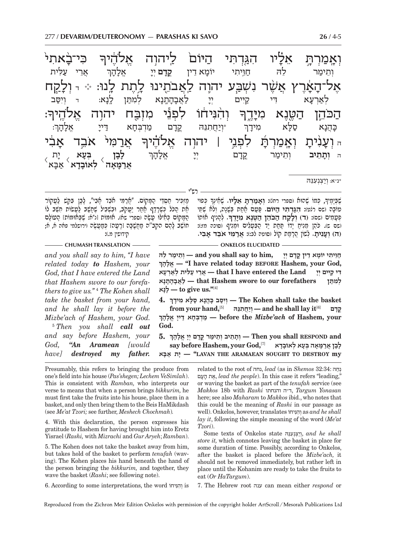.<br>ה כִּי־בָ֫אתִי וְאָמַרְתָּ אֵלָיו הִגַּדְתִּי הַיּוֹם לַיהוָה אֱלֹהֶיךִּ אָל־הָאָ֫רֶץ אֲשֶׁר נִשְׁבָּע יהוֶה לַאֲבֹתֻינוּ לָתֶת לֶנוּ: ∻ <sub>ד</sub> וְלָקֶח :न| .<br>ה וְ וָהִנִּיחֹוֹ לִפְנֵי מִזְבֵּח יהוָה אֱלֹהֶיךָ *ן* הַכֹּהֵן הַטֶּנֶא מִיָּדֶך<del>ּ</del> יר אֲרַמִּי<sup>ּ</sup> אֹבֵד אָבִי ּ וְעָנִיתָ וְאֶמַרְתָׁ לִפְנֵי | יהוָה אֱלֹהֶיךִּ ֧֧֧֦֧֢ׅ֧֚֝֝֬֓֓֓֓֓֓֡֓֓֓֡֬֓֓֓֡֬֓֓֓֡֬֓֓֡֬֓֓֓֓ אֲרֵי עַלִּית וְתֵימַר לֵה<sub>ֶ</sub> חַוֵּיְתִי יוֹמָא דֵין **קֲדָם** יְיָ אֱלָהָךְ לְאַרְעָא דִּי קַיִּים יְיָ לַאֲבָהָתֶנָא לְמִתַּן לֶנָא: דּ וְיִסַּב : ְ י \*וְיַחֲתִנֵּה קֲדָם מַדְבְחָא דַייַ אֱלָהָך כָּהֲנָא סַלָּא מִידָךְ ית **ְבּע א** $\overline{\langle}$  $\aleph$ אַבָּ **ל ב ן** $\overline{\langle}$  **ְלאוֹב ד א** ׇׅ֧֧֧֦֧֢ׅ֦֧֦֧ׅ֧֓֝֬֓֓֓֓֡֜֓֓<u>֚</u>  $\overline{\langle}$  **ֲאר מּ א ה** ה **וְתָתֵיב וְ**תֵימַר קֲדָם · יְיָ אֱלָהָךְ

רש"י

\*נ"א: ְ וי ְ' צְנ ִעֵנּהּ

| מַזְכִּיר חַסְדֵּי הַמָּקוֹם. "חֲרַמִּי חוֹבֵד חָבִי", לָבָן בִּקֵשׁ לַעֲקוֹר                                                                                      | 31]                   |
|--------------------------------------------------------------------------------------------------------------------------------------------------------------------|-----------------------|
| לִת הַכֹּל כְּשֶׁרָדֵף אַתַר יַטֲקִב, וּבִשְׁבִּיל שֶׁתָּשַׁב לַטֲשׂוֹת תִשֵּׁב לוֹ<br>הֻמַּקוֹם כְּחִילוּ טַשָׂה (ספרי שא). חוּמוֹת [נ"א: שֵׁבְּחוּמוֹת] הַטוֹלָם | תי                    |
| חוֹשֵׁב לַהֵם הקב"ה מַחֲשָׁבָה [רָעָה] כִּמַּטֲשֶׂה וירושלמי פאה א, א;                                                                                             | תוֹ<br>$\ddot{\cdot}$ |
| קידוםין מ.):                                                                                                                                                       | !۲.                   |

ָ ְ כּפוּי ְ , כּ ֶ מוֹ שׁהוּא (ספרי רחצ): **ְוא מְ רתּ ֵ אל יו.** ֶשֵׁא ְינך ָ**ָ .** ְלָהִניף אוֹתוֹ ָטוֹבה (שם רצט): **ִהגְּ ד ִתּי ה יּוֹם.** פּ עם א ח ְ ת בָּשָׁנ ְ ה, ולֹ ְא שֵׁתּי ֶשְׁבָּיֶמיך פְּעָמִיס (שִׁס): (ד) וְלָקַח הַבֹּהֵן הַטֶּנֶא מִיָּדֶךָּ. לְהָיִיף אוֹו<br>(שס ש). כֹּהֶן מֶנִיתַ יָדוֹ תַּחַת יַד הַבְּעָלִיס וּמֵנִיף (סוכה מו **ְ (ה) ועִ נ ָית.** ְל ֲ שׁוֹן הָרמ ת קוֹל (סוטה לב:): **ֲאר ִ מּ ֹ י אֵבד א ִ בי.** 

**CHUMASH TRANSLATION CHUMASH TRANSLATION ONKELOS ELUCIDATED** 

*and you shall say to him, ''I have related today to Hashem, your God, that I have entered the Land that Hashem swore to our forefathers to give us.''* <sup>4</sup>  *The Kohen shall take the basket from your hand, and he shall lay it before the Mizbe'ach of Hashem, your God.* 5  *Then you shall call out and say before Hashem, your God, ''An Aramean [would have] destroyed my father.*

**ְ חֵוּ ִית ָ י יוֹמ ֵא ד ֳ ין קָד ְם יָי ,him to say shall you and — ְוֵת ימ ֵר להּ הךָ לָאֱ" — I have related today BEFORE Hashem, your God, ִ דּ י קִיּ ְ ים יָי Land the entered have I that — ֲאֵר י ע ִלּ ְ ית לאְרָעא ְ ל ִמתּן forefathers our to swore Hashem that — לֲאָב ָהָתָנא נאָלָ — to give us."**[4]

**4. ְ basket the take shall Kohen The — ְוִיסּ ָב כֲּהָנ א ס ָלּ ִא מ ָידך from your hand,**[5] **נּהֵּתִ חֲיוְ — and he shall lay it**[6] **דםָק ֳ ְ your ,Hashem of** *ach'Mizbe* **the before — מְד ְבּ ָח א דּ ָיי ֱ אָל ָהך God.**

**5. ְ and RESPOND shall you Then — ְוָתֵת ְ יב וֵת ימ ֳר קָד ְם יָי ֱ אָל ָהך**  $\bf s$ gy before Hashem, your God, $\lceil 7\rceil$  **/ לְבָן אֲרַמִּאָה בְּעֵא לְאוֹבָדָא בּאָא ת יָ" — LAVAN THE ARAMAEAN SOUGHT TO DESTROY my** 

Presumably, this refers to bringing the produce from one's field into his house (*Pas'shegen; Lechem VeSimlah*). This is consistent with *Ramban,* who interprets our verse to means that when a person brings *bikkurim,* he must first take the fruits into his house, place them in a basket, and only then bring them to the Beis HaMikdash (see *Me'at Tzori;* see further, *Meshech Chochmah*)*.*

4. With this declaration, the person expresses his gratitude to Hashem for having brought him into Eretz Yisrael (*Rashi,* with *Mizrachi* and *Gur Aryeh*; *Ramban*).

5. The Kohen does not take the basket away from him, but takes hold of the basket to perform *tenufah* (waving). The Kohen places his hand beneath the hand of the person bringing the *bikkurim,* and together, they wave the basket (*Rashi*; see following note).

related to the root of נחה, *lead* (as in *Shemos* 32:34: חהֵנ ְ עםה ת אֶ, *lead the people*). In this case it refers "leading," or waving the basket as part of the *tenufah* service (see *Makkos* 18b with *Rashi* והנחתו ה"ד, *Targum Yonasan* here; see also *Maharam* to *Makkos* ibid., who notes that this could be the meaning of *Rashi* in our passage as well). Onkelos, however, translates נּיחוִֹהִ וְ as *and he shall lay it*, following the simple meaning of the word (*Me'at Tzori*).

Some texts of Onkelos state נּהֵּעִ נְצְ י
וְ, *and he shall store it,* which connotes leaving the basket in place for some duration of time. Possibly, according to Onkelos, after the basket is placed before the *Mizbe'ach,* it should not be removed immediately, but rather left in place until the Kohanim are ready to take the fruits to eat (*Or HaTargum*).

6. According to some interpretations, the word נּיחוִֹהִ וְ is

7. The Hebrew root ענה can mean either *respond* or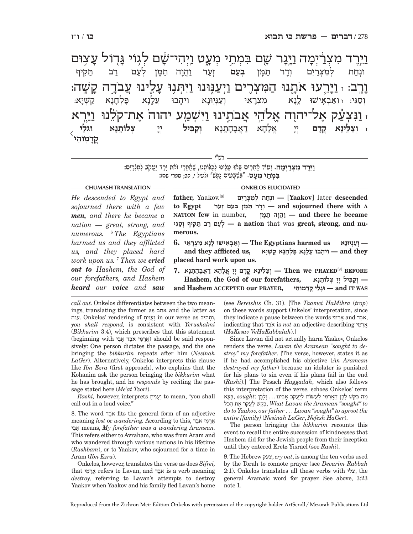מה ויּגר שם בּמתי מעט ויהי־שֿם לגוֹי גּדוֹל עצוּם וָרֶב: <sub>י</sub> וַיָּרְעוּ אֹתֶנוּ הַמִּצְרֶים וַיְעַגְּוּנוּ וַיִּתְנִוּ עָלֵינוּ עֲבֹדֶה קָשָׁה: ּי וַנִּצְעַל אֶל־יהוִה אֱלֹהֵי אֲבֹתֵינוּ וַיִּשְׁמַע יהוה אֶת־קֹלֵנוּ ו<u>ו</u>יִּרְא וּנְחַת לְמִצְרַיִם וְדָר תַּמָּן **בְעַם** זְעֵר וַהֲזָה תַמָּן לְעַם רַב תַּקִּיף ֿוְסַגִּי: ו יְאַבְאִישׁוּ לֵנָא | מִצְרָאֵי | וְעַנְּיְוּנָא וִיהָבוּ עֲלֵנָא פָּלְחָנָא קַשְׁיָא: **ְוּגֵלי** <sup>ז</sup> **ְוצ לּ5 ינ ֳ א קד ם** ְיי ֱ אל הא דֲ ' אב ה ת( נ א **ְוק ִ בּיל** ְיי **ְצלוֹת4 נ א** $\overline{\langle}$ **ֳקד ֽ מ ִוֹהי**

> **וַיֵּרֵד מִצְרֵיִמָּה.** וְעוֹד אֵחֵרִים בָּאוּ עָלֵינוּ לְכָלּוֹתֶנוּ, שָׁאֲחֲרֵי זֹאת יַרֵד יַעֲקֹב לְמִגְרֵים: **ַבְּמִתֵי מִעֲט. "בִּשְׁבִעִים נֶפֶשׁ" (לעיל י, כב; ספרי שם):**

רש"י

*He descended to Egypt and sojourned there with a few men, and there he became a nation — great, strong, and numerous.* <sup>6</sup>  *The Egyptians harmed us and they afflicted us, and they placed hard work upon us.* <sup>7</sup>  *Then we cried out to Hashem, the God of our forefathers, and Hashem heard our voice and saw*

 **descended** later**] Yaakov — [ְוּנח ְ ת ל ִמ ְצרִים** [8].Yaakov **,father A with there sojourned and — ְוָד ר תָּמּ ְ ן בּע ְם זֵער Egypt to NATION few** in number, **מּןָת ה וָהֲו — and there he became h** לְעַם רַב תַּקִיף יִסְגִּי – a nation that was great, strong, and numerous. **CHUMASH TRANSLATION** — **CHUMASH TRANSLATION** — **ONKELOS ELUCIDATED** 

> **— ְועְנּ ָ יוּנא us harmed ns Egyptia The — ְוא ְב ִא ָ ישׁוּ לָנ ִא מ ְצָרֵאי 6. they afflicted us, and they afflicted us, إب**ابجدا עֵלְנָא פִּלְחָנָא קַשִּׁיָא **placed hard work upon us.**

> **BEFORE**]9[**PRAYED we Then — ְוצֵלּ ָינ ֳא קָד ְם יָי ֱ אָל ָה א דֲאָב ָהָתָנא 7. — ְוק ִבּ ְ יל יָי ְ צ ָלוֹתָנא ,forefathers our of God the ,Hashem and Hashem ACCEPTED our PRAYER, מוֹהיִ דָק י ֳ לֵוּגְ — and IT WAS**

*call out*. Onkelos differentiates between the two meanings, translating the former as אתב and the latter as ְ,ותֵתיב as verse our in ְועִנ ית of rendering' Onkelos .ענה *you shall respond,* is consistent with *Yerushalmi*  (*Bikkurim* 3:4), which prescribes that this statement (beginning with אָבָד אַבִי א וֹshould be said responsively: One person dictates the passage, and the one bringing the *bikkurim* repeats after him (*Nesinah LaGer*). Alternatively, Onkelos interprets this clause like *Ibn Ezra* (first approach), who explains that the Kohanim ask the person bringing the *bikkurim* what he has brought, and he *responds* by reciting the passage stated here (*Me'at Tzori*).

 $Rashi$ , however, interprets וְעָנִית to mean, "you shall call out in a loud voice."

8. The word בדֵאֹ fits the general form of an adjective meaning *lost* or *wandering.* According to this, בדֵא י ֹ מִּ ר
א ֲ ביִ א means, *My forefather was a wandering Aramean.*  This refers either to Avraham, who was from Aram and who wandered through various nations in his lifetime (*Rashbam*), or to Yaakov, who sojourned for a time in Aram (*Ibn Ezra*).

Onkelos, however, translates the verse as does *Sifrei,*  that מּיִ ר
אֲ refers to Lavan, and בדֵאֹ is a verb meaning *destroy,* referring to Lavan's attempts to destroy Yaakov when Yaakov and his family fled Lavan's home

(see *Bereishis* Ch. 31). [The *Taamei HaMikra* (*trop*) on these words support Onkelos' interpretation, since they indicate a pause between the words אֲרָמֵי and אֲרָמֵי, indicating that בדֵאֹ is *not* an adjective describing מּיִ ר
אֲ (*HaKesav VeHaKabbalah*).]

Since Lavan did not actually harm Yaakov, Onkelos renders the verse, *Lavan the Aramean "sought to destroy" my forefather*. [The verse, however, states it as if he had accomplished his objective (*An Aramean destroyed my father*) because an idolater is punished for his plans to sin even if his plans fail in the end (*Rashi*).] The Pesach *Haggadah*, which also follows this interpretation of the verse, echoes Onkelos' term מַה בְּקֵשׁ לָבָן הָאֲרַמִּי לַעֲשׂוֹת לִיַעֲקֹב אָבִינוּ . . . וְלָבָן *:sought* ,בִּעָא בְּקֵשׁ לַעֲקֹר אֶת הַבּל, What Lavan the Aramean *"sought" to do to Yaakov, our father . . . Lavan "sought" to uproot the entire [family]* (*Nesinah LaGer*, *Nefesh HaGer*).

The person bringing the *bikkurim* recounts this event to recall the entire succession of kindnesses that Hashem did for the Jewish people from their inception until they entered Eretz Yisrael (see *Rashi*).

9. The Hebrew צעק, *cry out*, is among the ten verbs used by the Torah to connote prayer (see *Devarim Rabbah* 2:1). Onkelos translates all these verbs with צלי, the general Aramaic word for prayer. See above, 3:23 note 1.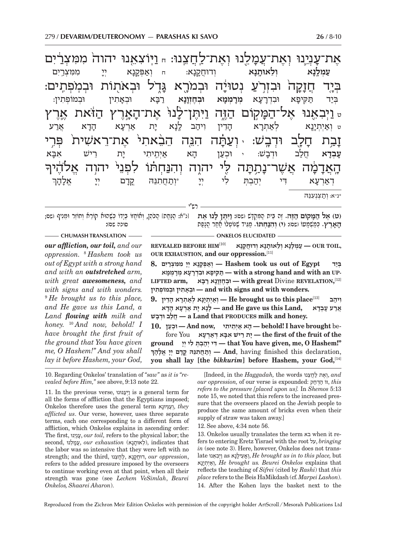ענינוּ ואת־עמלנוּ ואת־לחצנוּ: 1 ויּוֹצאנוּ יהוה ממצרים בְּיֶד חֲזָקָהֹ וּבִזְרָעַ נְטוּיָּה וּבְמֹרֶא גָּדֶל וּבְאֹתָוֹת וּבְמִפְתִים: ּ וַיְבְאֵנוּ אֶל־הַמָּקוֹם הַזֶּה וַיִּתֶּן־לָנוּׂ אֶת־הָאֲרֶץ הַוֹּאת אֶרֶץ ַזָּבָת חָלֶב וּדְבֶשׁ: יִוְעַתָּה הִגֵּה הֵבֵ֫אתִי אֶת־רֵאשִׁית פְּרֵי .<br>ה הָאֲדָכָּה אֲשָׁר־נָתַתָּה לֵי יהוֶה וְהִנַּחְתוֹ לִפְנֵי<sup>ּ</sup> יהוְה אֱלֹהֶיךָ ע**ִמְלֵנָא וְלֵאוּתֶנָא וְדוּחֲקֵנָא: חַ וְאַפְקֵנָא יְיָ מִמִּצְרֵיִם** ְבּי'ד תִּ' קּיפ ִ א וּבְדר ע א **ְמר ְ ממ ְ א וּבֶחְזו נ א** ר' בּ ְ א וּבא ִ ת ְ ין וּב ְמוֹפ ִתין: ּט וְאַיְתְיֵנָא – לְאַתְרָא הָדֵין וִיהַב לְנָא יָת אַרְעָא הָדָא אֲרַע עַבְדָא חֲלַב וּדְבָשׁ: י וּכְעַן הָא אַיְתֵיתִי יָת רֵישׁ אִבָּא ֧֧֧֦֧֢ׅ֖֧֧֚֝֝֬֓֓֓֓֓֓֓֡֓֓֓֡֬֓֓֓֡֬֓֓֓֡֬֓֓֝֬ דְאַרְעָא דִי יְהַבְתְּ *לִי* יְיָ \*וְתַחֲתִנֵּהּ קֳדָם יְיָ אֱלָֹהָךְ \*נ"א: ְ ות ְ ' צְנ ִעֵנּהּ

רש"י

**ֶ (ט) אל ה מּ קוֹם הֶ זּה.** ֶז ֵה בּית הִ מְּקָדּשׁ (שם): **וִ יֶּתּן ל ֶ נוּ את ה אֶ רץ.** ְכּמ ְ שָׁמעוֹ (שם): **ְ (י) ו ִהנּ ְחתּוֹ.** מִ גּ ֶ יד שׁ ְ נּוֹטלוֹ א ח ֲ ר הָנפת [נ''א: הַגָּחַת] הַכֹּהֵן, וְאוֹתֵזוֹ בִיָדוֹ כְּשֵׁהוּא קוֹרֵא וְחוֹזֵר וּמֵנִיף (שם; סוכה שם):

**CHUMASH TRANSLATION ONKELOS ELUCIDATED**  *our affliction, our toil, and our oppression.* <sup>8</sup>  *Hashem took us out of Egypt with a strong hand and with an outstretched arm, with great awesomeness, and with signs and with wonders.*  9  *He brought us to this place, and He gave us this Land, a Land flowing with milk and honey.* <sup>10</sup> *And now, behold! I have brought the first fruit of the ground that You have given me, O Hashem!'' And you shall lay it before Hashem, your God,* 

 **,TOIL OUR — ע ְמ ָלָנ ְא וֵל ָאוּתָנ ְא ו ֲדוּחָקָנא** [10]**HIM BEFORE REVEALED OUR EXHAUSTION, and our oppression.**[11]

**ְ בּיד Egypt of out us took Hashem — ְוא ְפָּקָנ ְא יָי ִ מ ִמּ ְצרִים 8. ,REVELATION** Divine **great with — ְוּב ֶחְזָוָנ א רָבּא ,arm LIFTED-**[12] **UP an with and hand strong a with — תּ ִקּ ָיפ ִ א וּבְדָרָע ְא מָר ְמָמא .wonders with and signs with and — ְוּבָא ִת ְ ין וּב ְמוֹפ ִתין**

**ִ ו יהב** [13]**place this to us brought He — ְואְי ְתָיָנ ְא לא ְתָר ָא הֵדין 9. ֲ אר ָע ע ְבָדא ,Land this us gave He and — ָלָנ ָא י ת אְרָע ָא הָדא בשָׁוּד ב ְ לחֲ — a Land that PRODUCES milk and honey.**

 **the first of the fruit of the properties** be **brought have I! behold — ָה א אְיֵת ִיתי ,now And — ְוּכען 10. ("Inspirity") – ? יִדִּי** יִהֲבָתְּ לִי יִי Wou have given, me, O Hashem  $\ddot{r}$ ,declaration this finished having ,**And — ְותֲח ִתֵנּ ֳהּ קָד ְם יָי ֱ אָל ָהך you shall lay [the** *bikkurim***] before Hashem, your God,**[14]

10. Regarding Onkelos' translation of *"saw"* as *it is "revealed before Him,"* see above, 9:13 note 22.

11. In the previous verse, ענּוּנוּ
יְו is a general term for all the forms of affliction that the Egyptians imposed; Onkelos therefore uses the general term יוּנא נְּע
וְ, *they afflicted us*. Our verse, however, uses three separate terms, each one corresponding to a different form of affliction, which Onkelos explains in ascending order: The first, ינוֵּנְע, *our toil,* refers to the physical labor; the that indicates ,)ֵל אוּתנא) *exhaustion our* ֲ,עמֵלנוּ ,second the labor was so intensive that they were left with no strength; and the third, רוּחֲקָנָא, לַחֲצֵנוּ, our oppression, refers to the added pressure imposed by the overseers to continue working even at that point, when all their strength was gone (see *Lechem VeSimlah*, *Beurei Onkelos, Shaarei Aharon*).

[Indeed, in the *Haggadah,* the words צנוֵּחֲל ת אֶוְ, *and our oppression,* of our verse is expounded: חק
דְּה זוֹ , *this refers to the pressure [placed upon us].* In *Shemos* 5:13 note 15, we noted that this refers to the increased pressure that the overseers placed on the Jewish people to produce the same amount of bricks even when their supply of straw was taken away.]

12. See above, 4:34 note 56.

13. Onkelos usually translates the term בא when it refers to entering Eretz Yisrael with the root על, *bringing in* (see note 3). Here, however, Onkelos does not translate אנוֵּבִ יְו as נאיל עֵאוְ, *He brought us in to this place,* but נאיתְ יְא
וְ, *He brought us. Beurei Onkelos* explains that reflects the teaching of *Sifrei* (cited by *Rashi*) that *this place* refers to the Beis HaMikdash (cf. *Marpei Lashon*). 14. After the Kohen lays the basket next to the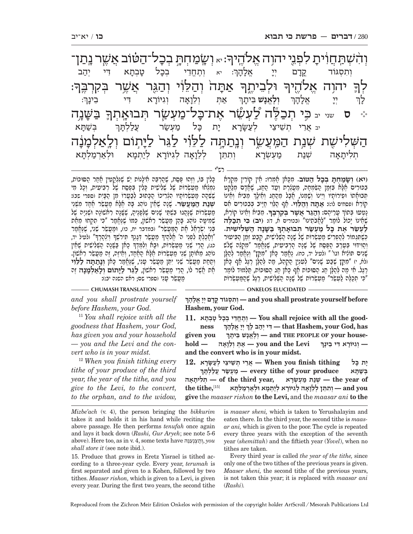רָ: א<mark>ִ יְשֶׂמַ חְתָ בְכָל־הַטּוֹב אֲשֶׁר נְתַן־</mark> פני יהוה א :न ה אַמָה וְהַלֵּוֹי וְהַגֵּר אֲשֶר בְּקִרְבֶּך .<br>ה וּלבית ְי יהוָה אֱלֹהֶיך<del>ּ</del>  $\mathsf{a}^\dagger$ ְלך ְ בַּשָּׁנָָה  $\,$ .<br>ล. ∻ **ס** שני יב כִּי תְכַכֶּّה לַעְשֵׂר אֶת־כָּל־מַעְשָׂר הְבוּאֲתְךָּ הַשְּׁלִישָׁת שְׁנַת הַמִּעֲשֶׂר וְנֶתַתְּה לַלֵּוִ֫י לַגִּר<sup>ַי</sup> לַיָּתְוֹם וְלָאַלְמָנָּה ֧֧֧֦֧֢ׅ֖֧֧֚֝֝֬֓֓֓֓֓֓֓֡֓֓֓֡֬֓֓֓֡֬֓֓֓֡֬֓֓֝֬ ּי יא וְתֶחֱדֵי בְּבָל טָבְתָא דִי יְהַב וְתִסְגּוֹד קֵדַם : ְ ֧֧֧֦֧֢ׅ֖֧֧֚֝֝֬֓֓֓֓֓֓֓֡֓֓֓֡֬֓֓֓֡֬֓֓֓֡֬֓֓֝֬ את ולואה וגיורא ֧֧֧֦֧֢ׅ֖֧֧֚֝֝֬֓֓֓֓֓֓֓֡֓֓֓֡֬֓֓֓֡֬֓֓֓֡֬֓֓֝֬ **שׁ בית**ך ֧֧֧֢ׅ֧֚֝<u>֓</u> יִי אֱל**ָ**הָך לְך ֦֧֖֖֖֖֖֖֖֧ׅ֚֚֚֚֚֚֚֚֚֚֚֚֚֚֬֝֝֝֬֓֓֞֝֬֝֬֝֓֞֝֬֝֓֬֝֓֬ ָבְשַׁתָּא יב אֲרֵי תְשִׁיצֵי לְעַשֶּׂרָא יָת כָּל מַעְשַׂר עֲלַלְתָּךְ תְלִיתָאָה שְׁנַת מַעְשְׂרָא וְתִתֵּן לְלֵנָאָה<sup>ָ</sup>לְגִיּוֹרָא לְיַתְמָא וּלְאַרְמַלְתָּא

רש"י

כָּלִין בּוֹ, וְזֶהוּ פֶּסַח, שֶׁהַרְבֵּה חִילָנוֹת יֵשׁ שֶׁנִלְקָטִין חַׂחֲר הַסּוּכּוֹת,<br>נִמְּלְחוּ מַטְשְׂרוֹת שֶׁל שְׁלִישִׁית כְּלִין בְּפֶסַח שֶׁל רְבִיטִית, וְכָל מִי<br>שֶׁשְׁהָה מַטְשְׂרוֹתָּיו הָלָרִיכוֹ הַכָּתוּב מַמְמָלְרוֹת שֶׁנְּהֵגוּ בְּשָׁתֵּי שָׁנִיִּם שֶׁלְפְּנֵיהֶ, שָׁשָּׁנָה רְחוֹשוֹנָה וּשִׁנִיּה שָׁל ָשְׁמִיטָּה נוֹהֵג בָּהֶן מַטֲשֹׂר רִאשׁׂוֹן, כְּמוֹ שֶׁנֶּחֱמַר "כִּי תִקְחוּ מֵאֶת<br>בַּנֵי יִשְׂרָאֵל אֶת הַמַּטֵשָׂר" ובמדבר יח, כוּ), וּמַטֵשֵׂר שָׁנִי, שֵׁנֵאֱמַר ָבְּגֵי יִשְׁרָתֵל חֶת הַמַּעֲשֵׁר" ובמדבר ית, כוז, וּמַעֲשֵׂר שֵׁלִי, שֶׁמֶּתֶנִר<br>"וְאָכַלְתָּ לִפְגֵי ה' אֱלֹהֶיךָ מַעֲשַׂר דְּגָנְךָ תִּירֹשָׁךְ וְיִלְהָרֶךָ" ולטיל יד,<br>כג). הרי שני מטשרות. וּבֹא ולמדד כאו בשנה השלישית ַָָ יְאִבִּי יִ יְשֶׁנֶי ( יְשִׁבְּבִי יְשָׁנִי יִ נוֹהֵג מֵאוֹתָן שְׁנֵי מַעְשְׂרוֹת אֶלָּא הָאֶתֶד, וְאֵיזֶה, זֶה מַעֲשֵׂר רִאשׁוֹן.<br>וְתַחַת מַעֲשֵׂר שִׁנִי יִתֵּן מַעֲשֵׂר טְיֵי, שֶׁמֶּאֲמַר כָּאן וְבָתַתָּה לַלֵּוִי<br>אֶת אֲשֶׁר לוֹ, הֻרֵי מַעֲשֵׂר רָאשׁוֹ, לַבֵּר לַיָּ

- CHUMASH TRANSLATION —————————————————— ONKELOS ELUCIDATED -

<sup>11</sup> *You shall rejoice with all the goodness that Hashem, your God, has given you and your household — you and the Levi and the con-*

<sup>12</sup> *When you finish tithing every tithe of your produce of the third year, the year of the tithe, and you give to the Levi, to the convert,* 

**ְ (יא) ושׂ מ ְ חתּ ְ בכל ה טּוֹב.** ִמָכּ ָ אן אְמ ֵ רוּ: א ִ ין קוֹר ִ ין מְקָרא ְבִּכּוּרִים חֵלָּא בִּזְמַן הַשִּׂמְחָה, מֵעֲגֶרֶת וְעַד הַחַג, שֶׁאָדָם מְלַקֵּט **ָ**תְּבוּחָ֫תוֹ וּפֵירוֹתָיוּ וְיֵינוֹ וְשַׁמְנוֹ, חֲבָל מֵהַחֲג וְחֵילָךְ מֵבִיתُ וְחֵינוֹ<br>קוֹרֶת ופסחים לו:: אַתַּה וְהַדָּלְוִי. חֵף הַלֵּוִי חֵיֵיב בִּבְּכּוּרִים חִם ֧֖֖֚֚֚֚֚֚֚֚֚֚֚֚֚֚֚֚֚֚֚֚֚֚֚֚֚֚֞֬֡֟֩֩֩֕֩֓֡֡֞֡֡֡֡֬֞֝֞֡֡֡֬֝֬ **ָ** נְטִיטוּ בִּתוֹךְ טָרֵיהֵס: **וְהַגֵּר אֲשֶׁר בִּקְרְבֵּךְ.** מֵבִית וְחֵינוֹ קוֹרֵת,  **בּ שּׁ נה ה ְ שּׁ ִל ִישׁית.** ֶשֵׁא ָ ינוֹ יכוֹל לוֹמ ר "לֲ אבֵֹתינוּ" (בכורים א, ד): **ִ (יב) כּ ְ י תכ ֶ לּה** ָנ ְט ְ עוּ בּתוֹך **ל ְ ע ֵשׂ ֶ ר את כּל מ ְ עשׂ ְ ר תּבוּא ְ תך** (לא, י) "מְקֵץ שֶׁבַּט שָׁנִיִּם" לְטַנְיַן הַקְהֶל, מַה לְהֻלֵּן רֵגְל מַף כַּאן כְּשֶׁתְּגְמוֹר לְהַפְרִישׁ מַטְשְׂרוֹת שֶׁל שָׁנָה הַשְּׁלִישִׁית, קְבַּע זְמַן הַבִּיטוּר<br>וְהַוִּידוּי בְּטֶרֶב הַפֶּסַח שֶׁל שָׁנָה הָרְבִיטִית, שֶׁנֶּחֱמַר "מִקְנָׁה שֶׁלשׁ<br>שָׁנִים תּוֹנִיא וגו'" ולעיל יד, כח). נָחֱמַ כֶּגֶל. אִי מַה לְהַלָּן תַג הַסּוּכּוֹת אַף כָּאן חַג הַסּוּכּוֹת, סַלְמוּד לוֹמַר<br>"כִּי תְכַלֶּה לַטְשֶׂר" מַטְשָׂרוֹת שֶׁל שָׁנָה הַשְׁלִישִׁית, רֶגֶל שֶׁהֲמַּטְשָׂרוֹת

**ְ before yourself prostrate shall you and — ְו ִת ְס ֳ גּוֹד קָד ְם יָי ֱ אָל ָהך Hashem, your God.** *and you shall prostrate yourself before Hashem, your God.*

**good the all with rejoice shall You — ְוֶתֱחֵד ְ י בָכ ָל ט ְבָתא 11.**

**ְ ness- ְ יָי ֱ אָל ָהך has ,God your ,Hashem that — ִדּ ְי יה ָב לך ְgiven you ְ Levi the and you — א ְתּ ְ וֵלָוָאה — hold-house your OF PEOPLE THE and — ְוֶלֱאָנ ֵשׁ בּ ָיתך — ְו ִג ָיּוֹר ִא דּ ֵ י ב ָינך and the convert who is in your midst.**

**ָיִת כָּל When** you finish tithing *i* אֲרֵי תְשִׁיצֵי לְעַשָּׂרָא<br>בִּשָּׁתָּא — every tithe of your produce — מִעְשַׂר עֵלְלְתָּךָ **ְ בּ שָׁתּא produce your of tithe every — מ ְע שׂ ֲ ר על ְלָתּך of year the — ְשׁנ ת מ ְע ְשָׂרא ,year third the of — ְת ִל ָיתָאה you and — ְו ִתֵתּ ְ ן ל ֵלָוָא ְה ל ִג ָיּוֹר ְא לי ְתָמ ְ א וּלאְרמ ְלָתּא** [15]**,tithe the give** the *maaser rishon* **to the Levi,** and the *maasar ani* **to the** 

*Mizbe'ach* (v. 4), the person bringing the *bikkurim*  takes it and holds it in his hand while reciting the above passage. He then performs *tenufah* once again and lays it back down (*Rashi, Gur Aryeh*; see note 5-6 above). Here too, as in v. 4, some texts have נּהֵּעִ נְצְ ת
וְ, *you to the orphan, and to the widow,* 

*shall store it* (see note ibid.).

*vert who is in your midst.*

15. Produce that grows in Eretz Yisrael is tithed according to a three-year cycle. Every year, *terumah* is first separated and given to a Kohen, followed by two tithes. *Maaser rishon,* which is given to a Levi, is given every year. During the first two years, the second tithe is *maaser sheni,* which is taken to Yerushalayim and eaten there. In the third year, the second tithe is *maasar ani,* which is given to the poor. The cycle is repeated every three years with the exception of the seventh year (*shemittah*) and the fiftieth year (*Yovel*), when no tithes are taken.

Every third year is called *the year of the tithe,* since only one of the two tithes of the previous years is given. *Maaser sheni,* the second tithe of the previous years, is not taken this year; it is replaced with *maasar ani*  (*Rashi*)*.*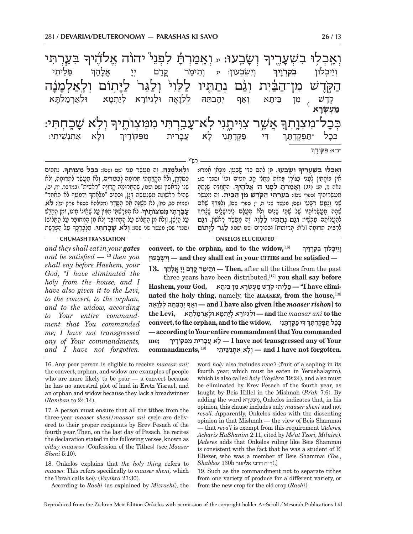ֿוְשָׂבֵעוּ: ּג וְאֲמַרְתָּ לִפְנֵי יהוֹה אֱלֹהֶיךָ ַ בִּעֲר<sub>ָ</sub>הָי .<br>ก' וְאָכְלִיּ בִ*יֹ*שְׁעָרֶיךָ הַקֵּדֶשׁ מִן־הַבַּ֫יִת וְגֵּם נְתַתֶּיוּ לַלֵּוִי<sup>ּ</sup> וְלַגֵּר<sup>ִי</sup> לַיָּתְוֹם וְלֵאַלְמָנָה .<br>ก' ֿוְלִא שָׁבְחְתִּי: | ֿ אֲשֶׁר צִוִּיתֶנִי לְא־עָבַרְתִּי מִמִּצְוֹהֶיךָ .<br>ก *ּ*בְכָל־מִצְוָתְךָּ ְפּלֵיתִי **ְ**וְיִשְׁבְּעוּן: <sub>יג</sub> וְחֵימַר קֳדָם יְיָ אֱלָהָךְ ְוֵי ְיכלוּן **ְבּ ִקְרו יך** קְרֶשׁ ִ מִן בֵּיתָא וְאַף יְהָבִתֵּהּ לְלֵנָאָה וּלְגִיּוֹרָא לְיַתְמָא וּלְאַרְמַלְתָּא  $\overline{\langle}$  **מ ְ ע ְשׂר א** ֧֧֧֦֧֢ׅ֖֖֖֖֖֧֚֚֚֚֚֚֝֝<u>֚</u> וְלָא אִתְנְ*שֵׁ*יתִי: ְפַקֵּדְתֵּנִי כַא עֲבַרְית מִפִּקּוֹדַיךִ תַפְקֶדְתָּךְ ְ \*נ"א: ִ פּקּוֹד ך

רש"י

 **ְ ושֵׂ בעוּ.** ֶתּ ָ ן לֶה ְם כֵּד ָ י שְׂבָע ִ ן. מָכּ ָ אן אְמרוּ: **ְוא ְ כ ִ לוּ ב ְשׁעֶ ריך ָ .**פאה ח, ה): **ְ (יג) וא מְ רתּ ִ ל ְפֵנ ֱ י ה' אלֶֹהיך** ְחָין פּוֹחֲתִין לֵטָנִי בַּגּוֹרֵן פִּחוֹת מֶחֲלִי קַב חִפְיִם וכו' (ספרי שג; ָי יִדְבִּי יִתְּיִם הַעֲבֹוּ עֵשׁ הַעֲבֹוּ עֵד הַעֲבֹוּ הַעֲדֹי הַעֲבֹוּ הַעֲבֹוֹת.<br>מעטרותיה וספרי שס): **בערתי הקדש מן הבית.** זה מעטר ָָ שִׁפְּר יִבְעוֹן שִׁכְּי יִבְעוֹן (שִׁכְּי שִׁל)<br>עֲלָי וְלָמֶוֹל יִקְמִי (שם; מעטר שני ה, י; ספרי שלה) וְלְמֶרֶךְ שָׁלְחָ שָׁהָה מַטַשְׂרוֹתָיו שֶׁל שְׁמֵי שָׁנִיִם וְלֹא הֶטֱלֶם לִירוּשְׁלֵיִם שֶׁגְּרִיךְ<br>לְהַעֲלוֹתָם טַכְשָׁיו: וְגַם נְתַתְּנִיו לַלֵּוִי. זֶה מַטֲשֵׂר רִאשׁוֹן. וְגַם<br>לרבות תרוּמה [נ״א: תּרוּמוֹת] וּבּכּוּרים ושם ושם: לגר ל

**ָ**ולאלמנה. זה מִעֹשׂר עֵני (שם ושם): בּבל מִצוּתְרּ, נתִקִּים ִכְּסִדְרָן, וְלֹא הִקְדַּמְתִּי תְּרוּמָה לְבִכּוּרִים, וְלֹא מַטֲשֹר לִתְרוּמָה, וְלֹא<br>שֵׁנִי לַרְאשׁוֹן ושם ושם), שֶׁהֲתִּרוּמֵה קְרוּיֵה ״רֶאשִׁית״ וּבמדבר, יח, יבז, ְָ וֹדְמְעֲךָ אֵם הַיֹּשְׁל הָיִה הַלֹּא הַלְחָךְ וְדִמְעֲךָ לֹא קַאַחֲר...<br>שֶׁהִיא רְאֹשׁוֹנָה מִשֶּׁנְּעֲשָׂה דָגֶן, וּכְתִיב "מְגֵאֶתֶךְ וְדִמְעֲךָ לֹא קְאַחֲר".<br>ושמות כב. כח), לֹא תשִׁנָּה את הִסְּדַר וּמִכִילֹמא כספא **ָ .** לֹ ִא הְפרְ שִׁתּ ִ י מ ִמּין ע ֶ ל שֵׁא ִ ינוֹ מ ִ ינוֹ, וּמ ֶ ן הָחָדשׁ **ע בְ ר ִתּ ִ י מ ִמּ ְצוֶֹתיך** ְעַל הִישָׁן, [ולֹא מן הִתִּלוּשׁ על המחוּבּר ולֹא מן המחוּבּר על הִתִּלוּשָׁ] ָעַנ הַיָּשָׂן, ווְנִק מִן הַתָּנוּש עַנ הַמְחוּבֶּר וְנִק מִן הַמְחוּבָּר עַנ הַתָּנוּש)<br>וספרי שם: מעשר שני שם)**: ולֹא שׁבֹחהוּי.** מלברכה על הפרשת

**CHUMASH TRANSLATION - THE READ BOOK CONTROL CHUMASH TRANSLATION** 

*and they shall eat in your gates and be satisfied —* <sup>13</sup> *then you shall say before Hashem, your God, ''I have eliminated the holy from the house, and I have also given it to the Levi, to the convert, to the orphan, and to the widow, according to Your entire commandment that You commanded me; I have not transgressed any of Your commandments, and I have not forgotten.* 

**convert, to the orphan, and to the widow,**[16] **ְ ְ וֵי ְיכ ְ לוּן בּ ִקְרָויך בּעוּןְ שְׂ יִוְ — and they shall eat in your CITIES and be satisfied —**

 $\bf 13.$  **ְחֲימַר קֵדָם יִיִ אֵלְהֶר — Then,** after all the tithes from the past three years have been distributed,<sup>[17]</sup> you shall say before **Hashem, your God, יתאָ בּ ן ֵ מ אִ רָשְׂ עְ מ שׁ דֶֹק יתיִ לֵּ פּ" — I have eliminated the holy thing,** namely, the *MAASER***, from the house,**[18]  **to]** *rishon maaser* **the [given also have I and — ְוא ְף יָה ִבֵתּ ְהּ ל ֵלָוָאה**  ${\bf the \ Levi,}$  **ب**לְגִיּוֹרָא לְיַתְמָא וּלְאַרְמַלְתָּא  ${\bf -}$  and the  $maasar$  ani to the **convert, to the orphan, and to the widow, ניִתּדְקֶּ פ י דּ ִ ְ ְכָּכ ל תּ ְפֶקְדָתּך — according to Your entire commandment that You commanded me; ְ Your of any transgressed not have I — ָל ֲא עָבִר ִ ית מ ִפּ ָקּוֹדיך .forgotten not have I and — ְו ָל ִא א ְתְנ ֵשׁ ִיתי** [19]**,commandments**

16. Any poor person is eligible to receive *maasar ani;*  the convert, orphan, and widow are examples of people who are more likely to be poor — a convert because he has no ancestral plot of land in Eretz Yisrael, and an orphan and widow because they lack a breadwinner (*Ramban* to 24:14).

17. A person must ensure that all the tithes from the three-year *maaser sheni/maasar ani* cycle are delivered to their proper recipients by Erev Pesach of the fourth year. Then, on the last day of Pesach, he recites the declaration stated in the following verses, known as *viduy maasros* [Confession of the Tithes] (see *Maaser Sheni* 5:10).

18.Onkelos explains that *the holy thing* refers to *maaser.* This refers specifically to *maaser sheni,* which the Torah calls *holy* (*Vayikra* 27:30).

According to *Rashi* (as explained by *Mizrachi*), the

word *holy* also includes *reva'i* (fruit of a sapling in its fourth year, which must be eaten in Yerushalayim), which is also called *holy* (*Vayikra* 19:24), and also must be eliminated by Erev Pesach of the fourth year, as taught by Beis Hillel in the Mishnah (*Pe'ah* 7:6). By adding the word פִעְשְׂרָא, Onkelos indicates that, in his opinion, this clause includes only *maaser sheni* and not *reva'i*. Apparently, Onkelos sides with the dissenting opinion in that Mishnah — the view of Beis Shammai — that *reva'i* is exempt from this requirement (*Aderes, Acharis HaShanim* 2:11, cited by *Me'at Tzori, Miluim*). [*Aderes* adds that Onkelos ruling like Beis Shammai is consistent with the fact that he was a student of R' Eliezer, who was a member of Beis Shammai (*Tos.,*  [.(ד"ה דרבי אליעזר b130 *Shabbos*

19. Such as the commandment not to separate tithes from one variety of produce for a different variety, or from the new crop for the old crop (*Rashi*).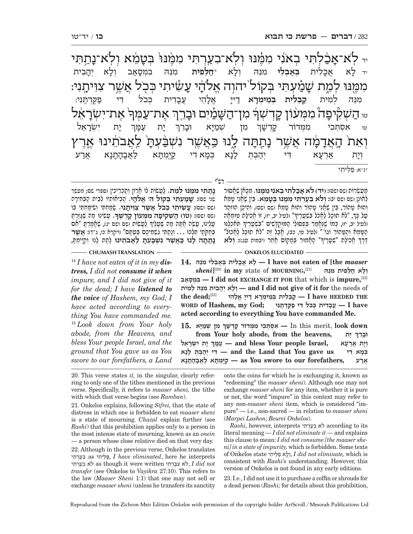ּ לֹא־אָכַ֫לְתִּי בְאֹנִי מִמֶּ֫נּוּ וְלִא־בִעַרְתִּי מִמֶּ֫נּוּּ בְטָמֵ֫א וְלֹא־נָתַתִּי ּמִמֶּנּוּ לְמֶת שָׁמַ֫עְתִּי בְּקוֹל<sup>י</sup>יהוְה אֱלֹדֶוּ עָשִׂיתִי בְּכֻל אֲשֶׁר צִוִּיתֶנִי: ֿ אָת־יִשְׂרָאֵל <u>? Ya</u> ְֿאָת־עַמְּך<sup>ָי</sup> מו־השמים וּב .<br>ה פה ממ וְאֵת הָאֲדָמָה אֲשֶׁר נָתֻתָּה לֶנוּ כִּאֲשֶׁר נִשְׁבַּעְתָׂ לַאֲבֹתֵינוּ אֶרֶץ יד לָא אֲבָלִית **בְאֶבְלִי** מִנֵּהּ וְלָא \*חַלֵּפִ**ּית** מִנֵּהּ בִמְסָאַב וְלָא יְהָבִית ִמֵנּ ְ הּ ל ִמית **קֵ בּ ִל ְ ית בֵּמ ְימר א** ד' יי ֱ אל ִ ה ֲ י עבִ ד ְ ית כּ ֹכ ִ ל דּי פֶ' קְּדתּ0ִ ני: ׅ֖֖֧֧֧֧֧֧֧֧֧֧֧֧֧֚֚֚֚֚֚֚֚֚֚֚֚֚֚֚֚֚֚֚֚֚֚֚֚֓֝֓֝֬֝֬֝֓֝֬֝֓֝֬֝֓֝֬֝֬֝֬֝֬֝֬ יָת יִשְׂרָאֵל ֖֖֖֖֖֧ׅ֖ׅ֧֧֖֧֚֚֚֚֚֚֚֚֚֚֚֚֚֚֚֝֝֝֝֝֓֝֝֝֝֝֬֝֝֬֝֓֝֬֝֓֝֬֝֬֝֓֝֬֝֓֝ יָת עַמָּך ֦֧֧֖֖֖֖֖֧ׅ֧֖֧֚֚֚֚֚֚֚֚֚֚֚֚֚֚֝֝֝֝֝֝֬֝֬֝֬֝֬֝֓֝֬֝֓֝֬֝֬֝֬֝֓֝֬֝֬֝֬ מן שמ<u>י</u>א מִמְדוֹר וְיָת אַרְעָא דִי יְהַבְתְּ לָנָא כְּמָאדִי קַיֱמְתָּא לַאֲבָהָתֶנָא אֲרַע \*נ"א: פֵ ' לּ ִיתי

רש"י

**נ ת ִ תּ ִ י מֶמּ ְ נּוּ לֵמת.** לֲ ע ָ שׂוֹת לוֹ א ְ רוֹן ות ְ כִר ִיכין (ספרי שם; מעשר שני שם): **שׁ מ ְ ע ִתּ ְ י בּ ֱ קוֹל ה' אלֹה י.** ֲהִב ִ יאוֹת ְ יו לֵבית הְ בִּח ָירה (שם ושם): **ע ִ שׂ ִית ְ י כּ ֹכ ֲל א ֶשׁ ִר צִוּיתִ ני.** ָ שׂמ ְ חִתּ ְ י ו ִשׂימּ ְ חִתּי בוֹ **ָ .** ָע ִשׂינוּ מ ֶ ה שָּׁגּזְרָתּ (שם ושם): **(טו) ה ְ שִׁקיפ ִ ה מ ְמּעוֹן קְ ד ְשׁך** ושם ושם: (שו) הַשְקִיפָּה מִמְּעוֹן קָרְשְׁךָ. עָשִינוּ מֵה שֶׁגֶּוְיָםְ<br>טְגַינוּ, עֲשֶׂה אַתָּה מֵה שֶׁעָלֶיךְ לַעֲשׂוֹת ושם ושם יג), שֶׁאָמֵרְםְּ "אִם<br>בְּחֻקֹּאַי סֵּלֵכוּ . . . וְיָתַּתִּי גִשְׁמֵיכֶם בְּעַתֶּם" וויקרא

**CHUMASH TRANSLATION ————————————————————— ONKELOS ELUCIDATED** 

14 *I have not eaten of it in my distress, I did not consume it when impure, and I did not give of it for the dead; I have listened to the voice of Hashem, my God; I have acted according to everything You have commanded me.*  <sup>15</sup> *Look down from Your holy abode, from the Heavens, and bless Your people Israel, and the ground that You gave us as You swore to our forefathers, a Land* 

מ ְ ע ְשׂרוֹת (שם ושם): **(יד) לֹא א כ ְ ל ִתּ ְי ב ֹאִנ ִי מֶמּנּוּ.** ִמָכּ ֶאן שָׁאסוּר ָ.<br>על כּךּ, "לֹא תוּכל לאכל בשעריך" ולעיל יב. יז) לְאוֹגֵן ושם ושם יבז**: וְלֹא בִעַרְהִי מִפֶּוּגוּ בְּטָמֵא.** בֵּין שֶׁאֲנִי טָמֵא<br>וְהוּא טַהוֹר, בֵּין שֶׁאֲנִי טַהוֹר וְהוּא טַמֵּא ושם ושם. וְהֵיכָן הוּזְהַר ְָֹשִׁי יִ יֹא יִם יִ הִי הִי הִי הִי הִי הִי הִי הִי הַ לְּא לְוֹאָלֶי.<br>(לעיל יב, יז), כּמוֹ שַׁנַּאמר בּפסוּלי המוּקדשים "בּשׁעריד תּאכלנוּ הַטָּמֵת וְהֻטָּהוֹר וגו' " (לעיל טו, כב), אֲבָל זֵה "לֹא תוּכַל לֵאֱכוֹל" ָיַ מוּר הָעֲרוֹ הָ הָעֲרוֹ הָעֲרוֹ הָעֲרוֹ הָעֲרוֹ הָעֲרוֹ הָעֲרוֹ: **וְלֹא**<br>דֶּרְךָ אָכִילֶת "שַׁעַרִיךּ" הַאמוּר בּמקוֹם אַחַר (יִבְּמוּת עַנְּ:)**: וְלֹא** ְ

 *maaser* **the [of eaten not have I — ָל ֲא אָכ ִל ְ ית בֶּא ְב ִל ִ י מֵנּהּ 14.** *sheni***]**[20] **in my** state of **MOURNING, ְ ו ָל א חֵלּ ִפ ִ ית מֵנּהּ** [21] **אבסָמְ בִּ — I did not EXCHANGE IT FOR** that which is **impure,**[22] of needs the **for it of give not did I and — ְו ָל ְא יָה ִב ִ ית מֵנּ ְהּ ל ִמית**  $\mathbf{H}$ **h**  $\mathbf{H}$  **HEEDED** gian  $\mathbf{H}$   $\mathbf{H}$   $\mathbf{H}$   $\mathbf{H}$   $\mathbf{H}$   $\mathbf{H}$   $\mathbf{H}$  $\mathbf{H}$  $\mathbf{H}$  $\mathbf{H}$  $\mathbf{H}$  $\mathbf{H}$  $\mathbf{H}$  $\mathbf{H}$  $\mathbf{H}$  $\mathbf{H}$  $\mathbf{H}$  $\mathbf{H}$  $\mathbf{H}$  $\mathbf{H}$  $\mathbf{H}$  $\mathbf{H}$  $\math$  **have I — ֲעָבִד ְ ית כּ ֹכ ִל דּ י פֶקְּדתִּני ;God my ,Hashem of WORD acted according to everything You have commanded Me.**

**ְ** $\mathbf{15.}$  אַסְתְּבִי מִמְּדוֹר קָדְשָׁךְ מִן שְׁמַיָּא **[at is merit, look down**] from Your holy abode, from the heavens, **וּבִרךְ** ית **ְיִיְת אַרְעָא — and bless Your people Israel,** וְיָת אִרְעָא **ְ כָּמ ִא די us gave You that Land the and — ִדּ ְ י יה ְב ְתּ ָ לָנא ֲ ארע ,forefathers our to swore You as — קֶיּ ְמָתּ א לֲאָב ָהָתָנא**

20. This verse states *it,* in the singular, clearly referring to only one of the tithes mentioned in the previous verse. Specifically, it refers to *maaser sheni,* the tithe with which that verse begins (see *Ramban*).

21. Onkelos explains, following *Sifrei,* that the state of distress in which one is forbidden to eat *maaser sheni*  is a state of mourning. *Chazal* explain further (see *Rashi*) that this prohibition applies only to a person in the most intense state of mourning, known as an *onein*  — a person whose close relative died on that very day. 22. Although in the previous verse, Onkelos translates interprets he here ,*eliminated have I* ,פֵּלּ ִיתי as ִבּ
עְר ִתּי לֹא עִבְּרְתִּי as though it were written לֹא בְעֲרָתִּי, I did not *transfer* (see Onkelos to *Vayikra* 27:10). This refers to the law (*Maaser Sheni* 1:1) that one may not sell or

exchange *maaser sheni* (unless he transfers its sanctity

onto the coins for which he is exchanging it, known as "redeeming" the *maaser sheni*). Although one may not exchange *maaser sheni* for any item, whether it is pure or not, the word "impure" in this context may refer to any non-*maaser sheni* item, which is considered "impure" — i.e., non-sacred — in relation to *maaser sheni*  (*Marpei Lashon; Beurei Onkelos*).

 $Rashi$ , however, interprets לֹא בְעַרְחִי according to its literal meaning — *I did not eliminate it* — and explains this clause to mean: *I did not consume [the maaser sheni] in a state of impurity,* which is forbidden. Some texts of Onkelos state יתיִ לֵּפ א לוְ, *Idid not eliminate,* which is consistent with *Rashi's* understanding. However, this version of Onkelos is not found in any early editions.

23. I.e., I did not use it to purchase a coffin or shrouds for a dead person (*Rashi;* for details about this prohibition,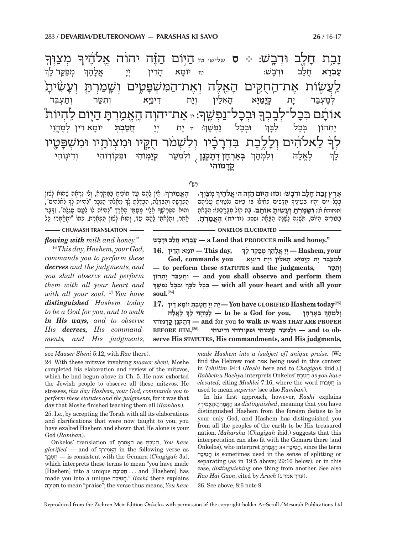ׅ֘ .<br>ה .<br>ก' **מְצַיִּךְ** ע: ↑ ס שלישי טז **היּוֹם הוֹּה יהוֹה** לַעֲשָׂוֹת אֶת־הַחֻקִּים הָאֱלֶה וְאֶת־הַמִּשְׁפָּטֶים וְשָׁמַרְהָּ וְעָשִׂיתָ : וּבְכָל־נַפְשֶׁךָּ: קּאֶת־יהוָה הֶאֱמֻרְתָּ הַיֶּוֹם לְהְיוֹת .<br>ล. אוֹתָם בְּכָל־לְבָבְךָ ֿ לֵאלֹהִים וְלָלֶכֶת בִּדְרָבָ֫יוּ וְלִשְׁמֹׂר חֻקָּיוּ וּמִצְוֹתָיוּ וּמִשְׁפָּטֶיו ֞֝֝֝֝֝<br>ה ְלך ֧֧֧֦֧֢ׅ֖֖֖֖֖֧֚֚֚֚֚֚֝֝<u>֚</u> ֧֧֧֢ׅ֧֚֝<u>֓</u> מפקד עַבְדָא חֲלַב וּדְבָשׁ: הוֹמָא הָדֵין יְיָ אֱלָהָך לְמֶעְבַּד יָת **קְיָמַיָּא** הָאִלֵּין וְיָת דִּינַיָּא וְתִטַּר וְתַעְבֵּד ֦֧֖֖֖֖֖֖ׅ֖ׅ֧ׅ֧֧֧֚֚֚֚֚֚֚֚֚֚֚֚֚֚֚֚֚֚֚֚֝֟֓֟֓֞֟֓֡֞֟֓֞֓֝֬֓֞֓֝֬֝֬֝ : יז י ְ ת יי **ֲחט ְ ב ְתּ** יוֹמ ֵ א ד ְ ין לֶמֱהֵוי ֧֧֧֦֧֢ׅ֖֖֖֖֖֧֚֚֚֚֚֚֝֝<u>֚</u> וּבכל נפשה: יָתְהוֹן בְּכָל לִבְּךְ **ַ בְּאָרְחָן דְתָקְנָן (וּלְמִטַּר קְיָמְוֹהִי וּפִקְוֹדְוֹהִי וְדִינְוֹהִי** ׇׅ֧֧֧֦֧֢ׅ֦֧֦֧ׅ֧֓֝֬֓֓֓֓֡֜֓֓<u>֚</u> דִתָּקְנֶן **ֳקד ִ מוֹהי** ֧֧֧֦֧֢ׅ֧֦֧֧֦֧ׅ֧֚֝֝֬֝֬֜֓֓<u>֚</u> לֶאֱלָהּ וְלִמְהָךְ לְך

רש"י

**ָהאמיררּ.** אין להם עד מוֹכיח בּמִקרא. ולי נראה שהוּא לשׁוֹן ָאיֹ דְּי מִן דָּי עִי יוֹת לַתְ לֹא הָיוֹת לִדְ לְחִיוֹת לִדְ לַחְלֹהִים".<br>הַפְרֹשׁה והְבִדְּלָה, הְבִדְּלָתּ לִדְ מִתְלֹהִי הִנְכַר "לְהִיוֹת לִדְ לִתְלֹהִים". ַָָ יִּ יְאָלָי אֶל יִ יְאֲלָלָי הֶעֲמֵי הָאָרֶץ "לִהְיוֹת לוֹ לְעַם סְגְלָה". [דָּבָר י<br>וְהוּת הִפְרִיאָךְ חֵצְיוֹ מֵעֲמֵי הָאֶרֶץ "לִהְיוֹת לּוֹ לְעַם סְגִלְּה". [דָּבָר<br>חִתְר. וּמִלחִתִי להם עד. והוּח לֹאוֹו תִּפְחֹרִת.

,<br>ארע זבת חלב וּדבשׁ: (טז) היוֹם הזּה ה׳ אלהירּ מצוּרּ. ָיָיָי וּ דְּיִשְׁוּ יִי דְּבִי יִ עֲבִי יִ עֲלֹיתָה<br>בְּבָל יוֹם יִהְיוּ בְעֵינֶיךָ חֲדָאָים כְּחִילוּ בּוֹ בַיּוֹם נִגְֿטַוֵּיהָ עֲלֵיהֶם<br>ותנחומא א): **ושמרת ועשית אוֹתם.** בּת קוֹל מִברכִקּוּ: הַבֹּחֹת וּתּנחומא א)**: וְשֶׁמַרְתָּ וְעֲשִׂיתָ אוֹתָם.** בַּת קוֹל מְבָרַקִתּוּ: הֵבֵאתָ<br>בִּכּוּרִים הַיּוֹם, תִּאֲנֶה לַאֲנָה הֲבָּאֶה וִשְׂם: (**יז־יח) הֵאֱמַרִתּ**,

### **CHUMASH TRANSLATION ONKELOS ELUCIDATED**

*flowing with milk and honey.''* <sup>16</sup> *This day, Hashem, your God, commands you to perform these decrees and the judgments, and you shall observe and perform them with all your heart and with all your soul.* <sup>17</sup> *You have distinguished Hashem today to be a God for you, and to walk in His ways, and to observe His decrees, His commandments, and His judgments,* 

**".honey and milk PRODUCES that Land a — ָע ְבָד ֲא חל ְ ב וּדָבשׁ**

**ְ ,day This — ָ יוֹמ ָא הֵדין 16. ְ ְ מ פֵקּ ָד לך your ,Hashem — ְיָי ֱ אָל ָהך ְלֶמ ְעבּ ָד י ְת קָימָיּ ָ א ה ִאֵלּ ְ ין וָי ִת דּ ינָיּא you commands ,God — to perform these STATUTES and the judgments, טּרתִ ו ְ and you shall observe and perform them**  $\blacksquare$ **ְ ְ וּבָכ ל נ ְפ ָשׁך בּךָל ל ִ כָבְּ — with all your heart and with all your soul.**[24]

[25]**today Hashem GLORIFIED have You — ָי ְת יָי ֲ חט ְב ְתּ ָ יוֹמ ֵא דין 17. ְ**בְּאָרְחָן , to be a God for you לְמֶהֵוֵי לְךָ לְאֵלָה **ְולמהר בארחו מוֹהיִ דָק ן ֳ נָקְ תָדְּ — and** for you **to walk IN WAYS THAT ARE PROPER BEFORE HIM,** serve His STATUTES, His commandments, and His judgments, **ob to and — ְוּל ִמטּ ְ ר קָי ִמוֹה ִ י וּפ ִ קּוֹדוֹה ְ י וִד ִ ינוֹהי** [26]

see *Maaser Sheni* 5:12, with *Rav* there).

24. With these mitzvos involving *maaser sheni,* Moshe completed his elaboration and review of the mitzvos, which he had begun above in Ch. 5. He now exhorted the Jewish people to observe all these mitzvos. He stresses, *this day Hashem, your God, commands you to perform these statutes and the judgments,* for it was that day that Moshe finished teaching them all (*Ramban*).

25. I.e., by accepting the Torah with all its elaborations and clarifications that were now taught to you, you have exalted Hashem and shown that He alone is your God (*Ramban*).

**Onkelos'** translation of הֲאֲמַרְתָּ, You have  $gloriffed$  in the following verse as<br> $gloriffed$  in the following verse as<br> $gloriffg$  in the former (Charistal 2a) בךטְ ח — is consistent with the Gemara (*Chagigah* 3a), which interprets these terms to mean "you have made [Hashem] into a unique יבה טִ חֲ . . . and [Hashem] has made you into a unique יבה טִ חֲ. "*Rashi* there explains יבה טִ חֲ to mean "praise"; the verse thus means, *You have* 

*made Hashem into a [subject of] unique praise.* [We find the Hebrew root אמר being used in this context in *Tehillim* 94:4 (*Rashi* here and to *Chagigah* ibid.).] *Rabbeinu Bachya* interprets Onkelos' תְּ בְ ט
חֲ as *you have elevated,* citing *Mishlei* 7:16, where the word טבוֹתֻחֲ is used to mean *superior* (see also *Ramban*).

In his first approach, however, *Rashi* explains האָמִירך as *distinguished*, meaning that you have distinguished Hashem from the foreign deities to be your only God, and Hashem has distinguished you from all the peoples of the earth to be His treasured nation. *Maharsha* (*Chagigah* ibid.) suggests that this interpretation can also fit with the Gemara there (and Onkelos), who interpret הַאֲמְרַתּ as הַאֲמִרָת, since the term יבה טִ חֲ is sometimes used in the sense of splitting or separating (as in 19:5 above; 29:10 below), or in this case, *distinguishing* one thing from another. See also  $Rav \, Hai \, Gaon$ , cited by *Aruch* (ערך אמר ג).

26. See above, 8:6 note 9.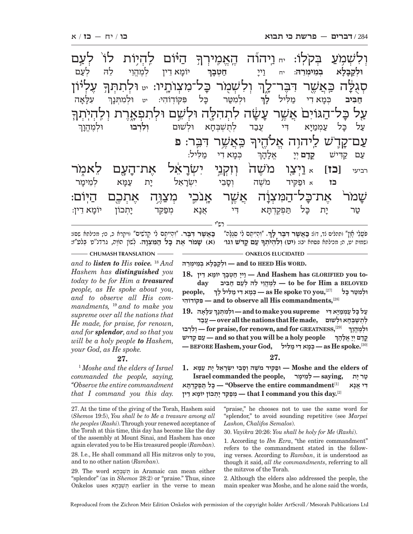רש"י ּיִ הַיֹּוֹם לִהְיָוֹת לוֹ לְעַם .<br>ก' ה ויהוה  $\kappa$ מיו $_{\shortparallel}$ ָ עָלְי<del>ֹ</del>וֹן .<br>ก ֦֧֦֧֦֧֖֖֖ׅ֧ׅ֧֧֧֚֚֚֚֚֚֚֚֚֚֚֚֚֚֚֚֚֝֡֓֡֡֓֡֟֓֡֬֓֡֟֓֡֬֓֡֟֓֡֬֓֜֓֝֬ וְלִשְׁמָ*ֹר* כָּל־מִצְוֹחָיו: <sub>יט ּ</sub>וּלְתִתְּךְ ּסְגֻלָּה כַּאֲשֶׁר דִּבֶּר־לֶךְ ֚֘ .<br>ก. עַל כָּל־הַגּוֹיִם אֲשֶׁר עָשָׂה לִתְהִלֶּה וּלְשֵׁם וּלְתִפְאָרֶת וְלִהְיִתְךָּ ר *בַּאֲשֶר* דִּבֵר<mark>: פ</mark>' עַם־קָדָשׁ לַיהוָה אֱלֹהֶיךִּ רביעי **[כז]** א **וַיְצַו מֹשֶׁה**ֹ וְזִקְנֵי יִשְׂרָאֵל אָת־הָעֶם לֵאמֶר שָׁמֹרֹ אֶת־כָּל־הַמִּצְוָה אֲשֶׁר אָנֹכִי מְצַוֶּה אֶתְכֶם הַיִּוֹם: **ְ**יוֹמא דין הלמהוי לה **וּלְקַבָּלָא בְמֵימְרֵה**ּ: יח וַייַ וֹ חַטְבָךְ ְעלַאָה **ְ**וּלמטר כל פּקוֹדוֹהי: **ח ִ בּיב** ְכּמ ִ א די מ ִ ' לּיל **ל ך** ֧֧֧֧֦֧֦֧֚֝֝֬<u>֓</u> עַל כָּל עַמְמַיָא דִי עֲבַד לְתֻשְׁבְּחָא וּלְשׁוּם **וְלִרְבוּ** וּלְמֶהֶוְד ׇׅ֧֧֧֦֧֢ׅ֦֧֦֧ׅ֧֓֝֬֓֓֓֓֡֜֓֓<u>֚</u> כְּמָא דִי | מַלִּיל: עם ק<sup>ַ</sup>דִּישׁ **קֵדָם**וְיָ אֱלָהָךְ **כז** א וּפַקִיד מֹשֶׁה וְסָבֵי יִשְׂרָאֵל יָת עַמָּא לְמֵימָר ּטַר יָוֹמָא דִּ הַפְקֶדְתָּא דִּי אֲנָא מְפַקֵּד יָוְכוֹן יוֹמָאַדֵין:

**כֲּ א ֶשׁ ִר דֶּבּר.** ִ"ו ְהִי ֶית ִם ל ְ י קדֹ ִשׁים" (ויקרא כ, כו; מכילתא שם): **(א) שׁ מֹ ֶ ר את כּל ה ִ מּ ְצו ה.** ְ ל ֶ שׁוֹן הוֹו ְ ה, גרדנ''ט בּלע"ז:

**ְ**פֹּעֲלֵי מָוֶ" (תהלים נ*ֹד, ד*)]: <mark>כַּאֲשֶׁר דִּבֶּר לָ</mark>ךָ. "וִהְיִיתֶם לִי סְגֶלֶה"<br>ושמות יט. ה: מכילתא פסחא יבז: (**יט) ולהיתר עם קדש וגו**׳ (שמות יט, ה; מכילתא פסחא יב): **ְ (יט) ו ִל ְהיֹ ְתך**

**CHUMASH TRANSLATION ONKELOS ELUCIDATED** *and to listen to His voice.* <sup>18</sup> *And* 

*Hashem has distinguished you today to be for Him a treasured people, as He spoke about you, and to observe all His commandments,* <sup>19</sup> *and to make you supreme over all the nations that He made, for praise, for renown, and for splendor, and so that you will be a holy people to Hashem,*  **.WORD His HEED to and — ְוּלק ָבּ ָל ְא בֵמ ְימֵרהּ**

**ְ**-And Hashem has GLORIFIED you to<br>- לַמֶּהֵוֶי לָהּ לְעָם חַבִּיב day — לַמֶּהֵוֶי לָהּ לִעֲם חַבִּיב **day**<br>*people* **יִ** וּלְמִטֵּר בָּל [27]  $-$ as He spoke TO you, $^{[27]}$ **קּוֹדוֹהי ִ פִּ — and to observe all His commandments,**[28] **ְ**

 **ִ ע ָלָּאה 19. ע ָל כּ ל ע ְממָיּ ִא דּי supreme you make to and — ְוּל ִמ ְתָּנך ְ לֻת ְשׁ ְבּ ָח ְ א וּלשׁוּם ,made He that nations the all over— ֲעבד רבוְּלִ וְ — for praise, for renown, and for GREATNESS,** [29] **ְ ְ וּלֶמֱהָוך דּישִׁק ם ע — and so that you will be a holy people ְ ֳקָד ְם יָי ֱ אָל ָהך** [30]**.spoke He as — ְכָּמ ִא ד י מ ִלּיל ,God your ,Hashem BEFORE—**

### **27.**

*your God, as He spoke.*

1  *Moshe and the elders of Israel commanded the people, saying, ''Observe the entire commandment that I command you this day.* 

 **of elders the and Moshe — וּפ ִקּיד מֹ ֶשׁ ְה וָסֵב ִ י י ְשָׂרֵא ָל י ת עָמּא 1. ט ָר ית ,saying — ְלֵמ ָימר ,people the commanded Israel ִ דּ ֲ י אָנא** [1]**commandment entire the Observe — "ָכּ ל תּ ְפֶקְדָתּא** [2]**.day this you command I that — ְמפֵקּ ָד י ְת ָ כוֹן יוֹמ ֵא דין**

**27.**

27. At the time of the giving of the Torah, Hashem said (*Shemos* 19:5), *You shall be to Me a treasure among all the peoples* (*Rashi*). Through your renewed acceptance of the Torah at this time, this day has become like the day of the assembly at Mount Sinai, and Hashem has once again elevated you to be His treasured people (*Ramban*).

28. I.e., He shall command all His mitzvos only to you, and to no other nation (*Ramban*).

29. The word חאבְּ שְׁ תֻּ in Aramaic can mean either "splendor" (as in *Shemos* 28:2) or "praise." Thus, since Onkelos uses חָשְׁבָּחָא earlier in the verse to mean

"praise," he chooses not to use the same word for "splendor," to avoid sounding repetitive (see *Marpei Lashon, Chalifos Semalos*).

30. *Vayikra* 20:26: *You shall be holy for Me* (*Rashi*).

1. According to *Ibn Ezra*, "the entire commandment" refers to the commandment stated in the following verses. According to *Ramban*, it is understood as though it said, *all the commandments*, referring to all the mitzvos of the Torah.

2. Although the elders also addressed the people, the main speaker was Moshe, and he alone said the words,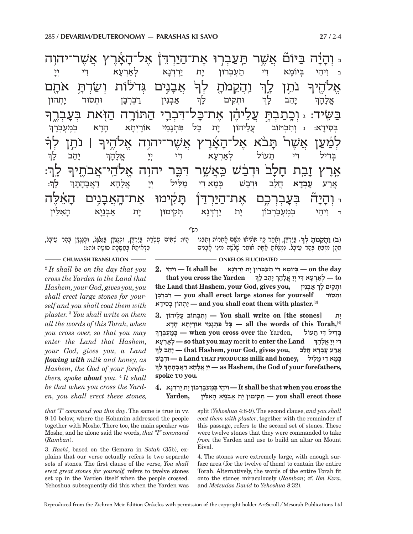בּ וְהָיָה בַּיּוֹם אֲשֶׁר תִּעַבְרְוּ אֶת־הַיַּרְדֵּן אֶל־הָאָ֫רֶץ אֲשֶׁר־יהוָה -ֿ אֲבָנִים גְּדֹלֹוֹת וְשַׂדְתָּ אֹתֶם  $\mathsf{a}^{\mathsf{l}}$ ِ נ<u>וֹה</u>קמֹת ל<sub>ְב</sub> .<br>ก' ً *נ*ִתֵן לְ<sup>יָ</sup> **ٚ**אָלֹהֶיך .<br>ก בַּשִׂיד: ג וְכֶתַבְתָּ עֲלֵיהֶן אֶת־כָּל־דִּבְרֵי הַתּוֹרָה הַזִּאת בְּעֲבְרֶךְ ֗ ֞<br>ה . .<br>ה' ן *נִתו*ֹ ל<sub>וּ</sub> | לְמַׁעַן אֲשֶׁר תָּבֹא אֶל־הָאָרֶץ אֲשֶׁר־יהוָה אֱלֹהֶיךִּ : ְ <u>اد ځان</u><br>ك אֶרֶץ זָבָת חָלָב<sup>ּ</sup> וּדְבַּשׁ כִּאֲשֶׁר דִּבֶּר יהוָה אֱלֹהֵי־אֲבֹתֶיךָ ד וְהָיָה בְּעָבְרְכֶם אֶת־הַיַּרְדֵּ† תָקִימוּ אֶת־הָאֲבָנִים הָאֵלֶה <del>וּ</del> ב וִיהֵי בְּיוֹמָא דִּי תַעְבְּרוּן יָת יַרְדְנָא לְאַרְעָא דִי יְיָ ׇׅ֧֧֧֦֧֢ׅ֧֓֝֬֓֓֓֓<u>֚</u> אַבְנִין רַבְרְבָן וּתְסוּד יָתְהוֹן ֧֧֧֦֧֢ׅ֧֦֧֧֦֧ׅ֧֚֝֝֬֝֬֜֓֓<u>֚</u> ים ׇׅ֧֧֧֦֧֢ׅ֦֧֦֧ׅ֧֓֝֬֓֓֓֓֡֜֓֓<u>֚</u> יהב אֵלֶהָך ֖֖֖֖֖֧֧֧֧֪ׅ֧֧֧֧֚֚֚֚֚֚֚֚֚֚֚֚֚֚֚֚֚֝֟֓֡֝֬֝֬֝֬֓֓֞֟֓֡֓֓֝֬֝֓֞֝֬֝֬ בְּסִידָא: ג וְתִכְתּוֹב עֲלֵיהוֹן יָת כָּל פִּתְגָמֵי אוֹרָיְתָא הָדָא בְּמֶעְבְּרָךְ ׇׅ֧֧֧֦֧֢ׅ֦֧֦֧ׅ֧֓֝֬֓֓֓֓֡֜֓֓<u>֚</u> ׇׅ֧֧֧֦֧֢ׅ֦֧֦֧ׅ֧֓֝֬֓֓֓֓֡֜֓֓<u>֚</u> יהב ַבְּדִיל דִּי תֵעוֹל לְאַרְעָא דִּי יְיָ אֱלָֹהָךְ : **ְ** ֧֧֧֢ׅ֧֚֝<u>֓</u> .<br>לר אֲרַע עָבְדָא חֲלַב וּדְבַשׁ כְּמָא<sup>ֹ</sup>דִי מַלִּיל יְיָ אֱלָהָא דַאֲבָהָתִךְ ּר וִיהֵי בְּמֶעְבַּרְכוֹן יָת יַרְדְּנָא תִּקִימוּן יָת אַבְנַיָּא הָאִלֵּין

רש"י

(ב) וַהֲקֵמוֹתָ לִךָּ. בַּיַרְדֵּן, וְאַחַר כָּךְ תּוֹלִיאוּ מִשָּׁם אֲחֵרוֹת וְתִבְנוּ – הָיּוּ: שְׁתֵּים עָשְׂרֵה בַּיַרְדֵּן, וּכְנֶגְדֶן בְּגִּלְגֶּל, וּכְנֶגְדֶן בְּהַר טֵיבָל,<br>מהן מזבח בהר טיבל. נמלאת אתה אוֹמר שלשה

2  *It shall be on the day that you cross the Yarden to the Land that Hashem, your God, gives you, you shall erect large stones for yourself and you shall coat them with plaster.* <sup>3</sup>  *You shall write on them all the words of this Torah, when you cross over, so that you may enter the Land that Hashem, your God, gives you, a Land flowing with milk and honey, as Hashem, the God of your forefathers, spoke about you.* <sup>4</sup>  *It shall be that when you cross the Yarden, you shall erect these stones,* 

 **2.** בְּיוֹמֵא דִּי תַעִבְּרוּן יָת יַרִדְּנָא (עוֹבָּר – on the day – בִּיוֹמֵא בּ **that you cross the Yarden ְ ְ ָ יֵה ָב לך to — ְלאְרָע ִא דּ ְי יָי ֱ אָל ָהך the Land that Hashem, your God, gives you, ניןִבְ א ְ ְ וּת ִק ָ ים לך בןָרְבְ ר — you shall erect large stones for yourself וּתסוּד ְ ידאָ סִ בּ הוֹן ְ תְ יָ — and you shall coat them with plaster.**[3]

ְ

**ָ**

**ָ ית [stones the [on write shall You — ְו ִת ְכ ֲ תּוֹב עֵליהוֹן 3.** [4]**,Torah this of words the all — ָכּ ִ ל פּ ְתָגֵמ ָ י אוֹרְיָת ָ א הָדא ְ ְ בִּד ִ יל דּ ֵ י תעוֹל** ,Yarden the **over cross you when — ְבֶּמ ְע ְבָּרך עאָרְאלְ — so that you may** merit to **enter the Land ְ ְ ִ דּ ְי יָי ֱ אָל ָהך ֲ אר ָע ע ְבָד ֲא חלב ,you gives ,God your ,Hashem that — ָיֵה ָב לך ְ ְ כָּמ ִא ד י מ ִלּיל ,honey and milk PRODUCES THAT Land a — ְוּדבשׁ ְ ָ לך ,forefathers your of God the ,Hashem as — ְיָי ֱ אָל ָה א דֲאָב ָהָתך spoke TO you.**

 **the cross you when** that **be shall It — ִו ֵיה ְ י בֶּמ ְעבְּר ָ כוֹן י ת יְרְדָּנא 4. these erect shall you — ְתּ ִק ָ ימוּן י ת א ְבנָיּ ָא ה ִאֵלּין ,Yarden**

*that "I" command you this day*. The same is true in vv. 9-10 below, where the Kohanim addressed the people together with Moshe. There too, the main speaker was Moshe, and he alone said the words, *that "I" command* (*Ramban*).

3. *Rashi*, based on the Gemara in *Sotah* (35b), explains that our verse actually refers to two separate sets of stones. The first clause of the verse, *You shall erect great stones for yourself,* refers to twelve stones set up in the Yarden itself when the people crossed. Yehoshua subsequently did this when the Yarden was split (*Yehoshua* 4:8-9). The second clause, *and you shall coat them with plaster*, together with the remainder of this passage, refers to the second set of stones. These were twelve stones that they were commanded to take *from* the Yarden and use to build an altar on Mount Eival.

4. The stones were extremely large, with enough surface area (for the twelve of them) to contain the entire Torah. Alternatively, the words of the entire Torah fit onto the stones miraculously (*Ramban*; cf. *Ibn Ezra*, and *Metzudas David* to *Yehoshua* 8:32).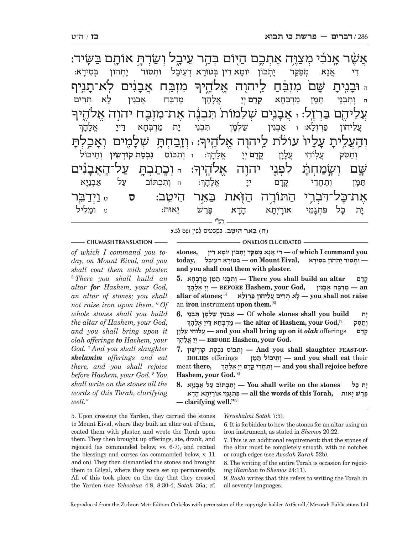רש"י צוּה אתכם היוֹם בּהר עיבל ושׂדתּ אוֹתם בּשׂיד: .<br>ה ְמִזְבַּח אֲבָנִים לְא־תָנִיף ה וּבָנִיתָ שָׁם מִזְבֵּחַ לַיהוָה אֱלֹהֶיִךּ .<br>ה אבנים שַׁלֵמוֹת תִּבְנֵה אֶת־מִזְבֵּח יהוְה וְדָ: ז**וְזֶבַחְתָ שְׁלָמֶים וְאָבַלְתָ** ת עליו עוֹלֹת ליהוה אל ;רּה ּ: יִ יִ וֹכְּתַבְתָּ עַל־הָאֲבָנִים שֵׁם וְשָׂמַחְתָ לִפְנֵי יהוָה אֱלֹהֶיךָ אֶת־כָּל־דִּבְרֵי הַתּוֹרָה הַזֻּׂאת בַּאֵ<mark>ּ</mark>ר הֵיטֵב: סּ ט<u>ּו</u>יְדַבֵּר ָדִי אֲנָא מְפַקֵּד יָתְבוֹן יוֹמָא דֵין בְּטוּרָא דְעֵיבָל וּתְסוּד יָתְהוֹן בְּסִידָא: ֧֧֧֦֧֢ׅ֖֖֖֖֖֧֚֚֚֚֚֚֝֝<u>֚</u> מדבּח ה וְתִבְנֵי תַמָּן מַדְבְחָא **קֵדָם**וְיָ אֱלָהֶךְ ֧֧֧֧֦֧֦֧֚֝֝֬<u>֓</u> ַעֲלֵיהוֹן פַּרְזְלָא: וּ אַבְנִין | שַׁלְמָן | תִּבְנֵי יָת מַדְבְּחָא דַייַ אֱלָהָךְ ְ : <sup>ז</sup> ְו ִתכּוֹס **ִנ ְכס ת ְקוּד ִשׁין** ְוֵתיכוֹל וְתַסֵּק עֲלְוֹהִי עֲלָוָן **קֵדָם**וְיָ אֱלָהָךְ ׇׅ֧֧֧֦֧֦֧֦֧֦֧֓֝֬ ותכתּוֹב על תּמָן וְתֶחֱדֵי קֵדָם יִיָ אֱלָהָךְ יָת כָּל פִּתְגָמֵי אוֹרָיְתָא הָדָא פָּרֵשׁ יָאוּת: ט וּמַלִּיל

**(ח) בֵּ א ֵר ה ֵיטב.** ְ בִּשְׁבִע ָ ים לשׁוֹן (שם לב.):

**CHUMASH TRANSLATION ONKELOS ELUCIDATED** 

*of which I command you today, on Mount Eival, and you shall coat them with plaster.*  5  *There you shall build an altar for Hashem, your God, an altar of stones; you shall not raise iron upon them.* <sup>6</sup>  *Of whole stones shall you build the altar of Hashem, your God, and you shall bring upon it olah offerings to Hashem, your God.* <sup>7</sup>  *And you shall slaughter shelamim offerings and eat there, and you shall rejoice before Hashem, your God.* <sup>8</sup>  *You shall write on the stones all the words of this Torah, clarifying well.''*

 $\boldsymbol{\mathsf{s}}$  **command you**  $\boldsymbol{\mathsf{p}}$  **דִּי** אֵנָא מִפַּקֵּד יָתְבוֹן יוֹמָא דִין

**— ְוּת ָ סוּד י ְת ְ הוֹן בּ ִס ָידא ,Eival Mount on — ְבּ ָטוּר ְא דֵע ָיבל ,today and you shall coat them with plaster.**

- **ְ ֳ קָדם altar an build shall you There — ְו ִת ְבֵנ י תָמּ ן מְד ְבּ ָחא 5. an — מְדבּ ח א ְבִנין ,God your ,Hashem BEFORE — ְיָי ֱ אָל ָהך raise not shall you — ָל ְא תִר ֲ ים עֵל יהוֹן פְּרְז ָלא** [5]**;stones of altar** an **iron** instrument **upon them.**<sup>[6]</sup>
- **ְ ָ ית build you shall stones whole** Of **— א ְבִנ ין שׁ ְלָמ ִ ן תּ ְבֵני 6. ְ ותֵסּק** [7]**,God your ,Hashem of altar the — מְד ְבּ ָח א דּ ָיי ֱ אָל ָהך וןָלָ ע י ֲ לוֹהִ עֲ — and you shall bring up on it** *olah* offerings **דםָק ֳ ְ**

**.God your ,Hashem BEFORE — ְיָי ֱ אָל ָהך**

י התבוס וּבְסַת קוּדְשׁין And you shall slaughter FEAST-OF-<br>הַעִיכוֹל הַמַּן — and you shall eat their meat **there, ְ before rejoice shall you and — ְוֶתֱחֵד ֳ י קָד ְם יָי ֱ אָל ָהך Hashem, your God.**[8]

**ָ י ָת כּל stones the on write shall You — ְו ִת ְכ תּוֹב ע ל א ְבנָיּא 8. ָפֵּר ָשׁ יאוּת ,Torah this of words the all — ִפּ ְתָגֵמ ָ י אוֹרְיָת ָא הָדא — clarifying well."**[9]

5. Upon crossing the Yarden, they carried the stones to Mount Eival, where they built an altar out of them, coated them with plaster, and wrote the Torah upon them. They then brought up offerings, ate, drank, and rejoiced (as commanded below, vv. 6-7), and recited the blessings and curses (as commanded below, v. 11 and on). They then dismantled the stones and brought them to Gilgal, where they were set up permanently. All of this took place on the day that they crossed the Yarden (see *Yehoshua* 4:8, 8:30-4; *Sotah* 36a; cf. *Yerushalmi Sotah* 7:5).

6. It is forbidden to hew the stones for an altar using an iron instrument, as stated in *Shemos* 20:22.

7. This is an additional requirement: that the stones of the altar must be completely smooth, with no notches or rough edges (see *Avodah Zarah* 52b).

8. The writing of the entire Torah is occasion for rejoicing (*Ramban* to *Shemos* 24:11).

9. *Rashi* writes that this refers to writing the Torah in all seventy languages.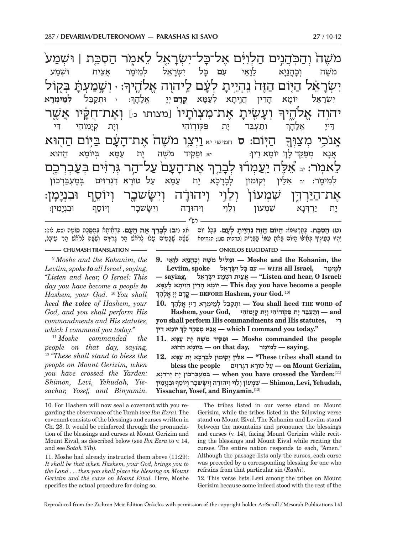רש"י מֹשֶׁהׂ וְהַבְּהֲנִים הַלְוִיֹּם אֶל־כָּל־יִשְׂרָאֵל לֵאמֶר הַסְבֵּת | וּשְׁמַע .<br>ה : י וְשָׁמַעְתָּ בְּקוֹל  $\cdot$  : היּוֹם הזּה נהיית לעם ליהוה .<br>ก' ית את־מצותיו [מצותו כ יהוָה אֱלֹהֱיך היּוֹם: ס<sub>ַ חמישי יא ויצו מֹשׁה את־העם ביּוֹם ההוּא</sub> וּך מצ ׇׅ֧֧֓<u>֓</u> את־העם על־הו יעמדוּ לברה אָת־הַיַּרְדֶן שִׁמְעוֹןׂ וְלֵוִי וִיהוּדָה וְיִשָּׂשכֶר וְיוֹסֵף וּבִנְיָמִן: מֹשֶׁה וְכָהֲנַיָא לֵוָאֵי **עִם** כָּל יִשְׂרָאֵל לְמֵימָר אֲצֵית וּשְׁמַע ֧֧֧֦֧֢ׅ֖֖֖֖֖֧֚֚֚֚֚֚֝֝<u>֚</u> : <sup>י</sup> ְוּתקֵ ' בּל **ְלֵמ ְימר א** יִשְׂרָאֵל יוֹמָא הָדֵין הֲוֵיתָא לְעַמָּא **קֵדָם**וְיָ אֱלָהָךְ ׇׅ֧֧֧֦֧֦֧֦֧֦֧֓֝֬ וְתַעְבֵּד יָת פִּקּוֹדְוֹהִי – וְיָת קְיָמְוֹהִי דִּי דִייִ אֱלָהָך ֧֧֧֢ׅ֧֚֝<u>֓</u> יוֹמ ֵ א דין: יא וּפ ִ' קּיד מֹ ֶשׁה ית ע' מּ ְ א בּיוֹמא ה' הוּא מפקד לך לְמֵימָר: יב אִלֵּין יְקוּמוּן לְבָרָבָא יָת עַמָּא עַל טוּרָא דִגְרִזִּים בְּמֶעְבַּרְכוֹן יָת יַרְדְּנָא שִׁמְעוֹן וְלֵוִי וִיהוּדָה וְיִשָּׂשכָר וְיוֹסֵף וּבִנְיָמִין:

**(ט) ה ְ סֵכּת.** ְכּתְ רגּוּמוֹ: **ה יּוֹם הֶ זּ ִה נ ְהֵיית ְ לע ם.** ְ בָּכל יוֹם ָיהיוּ בטיניך כּאילּוּ היוֹם בּאת טמוֹ בּבּרית (ברכות סג:; תנחומא **ְ**(**ט) הַסְבֵּת.** כְּסַרְגּוּמוֹ: **הַיּוֹם הַזֶּה נִהְיֵיתָ לְעָם.** בְּכָל יוֹס = א): (**יב) לְבָרֵךְ אֶת הָעָם.** כִּדְאִיסָא בְּמֵסֶכֶת סוֹטָה (שם, לז:):<br>יהיו בטיניד כאילו היוֹם בּאת טמו בברית וברכות סג:: תנחומא = שֹבֹּה שב ַ שִׁבְּט הַבְּטִּים עֲלוּ לְרֹאשׁ הָר גְּרָזִּים וְשָׁשָּׁה לְרֹאשׁ הָר עֵיבַל,

9  *Moshe and the Kohanim, the Leviim, spoke to all Israel , saying, ''Listen and hear, O Israel: This day you have become a people to Hashem, your God.* <sup>10</sup> *You shall heed the voice of Hashem, your God, and you shall perform His commandments and His statutes, which I command you today.''*

<sup>11</sup> *Moshe commanded the people on that day, saying,*  <sup>12</sup> *''These shall stand to bless the people on Mount Gerizim, when you have crossed the Yarden: Shimon, Levi, Yehudah, Yissachar, Yosef, and Binyamin.* 

**CHUMASH TRANSLATION ONKELOS ELUCIDATED** 

 **the ,Kohanim the and Moshe — וּמ ִלּיל מֹ ֶשׁ ְה וָכֲהנָיּ ֵ א לָוֵאי 9. Leviim, spoke** למימר ,WITH all Israel, למימר  $-$  saying,  $\vec{v}$  ישׂמע ישׂראל — "Listen and hear, O Israel: **<sup>2</sup> /** *• • • • • • • • • • • • • • • • • • • • • • • • • • • • • • • • • • •* [10]**.God your ,Hashem BEFORE — ֳקָד ְם יָי ֱ אָל ָהך**

**10. ְ of WORD THE heed shall You — ְוּתקֵבּ ְ ל לֵמ ְימָר א דּ ָיי ֱ אָל ָהך and — ְות ְעֵבּ ָד י ִת פּ ִ קּוֹדוֹה ְי וָי ְת קָי ִמוֹהי ,God your ,Hashem you shall perform His commandments and His statutes, ְָ יוֹמ ֵא דין ".today you command I which — ֲאָנ ְא מפֵקּ ָד לך**

 **people the commanded Moshe — וּפ ִקּיד מֹ ֶשׁ ָה י ת עָמּא 11. ,saying — ְלֵמ ָימר ,day that on — ְבּ ָ יוֹמ א ההוּא**

 **to stand shall** tribes **These — "ִאֵלּ ְ ין י ְ קוּמוּן לָבָרָכ ָא י ת עָמּא 12. ,Gerizim Mount on — ע ָ ל טוּר ִא דְגִר ִזּים people the bless** [11]**:Yarden the crossed have you when — ְבֶּמ ְעבְּר ָ כוֹן י ת יְרְדָּנא** שמעון ולוי ויהודה ויששכר ויוסף ובנימין – Shimon, Levi, Yehudah, **Yissachar, Yosef, and Binyamin.**[12]

10. For Hashem will now seal a covenant with you regarding the observance of the Torah (see *Ibn Ezra*). The covenant consists of the blessings and curses written in Ch. 28. It would be reinforced through the pronunciation of the blessings and curses at Mount Gerizim and Mount Eival, as described below (see *Ibn Ezra* to v. 14, and see *Sotah* 37b).

11. Moshe had already instructed them above (11:29): *It shall be that when Hashem, your God, brings you to the Land . . . then you shall place the blessing on Mount Gerizim and the curse on Mount Eival.* Here, Moshe specifies the actual procedure for doing so.

The tribes listed in our verse stand on Mount Gerizim, while the tribes listed in the following verse stand on Mount Eival. The Kohanim and Leviim stand between the mountains and pronounce the blessings and curses (v. 14), facing Mount Gerizim while reciting the blessings and Mount Eival while reciting the curses. The entire nation responds to each, "Amen." Although the passage lists only the curses, each curse was preceded by a corresponding blessing for one who refrains from that particular sin (*Rashi*).

12. This verse lists Levi among the tribes on Mount Gerizim because some indeed stood with the rest of the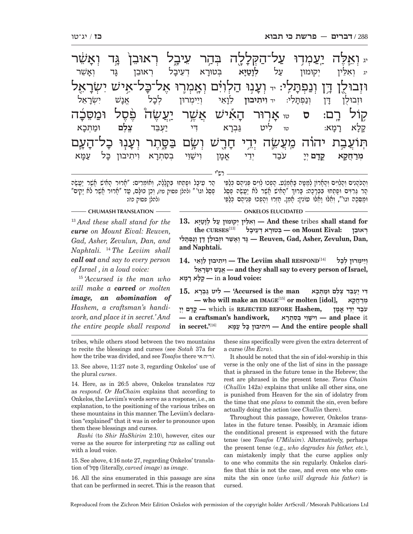י יְאֵלֶה יַעֲמְדִוּ עַל־הַקְלָלֶה בְּהַר עֵיבֶל רְאוּבֵן גָּד וְאָשֵׁר  $\nu$ ּוּזְבוּלֶן דֶן וְנַפְתָּלִי: ּדּ וְעָנִוּ הַלְוִיּּם וְאָמְרֶוּ אֶל־כָּל־אִישׁ יִשְׂרָאֵל קוֹל רֶם: ס<sub>ְ ײ</sub>ָ אֲרָוּר הָאִ*יּשׁ* אֲשֶׁר יַעֲשֶׂהْ פֶּסֶל וּמַסֵּבָה ּתְּוֹעֲבֵת יהוֹה מֵעֲשֵׂה יְדֵי חָרֶשׁ וְשָׂם בַּסֶתֶר וְעָנְוּ כָל־הָעֶם יג וְאִלֵּין יְקוּמוּן עַל לְוָטַ**יָא** בְּטוּרָא דְעֵיבֶל רְאוּבֵן גָּד וְאָשֵׁר וּזְבוּלֶן דָּן וְנַפְתָלִי: יד**ויתיבוּן** לֵוָאֵי וְיֵימְרוּן לְבָל אֱנָשׁ יִשְׂרָאֵל קַלָא רָמָא: טו לִיט גַּבְרָא דִיי יַעְבֵד **צֶלֶם** וּמַתְּבָא **מְרַחֲקָא קֱדָם** יְיָ עֹבַד יְדֵי אֲמָן וִישַׁוֵּי בְסִתְרָא וִיתִיבוּן כָּל עַמָּא

רש"י

ַהָר עֵיבָל וּפֶתְחוּ בִּקְלָלָה, וְאוֹמִרִים: "אֲרוּר הָאִישׁ אֲשֶׁר יַעֲשֶׂה "פֶסֶל וגו' " (להלן פסוק טו), וְכֵן כּוּלֶם, עַד "אָרוּר אֲשֶׁר לֹא יָקִים,<br>ולהלן פסוק כו):

ְוהִכֹּהְנִים והְלוִים והִאָרוֹן למִטָּה בַּאמנט. הפכוּ לוִים פּניהם כּלִפּי הַר גִּרְזִּים וּפַתְחוּ בִּבְרָכָה: בַּרוּךְ "הֻחָישׁ חֲשָׁר לֹח יַטֲשָׂה פֶסֶל וּמֵסֵכָה וגו'", וְאֵלּוּ וַאֲלוּ עוֹנְין: אֲמֶן. חָזְרוּ וְהָפְכוּ פְּנֵיהֶם כְּלֵפֵּי

### **CHUMASH TRANSLATION ONKELOS ELUCIDATED**

<sup>13</sup> *And these shall stand for the curse on Mount Eival: Reuven, Gad, Asher, Zevulun, Dan, and Naphtali.* <sup>14</sup> *The Leviim shall call out and say to every person of Israel , in a loud voice:*

<sup>15</sup> *'Accursed is the man who will make a carved or molten image, an abomination of Hashem, a craftsman's handiwork, and place it in secret.' And the entire people shall respond* 

 **for stand shall** tribes **these And — ְו ִאֵלּ ְ ין י קוּמוּן ע ְ ל לָ וטָיּא 13. ְ ר ֵאוּבן :Eival Mount on — ְבּ ָטוּר ְא דֵע ָיבל** [13]**CURSES the ,Dan ,Zevulun ,Asher ,Gad ,Reuven — ָגּ ְד וָא ֵשׁ ְ ר וּז ֻבוּל ָ ן דּ ְן ונ ְפָתּ ִלי and Naphtali.**

**ְ וֵי ְימ ְ רוּן לָכל** [14]**RESPOND shall Leviim The — ִו ִית ֵ יבוּן לָוֵאי 14. אלֵרָשְׂ י שִׁ נָאֱ — and they shall say to every person of Israel, :voice loud a** in **— ָק ָל ָא רָמא**

 $\mathbf{r}$  **דּי יעבּד צלם וּמתּכא** (Accursed is the man the is Accursed **—** ליט גברא **— who will make an IMAGE**[15] **or molten [idol], קאָחֲרמ ְ עבד ידי אמן — which is REJECTED BEFORE Hashem, עבד ידי אמן**  it **place and — ִו ישֵׁוּ ְ י ב ִס ְתָרא ,handiwork s'craftsman a in secret.**<sup>'[16]</sup> xight — **Proprie in — And** the entire people shall

tribes, while others stood between the two mountains to recite the blessings and curses (see *Sotah* 37a for how the tribe was divided, and see *Tosafos* there אי ה"ד(.

13. See above, 11:27 note 3, regarding Onkelos' use of the plural *curses*.

14. Here, as in 26:5 above, Onkelos translates ענה as *respond*. *Or HaChaim* explains that according to Onkelos, the Leviim's words serve as a response, i.e., an explanation, to the positioning of the various tribes on these mountains in this manner. The Leviim's declaration "explained" that it was in order to pronounce upon them these blessings and curses.

*Rashi* (to *Shir HaShirim* 2:10), however, cites our verse as the source for interpreting ענה as calling out with a loud voice.

15. See above, 4:16 note 27, regarding Onkelos' translation of סלֶפֶּ) literally, *carved image*) as *image*.

16. All the sins enumerated in this passage are sins that can be performed in secret. This is the reason that

these sins specifically were given the extra deterrent of a curse (*Ibn Ezra*).

It should be noted that the sin of idol-worship in this verse is the only one of the list of sins in the passage that is phrased in the future tense in the Hebrew; the rest are phrased in the present tense. *Toras Chaim* (*Chullin* 142a) explains that unlike all other sins, one is punished from Heaven for the sin of idolatry from the time that one *plans* to commit the sin, even before actually doing the action (see *Chullin* there).

Throughout this passage, however, Onkelos translates in the future tense. Possibly, in Aramaic idiom the conditional present is expressed with the future tense (see *Tosafos U'Miluim*). Alternatively, perhaps the present tense (e.g., *who degrades his father, etc.*), can mistakenly imply that the curse applies only to one who commits the sin regularly. Onkelos clarifies that this is not the case, and even one who commits the sin once (*who will degrade his father*) is cursed.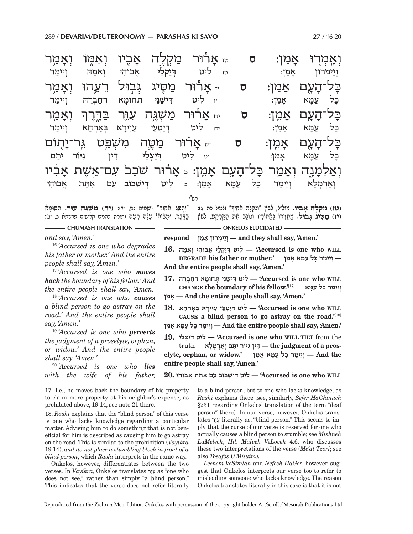| ֹאֲמֵר               | ואמוֹ              | אָבִיו              | מַקְלֶה<br>דִיַקְלִי                | אָר៉וּר<br>ליט                      | טז         | $\overline{\mathbf{U}}$ | <b>אַמֵן:</b>     |                  | <b>יְאָמְרִי</b>   |
|----------------------|--------------------|---------------------|-------------------------------------|-------------------------------------|------------|-------------------------|-------------------|------------------|--------------------|
| וְיֵימַר<br>ٚאָמָר   | וְאִמֵה<br>רֵעֱהוּ | אֲבוּהִי<br>גִּבוּל | מַקִּיג                             | יז אָרו <mark>ו</mark> ר            | טז<br>ס    |                         | ּאֲמֵן:<br>אַמֵן: | כָּל־הָעֶם       | <b>וְיֵימְרוּן</b> |
| וְיֵימַר             | דְחַבְרֵה          | תְּחוּמָא           | דישני                               | יו ליט                              |            |                         | ּאֲמֵן:           | עַמֲא            | בַּל               |
| יִא <sub>ַ</sub> מַר | <u>בֿד</u> יר<br>ה | עִרֵּר              | מַשְׁגֶּה                           | אַרוּר<br>$\mathsf{H}^{\mathsf{h}}$ | D          |                         | אַמֵן:            | הָעָם            | כל־                |
| וְיֵימַר             | בְאָרְחָא          | עַוִּירָא           | דְיַטְעֵי                           | ליט<br>יח                           |            |                         | אַמֵן:            | עַמַא            | כַּל               |
| יתום                 | מִשְׁפֵּט<br>גר־   |                     | מַטֶּה                              | אָרׄוּר<br>יט                       | D          |                         | אַמֵן:            | הָעֲם            | כל־                |
| יִתַּם               | גִיּוֹר<br>דין     |                     | דְיַצְלֵי                           | לִיט<br>יט                          |            |                         | ּאֲמֵן:           | עַמֲא            | כַּל               |
| אבׄיו                | עִם־אֲשֶׁת         |                     | אָמֶן: ∈ אָרוּר שֹׁבֵב <sup>י</sup> |                                     | כָּל־הָעֻם |                         | יִאֲמַר           | <u>ڹؚ؆ڂؚڟڗٞٮ</u> |                    |
| אֲבְוּהִי            | עָם<br>אִתַּת      | דִיִשְׁכּוֹב        | לִיט                                | $\overline{a}$<br>ּאֲמֵן:           | עַמָּא     | כָּל                    | וְיֵימַר          | וְאַרְמְלָא      |                    |
|                      |                    |                     |                                     | רם"י                                |            |                         |                   |                  |                    |

ָ " (לעיל כה, ג): **(טז) מ ְ קֶלה א ִ ביו.** ְמזְלֵז ְ ל, ל ְ שׁוֹן "וִנְקָל ָה אִחיך (יז) מַסִיג גִבוּל. מַחַזִירוֹ לַחַחוֹרֵיו וְגוֹנֶב חָת הַקַרְקַט, לְשוֹן <mark>וּיְהֻפֵּג מָתוֹר" (יש</mark>ִטיה נט, יד): (**יח) <u>מ</u>ִשְׁגֶּה עָוֵר. הַסִּוּמֶת**"<br>בַּדְּבַר, וּמֵשִׂיתוֹ טֻגַּה רָעַה (תורת כהנים קדושים פרשתא ב, יג):

**CHUMASH TRANSLATION CHAULARY CONTRIBUTED ONKELOS ELUCIDATED** 

*and say, 'Amen.'*

<sup>16</sup> *'Accursed is one who degrades his father or mother.' And the entire people shall say, 'Amen.'*

<sup>17</sup> *'Accursed is one who moves back the boundary of his fellow.' And the entire people shall say, 'Amen.'*

<sup>18</sup> *'Accursed is one who causes a blind person to go astray on the road.' And the entire people shall say, 'Amen.'*

<sup>19</sup> *'Accursed is one who perverts the judgment of a proselyte, orphan, or widow.' And the entire people shall say, 'Amen.'*

<sup>20</sup> *'Accursed is one who lies with the wife of his father,* 

**'.Amen ',say shall they and — ְוֵי ְימ ָ רוּן אֵמן respond**

- **WILL who one is Accursed — 'ִל ְ יט דּי ְק ֵל ֲ י א ִבוּה ְ י ו ִאֵמּהּ 16. — ְוֵי ימ ָר כּ ל עָמּ ָא אֵמן '.mother or father his DEGRADE And the entire people shall say, 'Amen.'**
- **WILL who one is Accursed — 'ִל ִ יט דּ ישֵׁנּ ְ י תּ ָחוּמ ְא דח ְבֵרהּ 17. PHANGE** the boundary of his fellow.<sup>'[17]</sup> וְיֵימֵר כִּל עֲמֵא **מןֵאָ — And the entire people shall say, 'Amen.'**
- **WILL who one is Accursed — 'ִל ְ יט דּי ְטֵע י עִוּ ָיר ְא בָּאְר ָחא 18. CAUSE a blind person to go astray on the road.'**[18] **'.Amen ',say shall people entire the And — ְוֵי ימ ָר כּ ל עָמּ ָא אֵמן**

**19. ליֵצְ ידּ יט ְ לִ' — Accursed is one who WILL TILT** from the truth – דִּין גִּיּוֹר יִהַּם וְאַרְמְלָא – the judgment of a pros-<br>פְיִימַר בָּל עַמָּא אָמֵן – And the – וְיֵימֵר בִּל עַמָּא אָמֵן **entire people shall say, 'Amen.'**

 **WILL who one is Accursed — 'ִל ְ יט דִּי ְשׁ ִ כּוֹב ע ִם אתּ ֲת א ִבוּהי 20.**

17. I.e., he moves back the boundary of his property to claim more property at his neighbor's expense, as prohibited above, 19:14; see note 21 there.

18. *Rashi* explains that the "blind person" of this verse is one who lacks knowledge regarding a particular matter. Advising him to do something that is not beneficial for him is described as causing him to go astray on the road. This is similar to the prohibition (*Vayikra* 19:14), *and do not place a stumbling block in front of a blind person*, which *Rashi* interprets in the same way.

Onkelos, however, differentiates between the two verses. In *Vayikra,* Onkelos translates וּרֵעִ as "one who does not see," rather than simply "a blind person." This indicates that the verse does not refer literally to a blind person, but to one who lacks knowledge, as *Rashi* explains there (see, similarly, *Sefer HaChinuch* §231 regarding Onkelos' translation of the term "deaf person" there). In our verse, however, Onkelos translates וּרֵעִ literally as, "blind person." This seems to imply that the curse of our verse is reserved for one who actually causes a blind person to stumble; see *Mishneh LaMelech*, *Hil. Malveh VeLoveh* 4:6, who discusses these two interpretations of the verse (*Me'at Tzori*; see also *Tosafos U'Miluim*).

*Lechem VeSimlah* and *Nefesh HaGer*, however, suggest that Onkelos interprets our verse too to refer to misleading someone who lacks knowledge. The reason Onkelos translates literally in this case is that it is not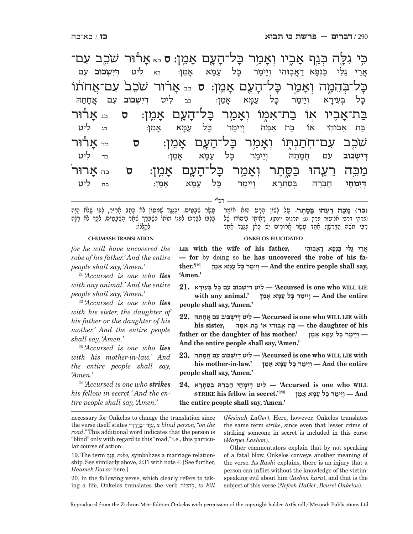| ּבִּי גִלֶּה בְּנַף אָבְיו וְאָמַר בָּל־הָעֶם אָמֵן: ס מּאָלוּר שֹׁבֶב עִם־<br>דישכוב עם | <sub>כא</sub> לִיט      |                             | ּאַמֵן:               |               | וְיֵימַר כָּל עַמָּא                                                    |                               | כַּנְפָא דַאֲבְוּהִי | גַלְי              | אַרִי                |
|------------------------------------------------------------------------------------------|-------------------------|-----------------------------|-----------------------|---------------|-------------------------------------------------------------------------|-------------------------------|----------------------|--------------------|----------------------|
| בָּל־בְּהֵמֶה וְאָמַר בָּל־הָעֶם אָמֶן: ס בּ אָרוּר שֹׁבֵב עִם־אֲחֹתוֹ<br>אַחֲתַה<br>עָם | דישכוב                  | כב לִיט                     |                       |               | וְיֵימַר כָּל עַמָּא אָמֵן:                                             |                               |                      | בִּעִירָא          | בֵּל                 |
| <sub>כג</sub> אַרויר<br>כג לִיט                                                          | $\overline{\mathbf{U}}$ | אָמֵן:                      | עַמַא                 | וְיֵימַר בָּל | בַּת־אָבֶיוּ אָוֹ בַת־אִמֶּוֹ וְאָמַר כָּל־הָעֶם אָמֵן:<br>אָמֶה $\sim$ |                               | בַת                  | אֲבוּהִי אוֹ       | בַּת                 |
| <sub>כד</sub> אֲר <sup>וּ</sup> וּר<br>ליט<br>כד                                         | $\blacksquare$          | <b>ֹאַ</b> ֲמֶן:<br>ּאַמֵן: |                       | עַמַא         | שֹׁבֶב עִם־חְתַנְתֶּוֹ וְאָמַר בָּל־הָעֶם<br>חֲמָתֵה וְיֵימַר בָּל      |                               |                      | עם                 | דִיִשְׁכּוֹב         |
| ֿנה אֲרוּר<br>ליט<br>כה                                                                  | D                       | <b>ֹאַמֵן:</b><br>ּאַמֵן:   | ּבָּל־הָעֲם<br>עַמָּא |               | <b>יְאָמַר</b><br>וְיֵימַר בָּל                                         | <u> כ</u> ֿם מֹ<br>בְּסִתְרָא |                      | רֵעֻהוּ<br>חַבְרֵה | מַכֵּה<br>דִיִּמְחֵי |
|                                                                                          |                         |                             |                       | רם"י          |                                                                         |                               |                      |                    |                      |

**(כד) מֵ כּ ֵ ה רֵעהוּ בּ סֶּ תר.** ע ָ ל ל ָ שׁוֹן הָר ֵ ע הוּא אוֹמר (פרקי דרבי אליעזר פרק נג; תרגום יונתן). רָאִיתִי בִּיסוֹדוֹ שֵׁל ְרַבִּי מִשָׁה הַדַּרְשָׁן: מָֿחֲד עָשָׂר אֱרוּרִים יֵשׁ כָּתוֹ כִּנֶגֵד מַתַּד ִ לֹפִי שַׁבֹּטיִם. וּכִנְגֵד שָׁמְּטוֹן לֹא כתְב ארוּר, לִפִּי שָׁלֹּא הִיה ֖֖֖֖֪֪֚֚֚֚֚֚֚֚֚֚֚֚֚֚֚֚֚֝֝֝֝֝֝֝֝<del>֟</del> ַבְּלְבּוֹ לְבָרְכוֹ לִפְנֵי מוֹתוֹ כְּשָׁבֵרֶךְ שְׁמָר הַשְּׁבָּמִים, לְכָךְ<br>בְּלְבּוֹ לְבָרְכוֹ לִפְנֵי מוֹתוֹ כְּשֶׁבֵּרֵךְ שְׁמָר הַשְּׁבָּמִים, לְכָךְ

### **CHUMASH TRANSLATION ONKELOS ELUCIDATED**

*for he will have uncovered the robe of his father.' And the entire people shall say, 'Amen.'*

<sup>21</sup> *'Accursed is one who lies with any animal.' And the entire people shall say, 'Amen.'*

<sup>22</sup> *'Accursed is one who lies with his sister, the daughter of his father or the daughter of his mother.' And the entire people shall say, 'Amen.'*

<sup>23</sup> *'Accursed is one who lies with his mother-in-law.' And the entire people shall say, 'Amen.'*

**ֲאֵר י ג ִלּ י כְּנָפ א דֲא ִבוּהי ,father his of wife the with LIE — for** by doing so **he has uncovered the robe of his father.'**[19] **מןֵא אָ מָּע ל כּ רָ ימ יֵוְ — And the entire people shall say, 'Amen.'**

**LIE WILL who one is Accursed — 'ִל ְ יט דִּי ְשׁ ִ כּוֹב ע ָם כּ ְל בּ ִע ָירא 21. entire the And — ְוֵי ימ ָר כּ ל עָמּ ָא אֵמן '.animal any with people shall say, 'Amen.'**

 **with LIE WILL who one is Accursed — 'ִל ְ יט דִּי ְשׁ ִ כּוֹב ע ֲם אָחֵתהּ 22. his sister,** אבוהי אוֹ בת אמה — the daughter of his **— ְוֵי ימ ָר כּ ל עָמּ ָא אֵמן '.mother his of daughter the or father And the entire people shall say, 'Amen.'**

 **with LIE WILL who one is Accursed — 'ִל ְ יט דִּי ְשׁ ִ כּוֹב ע ֲם חָמֵתהּ 23. entire the And — ְוֵי ימ ָר כּ ל עָמּ ָא אֵמן '.law-in-mother his people shall say, 'Amen.'**

 **WILL who one is Accursed — 'ִל ְ יט דִּי ְמֵח י ח ְבֵר ְ הּ בּ ִס ְתָרא 24. And** – ויימר כּל עמא אמן [20]<br>**And** – ויימר כל עמא אמן **the entire people shall say, 'Amen.'** <sup>24</sup> *'Accursed is one who strikes his fellow in secret.' And the entire people shall say, 'Amen.'*

necessary for Onkelos to change the translation since the verse itself states " יַבְּדֶּרֵךְ *a blind person, "on the road*." This additional word indicates that the person is "blind" only with regard to this "road," i.e., this particular course of action.

19. The term בְּנַף, robe, symbolizes a marriage relationship. See similarly above, 2:31 with note 4. [See further, *Haamek Davar* here.]

20. In the following verse, which clearly refers to taking a life, Onkelos translates the verb הכּוֹת
לְ , *to kill* 

(*Nesinah LaGer*). Here, however, Onkelos translates the same term *strike*, since even that lesser crime of striking someone in secret is included in this curse (*Marpei Lashon*).

Other commentators explain that by not speaking of a fatal blow, Onkelos conveys another meaning of the verse. As *Rashi* explains, there is an injury that a person can inflict without the knowledge of the victim: speaking evil about him (*lashon hara*), and that is the subject of this verse (*Nefesh HaGer*, *Beurei Onkelos*).

Reproduced from the Zichron Meir Edition Onkelos with permission of the copyright holder ArtScroll / Mesorah Publications Ltd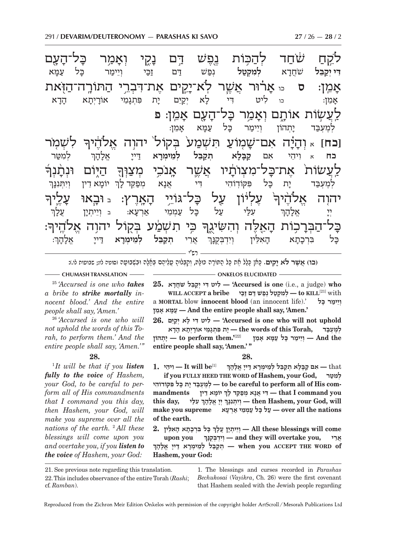רש"י לֹקֵחַ שֹׁחַד לְהַכִּוֹת נֶפֶשׁ דַּם נָקֶי וְאָמַר כָּל־הָעָם אָמֶן: ס כּו אָרוּר אֲשֶׁר לֹא־יָקֵים אֶת־דִּבְרֵי הַתּוֹרֶה־הַזֻּאת עוֹת אוֹתם ואמר כּל־העם אמן: פ .<br>ה לִשְׁמָ*ׂר* **ַ [כח]** א וְהָיָה אִם־שָׁמְוֹעַ תִּשְׁמַע בְּקוֹל<sup>י</sup> יהוְה אֱלֹהֶיך ֘֝ ŕ. ּוֹ הַיְּוֹם וּנְהָ**נְ**ךָ .<br>ה לַעֲשׂוֹת אֶת־כָּל־מִצְוֹתָ֫יו אֲשֶׁר אֲנֹכִי מְצַוְּךָ .<br>ה ּעָלְיֹוֹן עַל כָּל־גּוֹיֵי הָאָרֶץ: בּוּבָאוּ עָלֶיך .<br>ก' יהוה .<br>'न ֶךָ כִּי תִשְׁמַע בְּקוֹל יהוָה אֱלֹהֶי<sup>ֹ</sup>ךָ ה והשיגר דִי יְקַבֵּל שֹׁחֲדָא לְמִקְטַל נְפַשׁ דַּם זַכֵּי וְיֵימַר כָּל עַמָּא אָמֵן: כּוּ לִיט דִּי לָא יְקַיֵּם יָת פִּתְגָמֵי אוֹרָיְתָא הָדָא לְמֶעְבַּד יָתְהוֹן וְיֵימַר כָּל עַמָּא אָמֵן: ֧֧֧֦֧֢ׅ֧֦֧֧֦֧ׅ֧֚֝֝֬֝֬֜֓֓<u>֚</u> לִמְטַר **כח** <sup>א</sup> ִו ֵיה ִ י אם **ק בּ ל ְ א תקֵ בּ ְ ל לֵמ ְימר א** דּ' יי ֱ אל ה ך ֖֖֖֖֖֖֧֧ׅ֧֧֖֪֪֪ׅ֖֧֚֚֚֚֚֚֚֚֚֚֚֚֚֚֚֚֚֚֝֟֓֡֞֝֬֓֞֟֓֡֓֓֞֟֓֡֟֓֡֟֓֡֓֞֓֝֬֝֓֞֞֓֝֬ ֧֧֧֢ׅ֧֚֝<u>֓</u> יוֹמא לְמֶעְבַּד יָת כָּל פִּקּוֹדְוֹהִי - דִּי - אֲנָא מְפַקֵּד לָךְ ׇׅ֧֧֧֦֧֢ׅ֧֓֝֬֓֓֓֓<u>֚</u> ׇׅ֧֧֧֦֧֢ׅ֧֓֝֬֓֓֓֓<u>֚</u> עִלַּי עַל כָּל עַמְמֵי אַרְעָא: <sub>ב וְ</sub>יֵיתְיָן עֲלָךְ יִי אֱלָהָך אלהר: ְ ֲאֵרי **ְתקֵ בּ ְ ל לֵמ ְימר א** דּ' יי ֱ אל ה ך ּכָּל בִּרְכָּתָא הָאִלֵּין וִיִיִדִּכְּנְּנְךְ

**ֲ (כו) א ֶשׁר לֹא י ִ קים.** ָכּ ָ אן כּל ֶ ל א ָת כּל ה ָ תּוֹר ָ ה כּוּלּ ְהּ, וִקְבּ ָלוּה ֲ עֵל ֶיה ְם בָּאָל ִ ה וּבְשׁ ָבוּעה (סוטה לז:; שבועות לו.):

<sup>25</sup> *'Accursed is one who takes a bribe to strike mortally innocent blood.' And the entire people shall say, 'Amen.'*

<sup>26</sup> *'Accursed is one who will not uphold the words of this Torah, to perform them.' And the entire people shall say, 'Amen.' ''*

# **28.**

<sup>1</sup>It will be that if you **listen** *fully to the voice of Hashem, your God, to be careful to perform all of His commandments that I command you this day, then Hashem, your God, will make you supreme over all the nations of the earth.* <sup>2</sup>  *All these blessings will come upon you and overtake you, if you listen to the voice of Hashem, your God:*

**CHUMASH TRANSLATION CHUMASH TRANSLATION CHUMASH TRANSLATION** 

 **who**) judge a .,e.i(**one is Accursed — 'ִל ִ יט דּ ְ י יקֵבּל שֲֹׁחָדא 25.** with] 21[**KILL to — ְל ִמ ְקט ְל נפ שׁ דּ ם זכּי bribe a ACCEPT WILL** a **MORTAL** blow **innocent blood** (an innocent life).' **כּל רָ ימ יֵו ְ מןֵא אָ מָּע — And the entire people shall say, 'Amen.'**

 **uphold not will who one is Accursed — 'ִל ִ יט דּ ָ י ל ְא יקֵיּם 26. ְ לֶמ ְעבּד ,Torah this of words the — ָי ִת פּ ְתָגֵמ ָ י אוֹרְיָת ָא הָדא the And — ְוֵי ימ ָר כּ ל עָמּ ָא אֵמן** [22]**'.them perform to — ָי ְתהוֹן entire people shall say, 'Amen.' "**

### **28.**

**1. יהיֵ וִ — It will be**[1] **ְ** that **— ִא ם ק ָבּ ָל ְא תקֵבּ ְל לֵמ ְימָר א דּ ָיי ֱ אָל ָהך**  $\mathbf{if}$  you FULLY HEED THE WORD of Hashem, your God, למטר **ְ ָ יוֹמ ֵא דין mandments- you command I that — ִדּ ֲ י אָנ ְא מפֵקּ ָד לך com His of all perform to careful be to — ְלֶמ ְעבּ ָד י ָת כּ ִל פּ ִ קּוֹדוֹהי ְ**this day, **ְ·** יִיְהְּנִנְךְ יִיָ אֵלְהָךְ — then Hashem, your God, will  **nations the all over — ע ָל כּ ל ע ְמֵמ י אְרָעא supreme you make of the earth.**

**ְ ָ כּ ִל בְּרָכָת ָא ה ִאֵלּין 2. come will blessings these All — ְוֵי ְיתָי ֲ ן ע ָלך upon you ְ and they will overtake you,** אֵרִי  **of WORD THE ACCEPT you when — ְתקבּ ְ ל לֵמ ְימָר א דּ ָיי ֱ אָל ָהך Hashem, your God:**

21. See previous note regarding this translation. 22. This includes observance of the entire Torah (*Rashi*; cf. *Ramban*).

1. The blessings and curses recorded in *Parashas Bechukosai* (*Vayikra*, Ch. 26) were the first covenant that Hashem sealed with the Jewish people regarding

Reproduced from the Zichron Meir Edition Onkelos with permission of the copyright holder ArtScroll / Mesorah Publications Ltd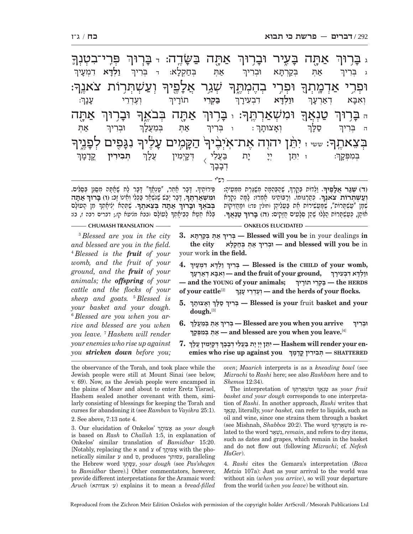רש"י ֚֘ .<br>ก. ְפְּרְי־בִטְנְךָ י <mark>א</mark>ַתֶּה בַּשָּׂדֶה: <sub>י</sub> בָּרְוּךְ י <mark>א</mark>ַתָּה בָּעֶיר וּבָרִוּךְ ג בּ֥ רוּך .<br>:न .<br>ก' ֿוְעַשְׁתְּרוֹת צֹאנֶך .<br>ล. שגו ֿ וּפְרָי בְהֶמְתֶּך .<br>ล. <mark>ױפְרִי אַדְ</mark>מֶתְךָ ַ<br>א<sub>ִ</sub>תֶּה ּה<br>רׁ וּבָרוּך אהה .<br>ล. : ו בּ֥ רוּך ֿ וּמִשְׁא<mark>ַ</mark>רְהֶך .<br>ล. ַ<br>יֹ טַנְאַךָ <mark>ה בָּ</mark>רְוּך .<br>ה .<br>ה' **ׁ נִגָּפֶים לְפָנ**ֶיְךָ הַקַמים .<br>ה .<br>ล ששי ז **יהון יהוה או**  $\mathbf x$ <mark>ָ</mark>בָצאתֶך ׇ֦֧֧֢ׅ֖֧֚֝<u>֓</u> ׇ֦֧֧֖֖֖֖֖֖֖֧ׅ֧֧֚֚֚֚֚֚֚֚֚֚֚֚֚֚֝֬֝֓֡֓֓֞֟֓֡֓֓֞֡֓֡֡֬֓֞֡֓֞֓֡֡֬֝֬ **וַלְדָא** דִמְעָיך ֧֧֧֦֧֢ׅ֖֖֖֖֖֧֚֚֚֚֚֚֝֝<u>֚</u> אַתְּ בְּחַקְלָא: ד בְּרִיךְ ֦֧֖֖֖֖֖֖֖֧֧֧֦֧֧֧֚֚֚֚֚֚֚֚֚֚֚֚֚֚֚֚֚֚֬֝֓֞֟֓֟֓֡֬֓֓֞֓֝֬֓֝֬֝֓֞֝֬֝֬ אַתְּ בְּקַרְתָּא וּבְרִיךְ <sup>ג</sup> ְבִּריך ...<br>יְעֶדְרֵי עָנָךְ: ׇׅ֧֧֧֦֧֦֧֦֧֦֧֓֝֬ ֖֖֖֧֧ׅ֧֧֧֧֧֧֧֚֚֚֚֚֚֚֚֚֚֚֚֚֚֚֚֚֚֚֝֝֓֝֬֝֓֞֝֬֝֬֝֓֝֬֝֓֝֬֝֬֝֬֝֬֝֬ **בַּקְרֵי** תוֹרַיךִ ֧֧֧֦֧֢ׅ֧֦֧֧֦֧ׅ֧֚֝֝֬֝֬֜֓֓<u>֚</u> **וּוַלְדָא דִבְעִירֶ**ךְ ֿוְאַבָּא דְאַרְעָך ֧֧֧֢ׅ֧֚֝<u>֓</u> את ֖֖֖֖֧֧֖֧֧֧֧֧֚֚֚֚֚֚֚֚֚֚֚֚֚֚֚֚֚֚֚֝֝֓֝֬֝֓֞֝֬֝֓֞֝֬֝֓֝֬֝֬֝֓֓֝֬֝֓֝֬ ְוּבִריך ׇ֦֧֖֖֖֖֖֖֧ׅׅׅ֧֚֚֚֚֚֚֚֚֚֚֚֚֚֚֚֚֚֚֚֝֝֡֓֓֡֓֞֓֡֞֓֡֡֓֞֡֡֓֞֡֓֞֡֓֞֡֓֞֡֓֞֬ את יִ : יִ יִ<br>י בְּרִיךְ ֧֧֧֦֧֢ׅ֖֖֖֖֖֧֚֚֚֚֚֚֝֝<u>֚</u> אצוּתר ׁ ֦֧֖֖֖֖֖֖֖֖֖֧ׅ֧֧֧֧֧֧֧֧֧֧֧֚֚֚֚֚֚֚֚֚֚֚֚֚֚֚֝֬֝֓֟֓֟֓֞֟֓֡֬֓֓֞֓֝֬֝֓֞֓֝֬֝֬֝֬֝֬֝֬֝֬֝֬֝֬֝֬ פַלְנִ <sup>ה</sup> ְבִּריך ֧֧֧֖֖֖֖֖֖֧֚֚֚֚֚֚֚֝֝֬<u>֚</u> ׇׅ֧֧֧֦֧֦֧֦֧֦֧֓֝֬ **ְתּ ִב ִירין** ֳקד מ ך ד**ַקיִמִין** ֧֧֧֦֧֢ׅ֧֦֧֧֦֧ׅ֧֚֝֝֬֝֬֜֓֓<u>֚</u> : ז יָתֵן יְיֵי יָת  $\overline{\langle}$ דִבְךָ בְּמִ**פְקָך** 

ָפֵּירוֹתֶיךָ. דָּבָר <u>אֲתָ</u>ר, "טַנְאֲךָ" דָּבָר לַח שָׁאַפֶּה מְסַמֵּ בְּסֵלִּים.<br>**וּמִשׁאַרִתְּךְּ, דִּבַר יִבֹשׁ שַׁנִּשְׁא**ָר בִּכְּלֵי וּאִינוֹ זְּבַּ: (וֹ) בְּרוּוּךְ אַתְּה ָ**ָ**יִפְרוּ יִדְּיִ יְפְרוֹ זָבֶּי יִדְיִם עֲלִי יִחְשָׁיִן וּ יִצְרוּ יִחְלְיָנוֹ זְבֵי (ו) בְּרוּךְ ָוּנִשְׁאַוְ וֶגְן*ּי, וָּצֶי יֶצֶע יֶצֶע יֶצְיִי וְיָצֶי* וְעִיּט יְּכִּ. (ו) צְּוּ וּוְ אַנְיָנוּ<br>בּבֹאר וּברוּר אתה בצאתר. ספסת יִימִק מו הטוֹלס **ָ**ָקְּבְיֹ<sub>לָ</sub>הְ יִתְּיֹיִתְ יִתְּיֹתָה קָבְּיִתְּיֹ עֲלָיָהָ וְאָעֶיִּתְ עָבוֹצָב.<br>בַּלֹח קַטְת כַּבִיאָתֶךְ לְטַוֹלָם (בַּבֹּא מִיִּיְטַא קז.: דְּבַרִים רִבְּה ז. בּ):

ָ ֶ , שׁהְ בֵּהָמ ְ ה משֶׁ גֶּר ִ ת מֵמֶּע ָיה: **.** וְל ְ דוֹת בָּקְרך **ְ (ד) שׁג ֲ ר אלֶ פיך ָָ .** ְכּתְ ר ְ גּוּמוֹ. ור ֵ בּוֹת ָ ינוּ אְמ ָ רוּ: לָמּ ִ ה נְקָרא **ְוע ְ שׁ ְתּרוֹת צֹ ֶאנך ָ**שְׁמָן "עַשְׁתַּרוֹת", שָׁמַּעֲשִׁירוֹת אֶת בַּעֲלֵיהֶן (חולין פד:) וּמַחֲזִיקוֹת ַ *יְטֶן - שַׁמְעֲרוֹת , שֶׁמַּ*עֲשִׂי*רוֹת עֶוֹר פַּעֲצֵי*ָ) ווחלן פוֹ זו הַעֲנֵדְיִקְוֹי<br>חוֹסוֵ, כּעשׁתּרוֹס הַלֹּלוּ שַׁהוּ סוֹטֵיס חַזְקיס: (**ה) בּרוּךְ טַנַאַךְ** 

### **CHUMASH TRANSLATION ONEXAMELY ARRIVATED ONKELOS ELUCIDATED**

3  *Blessed are you in the city and blessed are you in the field.*  4  *Blessed is the fruit of your womb, and the fruit of your ground, and the fruit of your animals; the offspring of your cattle and the flocks of your sheep and goats.* <sup>5</sup>  *Blessed is your basket and your dough.*  6  *Blessed are you when you arrive and blessed are you when you leave.* <sup>7</sup>  *Hashem will render your enemies who rise up against you stricken down before you;* 

- **ְ א ְתּ ְ בּקְרָתּא 3. ריךִבְּ — Blessed will you be** in your dealings **in ְ א ְתּ ְ בּח ְק ָלא city the ריךִוּבְ — and blessed will you be** in your work **in the field.**
- **4. ְ ו ְלָדּ ִא ד ְמָעיך ריךִבְּ — Blessed is the CHILD of your womb, ְ ְְ ,ground your of fruit the and — ְו ִאָבּ ְא דאְרָעך וּו ְלָדּ ִא ד ְב ִע ָירך — and the YOUNG of your animals; ְ HERDS the — בּ ְקֵר ָ י תוֹריך of your cattle**[2] **ְ .flocks your of herds the and — ְוֶעְדֵר ָ י עָנך**
- **5. ְ ְ וָא ָצוּתך ס ָלּך ריךִבְּ — Blessed is your** fruit **basket and your ְְdough.**[3]
- **6. ְ א ְתּ ְ בֵּמֲע ָלך ריךִבְּ — Blessed are you when you arrive ְ ְ ְ וּבִריך ְקךָפְּ מִ בּ ְ תְּ א — and blessed are you when you leave.**[4]
- **7.**  $\frac{1}{2}$  יְתֵּן יְיָ יָת בַּעֲלֵי דְּבָבְךְּ דְּקִיְמִין עֵלְךְּ Tashem will render your en **ְְyou against up rise who emies-SHATTERED — ְתּ ִב ִיר ֳ ין קָדָמך**

the observance of the Torah, and took place while the Jewish people were still at Mount Sinai (see below, v. 69). Now, as the Jewish people were encamped in the plains of Moav and about to enter Eretz Yisrael, Hashem sealed another covenant with them, similarly consisting of blessings for keeping the Torah and curses for abandoning it (see *Ramban* to *Vayikra* 25:1). 2. See above, 7:13 note 4.

3. Our elucidation of Onkelos' ְ צוּתך א as *your dough* is based on *Rash* to *Challah* 1:5, in explanation of Onkelos' similar translation of *Bamidbar* 15:20. [Notably, replacing the א and צ of ְ צוּתך א with the phonetically similar ע and ס, produces עסותך, paralleling the Hebrew word תךְ סּעִ , *your dough* (see *Pas'shegen* to *Bamidbar* there).] Other commentators, however, provide different interpretations for the Aramaic word: Aruch (ע׳ אצוותא) explains it to mean a *bread-filled*  *oven*; *Maarich* interprets is as a *kneading bowl* (see *Mizrachi* to *Rashi* here; see also *Rashbam* here and to *Shemos* 12:34).

The interpretation of ִ וּמ ְשׁ
אְרֶתּך  *fruit your* as טְנֲאך l *basket and your dough* corresponds to one interpretation of *Rashi*. In another approach, *Rashi* writes that אךֲנְט , literally, *your basket,* can refer to liquids, such as oil and wine, since one strains them through a basket (see Mishnah, *Shabbos* 20:2). The word תּךֶרְא
שְׁ מִ is related to the word אר
שְׁ נִ, *remain*, and refers to dry items, such as dates and grapes, which remain in the basket and do not flow out (following *Mizrachi*; cf. *Nefesh HaGer*).

4. *Rashi* cites the Gemara's interpretation (*Bava Metzia* 107a): Just as your arrival to the world was without sin (*when you arrive*), so will your departure from the world (*when you leave*) be without sin.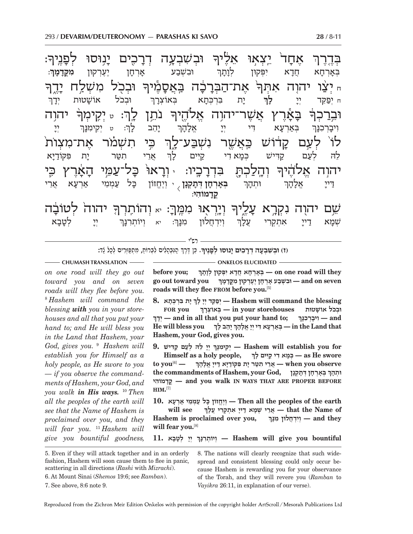: .<br>ก' וּבְשִׁבְעָה דְרָכֶים יָנְוּסוּ לְפָגֶיךָ ְאָחָד*ֶ* יִצְאָוּ אָלֶיךָ ְבּד9ֶ רך .<br>ה ַ<br>אֶת־הַבְּרָבָה בַּאֲסָמֶי<sub>ּ</sub>ך וּבְכָל מִשְׁלַַח יָדֶךְ .<br>ล. יהוה  $\overline{\mathsf{m}}$ וה .<br>ה ׅ֧֧֖֖֖֧ׅׅׅׅ֧֧֧֚֚֚֚֚֚֚֚֚֚֚֚֚֚֚֚֚֚֚֚֓֝֝֡֓֓֓֡֟֓֡֟֓֡֬֓֓֞֝֓֞֝֬֝֬ ּט **יְקְיַמְךָ** : ָ בָּאֶרֶץ אֲשֶׁר־יהוָה אֱלֹהֶיךָ נתו .<br>ก וּב<u>ֵר</u>כְךָ בִּי תִשְׁמֹר אֶת־מִצְוֹת לוֹ לְעַם קָדוֹשׁ כַּאֲשֶׁר נִשְׁבַע־לֶךְ .<br>ה' וְהֶלַכְהָ בִּדְרָכְיו: יִוְרָאוּׂ כָּל־עַמֵּי הָאָרֶץ כִּי יהוָה אֱלֹדֶ֫יךִ יהוה יְרֵאָוּ מִמֶּךְ: <sub>יא</sub> וְהוֹתְרְךָּ .<br>ก' שֵׁם יהוָה נִקְרָא עָלֶיךָ $\ddot{w}$ **מקדמר:** ֦֧֧֖֖֖֖֖֖֖֧֧֖֧֧֧֖֧֧֧֚֚֚֚֚֚֚֚֚֚֚֚֚֚֚֚֝֬֝֓֞֟֓֟֓֝֬֝֓֞֝֬֓֝֬֝֓֝֬֝֬ ִוּב ְשׁב'ע אְ רח ֶ ן יֶעְרקוּן **ִמֳקּד מ ך** בְּאָרְחָא חֲדָא יִפְּקוּן לְוָתָךְ ׅ֖֖֧֧֧֧֧֧֧ׅ֧֧֧֧֧֧֧֧֧֧֧֧֧֚֚֚֚֚֚֚֚֚֚֚֚֚֚֚֚֚֚֚֚֚֚֚֚֓֝֓֝֬֝֬֝֓֝֬֝֓֝֬֜֓֓֝֬֝֓֝֬֝֬֝֬֝֬֝֬֝֬֝֬֝֬ ֧֧֧֦֧֢ׅ֧֦֧֧֦֧ׅ֧֚֝֝֬֝֬֜֓֓<u>֚</u> אוֹשַטוּת יִדַר **ְ**יַת בִּרְכִּתַא בִּאוֹצְרַךְ <sup>ח</sup> ְיפֵ' קּ ְ ד יי **ל ך** ְי<br>י ֧֧֧֢ׅ֧֚֝<u>֓</u> ָ: ט יְקִימִנ<sub>ָּ</sub>ךְ ׇׅ֧֧֧֦֧֢ׅ֦֧֦֧ׅ֧֓֝֬֓֓֓֡֜֓֓֡֬֓֓<u>֚</u> יַהב ׇׅ֧֧֧֦֧֢ׅ֦֧֦֧ׅ֧֓֝֬֓֓֓֡֜֓֓֡֬֓֓<u>֚</u> יי אֱלָהָן **וִיבָרְכִנָּ**ךְ ׇׅ֧֧֧֦֧֢ׅ֦֧֦֧ׅ֧֓֝֬֓֓֓֓֡֜֓֓<u>֚</u> ָאֵרִי תִט<del>ּ</del>ַר יַת פִּקּוֹדַיַּא ָ' הַדִּישׁ כּמא די קיּים **ַ בְּאָרְחָן דְּתָקְנָן ( יְיֶחֶזוֹן כָּל עַמְמֵי אַרְעָא אֲרֵי** ֧֧֧֢ׅ֧֚֝<u>֓</u> **ֳקד ִ מוֹהי**: ֧֧֧֢ׅ֧֚֝<u>֓</u> וּתְהַךְ  $\mathbf{r}$ ֧֧֧֧֦֧֦֧֚֝֝֬<u>֓</u> יִי לְטָבָא ְּמִנַּךְ: יא וְיוֹתִרְנָּךְ ְוִיִּדְחֲלוּן שמא

> ְ הִ נּ ְבָהִל ִ ים ל ְב ַרוֹח ִ , מ ְתפְּ זִּר ְ ים לָכל צד: **.** ֵכּ ֶ ן דֶּרך **ְ (ז) וּב ִשׁ ְבע ְ ה דר ִ כים י ְ נוּסוּ לפֶ ניך ָ**רש"י

**CHUMASH TRANSLATION - CHUMASH TRANSLATION - CHUMASH** *on one road will they go out toward you and on seven roads will they flee before you.*  8  *Hashem will command the blessing with you in your storehouses and all that you put your hand to; and He will bless you in the Land that Hashem, your God, gives you.* <sup>9</sup>  *Hashem will establish you for Himself as a holy people, as He swore to you — if you observe the commandments of Hashem, your God, and you walk in His ways.* <sup>10</sup> *Then all the peoples of the earth will see that the Name of Hashem is proclaimed over you, and they will fear you.* <sup>11</sup> *Hashem will give you bountiful goodness,* 

**before you; ְ they will road one on — ְבָּאְר ָח ֲא חָד ִא י ְפּ ְ קוּן לָוָתך go out toward you ְ seven on and — ִוּב ְשׁב ָע אְר ָח ֶן יֶעְר ִ קוּן מֳקָּדָמך roads will they flee FROM before you.**[5]

**ְ ָ י ִת בְּר ְכָּתא 8. blessing the command will Hashem — ְיפֵקּ ְד יָי ָ לך FOR you ְ ְ ְ וּב ֹכ ָ ל אוֹשׁטוּת storehouses your in — ְבּ ְאוֹצָרך דךָיְ — and in all that you put your hand to; ְ and — ִו ָיבְר ִכָנּך He will bless you ְ ָ יֵה ָב לך that Land the in — ְבּאְרָע ִא דּ ְי יָי ֱ אָל ָהך ְHashem, your God, gives you.**

**ְ ְ יָי ֵ ל ְ הּ לע ם קִדּישׁ 9. נּךָימִ קִ יְ — Hashem will establish you for Himself as a holy people, ְ swore He as — ְכָּמ ִא ד י קִיּ ָ ים לך**  $\mathbf{to}$  you<sup>[6]</sup>  **observe you when — ֲאֵר ִ י תטּ ָר י ִת פּ קּוֹדָיּ א דּ ָיי ֱ אָל ָהך ְ** $\boldsymbol{\epsilon}$  **וּתְהִךְ בְּאִרְחָן דְּתִקְנַן ,God your God**  $\boldsymbol{\epsilon}$  **, וּתְהִךְ בִּאִרְחָן**  $\boldsymbol{\epsilon}$ **מוֹהיִ דָקֳ — and you walk IN WAYS THAT ARE PROPER BEFORE HIM.** [7]

 **10.** יְיֵחֵזוֹן כִּל עַמְמֵי אַרְעָא — Then all the peoples of the earth **will see ְ of Name the that — ֲאֵר ְ י שָׁמ א ד ָיי ִ א ְת ְקִר ֲ י ע ָלך Hashem is proclaimed over you, ְ they and — ְוִיְדֲח ִ לוּן מָנּך will fear you.**[8]

**ְְ יָי ְ לָטָבא 11. נּךָרִיוֹת ְ וְ — Hashem will give you bountiful** 

5. Even if they will attack together and in an orderly fashion, Hashem will soon cause them to flee in panic, scattering in all directions (*Rashi* with *Mizrachi*). 6. At Mount Sinai (*Shemos* 19:6; see *Ramban*). 7. See above, 8:6 note 9.

8. The nations will clearly recognize that such widespread and consistent blessing could only occur because Hashem is rewarding you for your observance of the Torah, and they will revere you (*Ramban* to *Vayikra* 26:11, in explanation of our verse).

Reproduced from the Zichron Meir Edition Onkelos with permission of the copyright holder ArtScroll / Mesorah Publications Ltd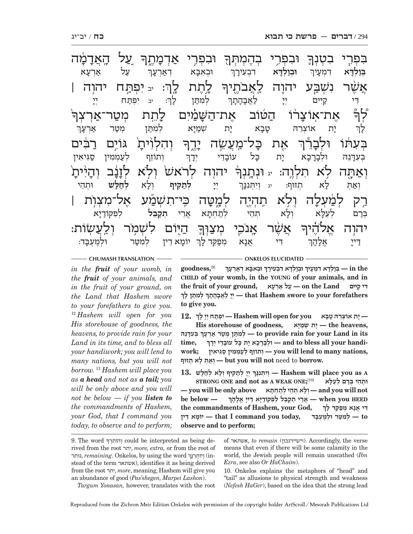| האַדמַה<br>אַרְעָא       | <u>ע</u> ל<br>עַל | <u>א</u> ֹדְכָּוֹהֱךָ<br>דְאַרְעָךָ | וּבִפְרָי<br>וּבְאִבָּא      |                 | ڂڷڗۻڶڐ<br>דִּבְעִירָךְ | וּבִפְרֶי<br>וּבְוַלְדָא                    | בִטְנְךֵ<br>דִמְעָיך                                   | בפרי<br>בולדא    |
|--------------------------|-------------------|-------------------------------------|------------------------------|-----------------|------------------------|---------------------------------------------|--------------------------------------------------------|------------------|
| יהוה                     | יִפְהַח           | ל <sup>ֹן</sup> נ׃<br>יב            | לתת                          |                 | <u>לְא</u> ָבֹהֱיךִ    | יהוֶה                                       | <b>ָ</b> נִשְׁבַּע                                     | אֲשֶׁר           |
| לל<br>ד                  | יִפְתַח           | לְךָ: יִב                           | לְמִתַּן                     |                 | לַאֲבָהָתָך            | לל<br>ד                                     | קיִים                                                  | דִי              |
| מִטַר־אַרִצְךָ           |                   | לְתֹע                               |                              |                 |                        |                                             | לְךָּ אֶת־אִוֹצָרוֹ הַטֹּוֹב אֶת־הַשָּׁמַ <u>֫</u> יִם |                  |
| אַרְעָך                  | מְטַר             | לְמִתַּן                            | שְׁמַיָּא                    |                 | ּטָבָא יָת             |                                             | אוֹצְרֵה<br>יָת                                        | לַך              |
| רבֿים                    | גּוֹיִם           | ב <u>ולן נולן,</u> ים               |                              |                 |                        | וּלְבָרֵ <sup>ׂ</sup> וִּ אֶת כָּל־מַעֲשֵׂה |                                                        | בעתו             |
| <b>ַ</b> קַגִּיאָין      | לְעַמְמִין        | יְתוֹזֵף                            | יָת כָּל עוֹבָדֵי יְדָךְ     |                 |                        |                                             | וּלְבָרָכָא                                            | בְעִדָנֵה        |
| וה <sup>וֹ</sup> ית      | לְזָנָ֫ב          | יהוָה לְרֹאשׁ וְלָא                 |                              |                 | יג <b>וּנְהָנְךְ</b> ּ |                                             | לֹא תִלְוֶה:                                           | <u>יְאַת</u> ָּה |
| וּתְהֵי                  | לְחַלָּש          |                                     | יִי לְתַקִ <b>ּיִף</b> וְלָא |                 | <b>וְיִתְנִנְּךְ</b>   | ּתְזוּף:<br>יג                              | לַא                                                    | וְאַתְ           |
| אַל־מִצְוָֹת             |                   | בִּי־תִ <i>וֹ</i> שְמַּע            |                              | תִהְיֶה לְמֶטָה |                        | וְלָא                                       | לְמַ <del>ּ</del> ׂעְלָה                               | רֵק              |
| לְפִקּוֹדַיָּא           |                   | אֲרֵי תְקַבֵּל                      |                              | לְתַחְתָא       | תְהֵי                  | וִלְא                                       | לִעֵלַא                                                | בִּרַם           |
| <u>יְלַעֲשְׂוֹת:</u>     |                   | לִשְׁמָׂר                           | הַיִּוֹם                     | מִצַוּֽךְ       | אֲנֹכִי                | אֲשֶׁר                                      | <b>ٞ؆ۮۭ</b> ڷ۪ڹڔڬ                                      | יהוה             |
| ּוּלְמֶעְבָָד:           |                   | לְמִטַּר                            | יוֹמָא דִין                  | מְפַקֵּד לָךְ   | <b>ֹא</b> ֲנָא         | דִי                                         | אֵלְהָך                                                | דֵייִ            |
| —— CHUMASH TRANSLATION — |                   |                                     |                              |                 |                        |                                             |                                                        |                  |

*in the fruit of your womb, in the fruit of your animals, and in the fruit of your ground, on the Land that Hashem swore to your forefathers to give you.*  <sup>12</sup> *Hashem will open for you His storehouse of goodness, the heavens, to provide rain for your Land in its time, and to bless all your handiwork; you will lend to many nations, but you will not borrow.* <sup>13</sup> *Hashem will place you as a head and not as a tail; you will be only above and you will not be below — if you listen to the commandments of Hashem, your God, that I command you today, to observe and to perform;* 

**goodness,**[9] **ְ ְ ְ וּב ִאָבּ ְא דאְרָעך ְ וּבו ְלָדּ ִא ד ְב ִע ָירך the in — ְבּו ְלָדּ ִא ד ְמָעיך ְCHILD of your womb, in the YOUNG of your animals, and in**  the fruit of your ground, על אַרְעָא<br>דִּי לַמְתַּן לְהִי — that Hashem swore to your forefathers **ְto give you.**

**12. ְ — ָי ְ ת אוֹצֵר ָהּ טָבא you for open will Hashem — ִי ְפתּ ְח יָי ָ לך His storehouse of goodness, יּאָמשׁ תְ יָ — the heavens, ְ — לְמִתֵּן מִטֵר אַרִעָךְ בִּעִדְּנֵהּ** — to provide rain for your Land in its **time, ְ ,nations many to lend will you — ְו ֵתוֹז ְף לע ְמ ִמ ין ס ִגּ ִיאין ;workhandi your all bless to and — ְוּלָבָרָכ ָא י ָת כּ ָ ל עוֹבֵד ְ י יָדך תזוּף אְ ל ָ תְּ אוְ — but you will not** need to **borrow.**

**ְ13.** יִיִּתְּנִנְּךְ יִיְ לְתַקִּיף וְלָא לְחַלָּשׁ $\blacksquare$  **Hashem will place you as** A **STRONG ONE and not as A WEAK ONE; ְוּתֵה ְ י בּר ְם לֵע ָלּא** [10]  **not will you and — ְו ָל ְא תֵה ְ י לת ְחָתּא above only be will you be below — ְ HEED you when — ֲאֵר ְ י תקֵבּ ְ ל ל ִפ קּוֹדָיּ א דּ ָיי ֱ אָל ָהך the commandments of Hashem, your God, ְ ִ דּ ֲ י אָנ ְא מפֵקּ ָ ד לך to — ְל ִמטּ ְ ר וּלֶמ ְע ָבּד ,today you command I that — ָ יוֹמ ֵא דין observe and to perform;**

9. The word רךְהוֹתִ וְ could be interpreted as being derived from the root יתר, *more, extra,* or from the root of נותר, *remaining*. Onkelos, by using the word ְ נּךרִיוֹת ְ וְ) instead of the term אשתאר), identifies it as being derived from the root יתר*, more*, meaning, Hashem will give you an abundance of good (*Pas'shegen, Marpei Lashon*).

of אשתאר, *to remain* (וישיירנכון(. Accordingly, the verse means that even if there will be some calamity in the world, the Jewish people will remain unscathed (*Ibn Ezra*, see also *Or HaChaim*).

10. Onkelos explains the metaphors of "head" and "tail" as allusions to physical strength and weakness (*Nefesh HaGer*), based on the idea that the strong lead

*Targum Yonasan,* however, translates with the root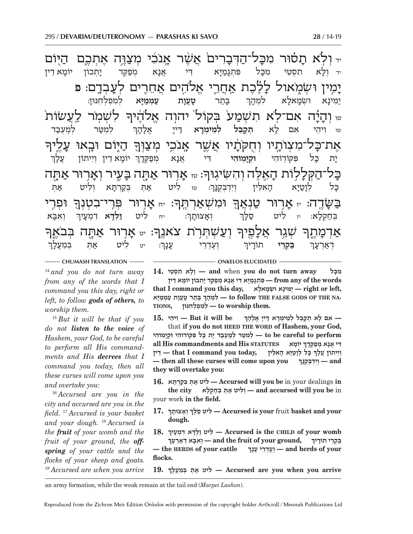ְ תסור מכל־הדִברים אשׂר אנכי מצוה אתכם היּוֹם ית אַחרֵי אֵלֹהים אחרים לעבדם: פ .<br>ה לעשׂוֹת תשמע בקול יהוה אל .<br>ה היּוֹם וּבאוּ מצור אָת־כָּל־מִצְוֹתָיו וְחֻקֹּתָ֫יו אֲשֶׁר אֲנֹכִי מְצַוְּךָ כָּל־הַקְּלָלוֹת הָאֵלֶּה וְהִשִׂיגְוּךְּ: <sub>יי</sub> אָרִוּר אַהֶּה בָּעֶיר וְאָרִוּר אַהֱה ֖ ְ וּפרי .<br>ล. ָ: וּמִשְׁאַרְחֶךָ: <sub>יח</sub> אָרָוּר פְּרִי־בִטְנְךָ טנארִ יז  ${\bf x}$ רוּו ${\bf x}$ .<br>ล. <mark>ֿןְעַ</mark>שְׁתְּרֹת צֹאנֶך ּי יַט <mark>אָרוּר אַ</mark>הָָה בְּבֹאֶך .<br>ก' .<br>ล.  $\psi$ גַר אֲלָפֶיךּ  $\bf \vec{r}$ אַׂרְכָ*וֹ* יּר וְלָא תִסְטֵי מִכָּל פִּתְגָמַיָּא דִי אֲנָא מְפַקֵּד יָתְכוֹן יוֹמָאדֵין ֧֧֧֦֧֢ׅ֖֖֖֖֖֧֚֚֚֚֚֚֝֝<u>֚</u> ב**ָּתַר טַעֲוָת עַמְמַיַּא לִמְפ**ַלְחִנּוּן: למִהַר ֧֧֧֦֧֢ׅ֖֖֖֖֖֧֚֚֚֚֚֚֝֝<u>֚</u> **מטר** טו ִו ֵיה ִ י אם ל א **ְתקֵ בּ ְ ל לֵמ ְימר א** דּ' יי ֱ אל ה ך ֧֧֚֝<u>֚</u> ׇׅ֧֖֖֖֖֖֖֖֖ׅׅ֖ׅ֖֧֧֚֚֚֚֚֚֚֚֚֚֚֚֚֚֚֓֝֬֝֓֓֡֝֬֝֬֝֓֞֝֓֞֟֓֡֓֬֝֓֞֝֬ מִפַקְדַךְ יוֹמַא דֵין וְיֵיתוֹן יָת כָּל פִּקְוֹדְוֹהִי **וֹקְיַמְוֹהִי** דִי אֲנָא מְפַקְדָךְ ְטז ליט אַתְּ בִּקַרְתַּא וְלִיט אַתְּ ּכָּל לְוָטַיָּא הָאִלֵּין וִיִדְבְקִנָּךְ: ֧֧֧֧֦֧֦֧֚֝֝֬<u>֓</u> ְו ִאבּ א ְ : יח ִליט **ו ְ לדּ א** ִד ְמע יך ֧֧֧֖֖֖֖֖֖֧֚֚֚֚֚֚֚֝֝֬<u>֚</u> וְאַצוּתַהָ בְּחַקְלָא: יז לִיט סַלַּךְ ׅ֧֖֖֖֧֧֧֧֧֧֧֧֚֚֚֚֚֚֚֚֚֚֚֚֚֚֚֚֚֚֚֚֚֚֓֝֬֝֓֟֓֡֬֓֓֝֓֝֓֝֬֝֬֝֓֝֬֝֬ ֧֧֧֖֖֖֖֖֖֧֚֚֚֚֚֚֚֝֝֬<u>֚</u> אַתּ בִּמְעַלַךְ ְּעֲנֵךָ: ׇׇׅ֧֧֖֖֖֖֖֖֧֚֚֚֚֚֚֚֚֓֝֬<u>֚</u> **בַּקְרֵי** תוֹרָיך <mark>ָ</mark>דְאַרְעָך

**CHUMASH TRANSLATION CONTRANSLATION ON KELOS ELUCIDATED** 

<sup>14</sup> *and you do not turn away from any of the words that I command you this day, right or left, to follow gods of others, to worship them.*

<sup>15</sup> *But it will be that if you do not listen to the voice of Hashem, your God, to be careful to perform all His commandments and His decrees that I command you today, then all these curses will come upon you and overtake you:*

<sup>16</sup> *Accursed are you in the city and accursed are you in the field.* <sup>17</sup> *Accursed is your basket and your dough.* <sup>18</sup> *Accursed is the fruit of your womb and the fruit of your ground, the offspring of your cattle and the flocks of your sheep and goats.*  <sup>19</sup> *Accursed are when you arrive* 

**ִ מָכּל away turn not do you** when **and — ְו ָל ִ א ת ְסֵטי 14. words the of any from — ִפּ ְתָגמָיּ ִא דּ ֲ י אָנ ְא מפֵקּ ָד י ְת ָ כוֹן יוֹמ ֵא דין that I command you this day, אלאָ מָוּשׂ א ְ ינָ מִּ י — right or left, ְ ָ בּת ָר טֲעָו ת ע ְממָיּא הךָמְ לִ — to follow THE FALSE GODS OF THE NA-TIONS, חנּוּןִ לְ פְ מִ לְ — to worship them.**

**15. יהיֵ וִ — But it will be ְ — ִא ָ ם ל ְא תקֵבּ ְ ל לֵמ ְימָר א דּ ָיי ֱ אָל ָהך** that **if you do not HEED THE WORD of Hashem, your God, perform to careful be to — ְל ִמטּ ְ ר לֶמ ְעבּ ָד י ָת כּ ִל פּ ִ קּוֹדוֹה ְ י וּקָי ִמוֹהי all His commandments and His STATUTES יוֹמא ָ ְ ִ דּ ֲ י אָנ ְא מפ ְקָּדך ְ** *<b>/*  $\blacksquare$   $\blacksquare$   $\blacksquare$   $\blacksquare$   $\blacksquare$   $\blacksquare$   $\blacksquare$   $\blacksquare$   $\blacksquare$   $\blacksquare$   $\blacksquare$ **וְיֵיתוֹן עֵלַךְ כָּל לְוַטַיַּא הַאִלְי**ז **— then all these curses will come upon you ְ and — ְוִיְד ְבֻּקָנּך they will overtake you:**

 **in** dealings your in **be you will Accursed — ִל יט א ְתּ ְ בּקְרָתּא 16.** in **be you will accursed and — ְו ִל יט א ְתּ ְ בּח ְק ָלא city the** your work **in the field.**

- **17. ְ ְ וָא ָצוּתך לּךָ ס יט לִ — Accursed is your** fruit **basket and your ְdough.**
- **18. <sup>2</sup>**<br> *<b>P* the cHILD of your womb<br> **P** the full of your spound<br> **P** the full of your spound **ְ ,ground your of fruit the and — ְו ִאָבּ ְא דאְרָעך בּ ְקֵר ָ י תוֹריך — the HERDS of your cattle ְ your of herds and — ְוֶעְדֵר ָ י עָנך flocks.**

**19. ְ arrive you when you are Accursed — ִל יט א ְתּ ְ בֵּמֲע ָלך**

an army formation, while the weak remain at the tail end (*Marpei Lashon*).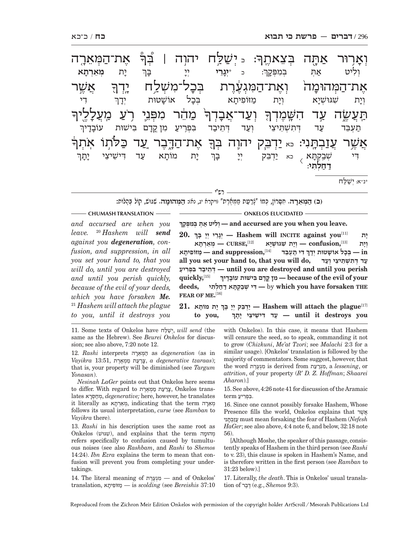| ה<br>מְאֵרְתָא | <b>ֹ</b> אָת־הַמְּאֵרֶ<br>יָת | ۣڐڸ<br>בָּך | יהוָה           | לל<br>ד | יְשַׁלַַח<br>יִּיְגְרֵי | $\overline{\phantom{0}}$ | <b>ָבָׁצִא</b> תֶךָ:<br>בָּמִפְקָךָ: |                             | אַתָּה<br>אַתִּ    | וּר<br>וליט     |
|----------------|-------------------------------|-------------|-----------------|---------|-------------------------|--------------------------|--------------------------------------|-----------------------------|--------------------|-----------------|
| אֲשֶׁר         | יִדְךָ                        |             |                 | בִּכְל־ | ת                       | מגער                     | ואת־ז                                |                             |                    | את־המהוּמה      |
| די             | יִדְךָ                        |             | אוֹשָטוּת       | בְּבָל  |                         | מַזוֹפִיתָא              | וְיָת                                |                             | שגוּשִׁיַא         | וְיָת           |
| לליה           | ּרַעַ                         | מִפְּנֵי    | מַהֵׂר          |         |                         | <b>וְעַד־אֲבָדְךְ</b>    | <b>הִשֶּׁמֶּדְ</b> ךָּ               |                             | עַר                | תַעָ            |
| עוֹבָדַיך      | בִּישׁוּת                     | מן קֵדָם    | בִּפְרִיעַ      |         | דְּחֵיבַד               | וִעַר                    |                                      | דְּת <sup>ָ</sup> שְׁחֵיצֵי | עַד                | תַעִּבֵּד       |
| <b>×</b> بناہ  | בַּלּתְוֹ                     | עֲד         | <u>ָהוֹב</u> ׁכ | אָת־    | 구드                      | יהוֶה                    | יַךַ<br><u>ְב</u> ִק                 | כא                          | <u>ְהָנְ</u> לִי:  | אֲשֶׁר          |
| יָתָך          | דִישֵׁיצֵי                    | עַד         | מוֹתָא          | יָת     | בָּך                    | לל<br>ד                  | יַדְבִּק                             | $\kappa$ כ                  | <u>שְׁבַקְתָ</u> א | ךי<br>י         |
|                |                               |             |                 |         |                         |                          |                                      |                             |                    |                 |
|                |                               |             |                 |         |                         |                          |                                      |                             |                    | ∗נ״א: יִשַׁלַּח |

**(כ) ה ְ מֵּאר ה.** ִחָסּ ְ רוֹן, כּ ָ מוֹ "צר ע ת מ ְ מֶאֶרת" (ויקרא יג, נא): **ה ְ מּהוּמ ה.** ִשׁ ֶ גּוּשׁ, קוֹל בָּהלוֹת: רש"י

**ְ**

**CHUMASH TRANSLATION ONKELOS ELUCIDATED**  *and accursed are when you leave.* <sup>20</sup> *Hashem will send against you degeneration, confusion, and suppression, in all you set your hand to, that you will do, until you are destroyed and until you perish quickly, because of the evil of your deeds, which you have forsaken Me.* <sup>21</sup> *Hashem will attach the plague to you, until it destroys you* 

**20. ְ ָ ית** [11]**you against INCITE will Hashem — ְיָגֵר ְ י יָי ָ בּך ,CURSE — ְמֵאְרָתא ְ וָית** [13]**,confusion — ְוָי ִ ת שׁ ְ גּוּשָׁיא** [12] **ְ** $\frac{1}{4}$  **=** בִּבָּל אוֹשָטוּת יִדָךְ דִי תַעִבֵּד  $\frac{1}{4}$  = מִוּ $\frac{1}{4}$  = מִוּוּפִיתָא  $\alpha$  **(עד דּתשׁתּיצי ועד** ,dll you set your hand to, that you will do  **perish you until and destroyed are you until — ְדֵּת יב ִ ד בּ ְפִר ַיע quickly,**[15] **ְ your of evil the of because — ִמ ֳן קָד ִם בּ ָ ישׁוּת עוֹבָדיך THE forsaken have you which** by **— ִדּ ְ י שׁב ְקָתּ א דח ְל ִתּי ,deeds FEAR OF ME.** [16] **ְ**

**.leave you when you are accursed and — ְו ִל יט א ְתּ ְ בּ ִמ ְפָּקך**

 $\mathbf{21.}$  **P** יִדְבֵּק יְיָ בִּךְ יָת מוֹתָא  $-$  Hashem will attach the plague $^{[17]}$ **to you, ְ you destroys it until — ע ִ ד דּ ֵישׁ ֵיצ ָ י יָתך**

11. Some texts of Onkelos have יִשֵׁלַח, will send (the same as the Hebrew). See *Beurei Onkelos* for discussion; see also above, 7:20 note 12.

12. *Rashi* interprets רהאֵמְּ ה as *degeneration* (as in  $Vayikra$  13:51, צְרַעַת מַמְאֶרֶת, a degenerative tzaraas); that is, your property will be diminished (see *Targum Yonasan*).

*Nesinah LaGer* points out that Onkelos here seems to differ. With regard to עֲרֵעֲת מַמְאֵרֶת Onkelos translates ראסְּ ח
מְ , *degenerative;* here, however, he translates it literally as מְאֵרְתָא indicating that the term  $\alpha$ follows its usual interpretation, *curse* (see *Ramban* to *Vayikra* there).

13. *Rashi* in his description uses the same root as Onkelos (שִׁגּוּשׁ), and explains that the term מְהוּמָה refers specifically to confusion caused by tumultuous noises (see also *Rashbam*, and *Rashi* to *Shemos*  14:24). *Ibn Ezra* explains the term to mean that confusion will prevent you from completing your undertakings.

14. The literal meaning of רתֶעֶגְמִ — and of Onkelos' translation, יתא זּוֹפ ִ מ — is *scolding* (see *Bereishis* 37:10

with Onkelos). In this case, it means that Hashem will censure the seed, so to speak, commanding it not to grow (*Chizkuni*, *Me'at Tzori*; see *Malachi* 2:3 for a similar usage). [Onkelos' translation is followed by the majority of commentators. Some suggest, however, that the word מגערת is derived from מגרעת, a *lessening*, or *attrition*, of your property (*R' D. Z. Hoffman*; *Shaarei Aharon*).]

15. See above, 4:26 note 41 for discussion of the Aramaic term בִּפְרִיעַ.

16. Since one cannot possibly forsake Hashem, Whose Presence fills the world, Onkelos explains that שׁרֶא ֲ ניִתּבְ ז
עֲ must mean forsaking the fear of Hashem (*Nefesh HaGer*; see also above, 4:4 note 6, and below, 32:18 note 56).

[Although Moshe, the speaker of this passage, consistently speaks of Hashem in the third person (see *Rashi*  to v. 23), this clause is spoken in Hashem's Name, and is therefore written in the first person (see *Ramban* to 31:23 below).]

17. Literally, *the death*. This is Onkelos' usual translation of ברֶדֶּ) e.g., *Shemos* 9:3).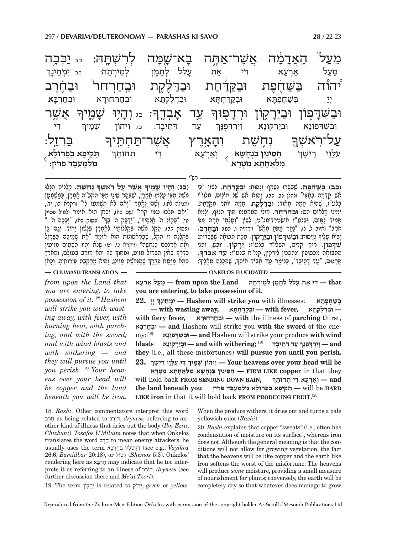| <sub>כב</sub> יַכְּבְה            | לְרִשְׁת <del>ָה</del> : | בא־שַׁמַה              |                  | <b>אֲשֶׁר־אַ</b> תָּה    |    | הארמה                              |         | ֿמֵעַל                    |
|-----------------------------------|--------------------------|------------------------|------------------|--------------------------|----|------------------------------------|---------|---------------------------|
| כב יִמְחֵינָךְ                    | לְמֵירְתַהּ:             | עָלֵל לְתַמֶּן         |                  | אַתָ                     | די | אַרִעַא                            |         | מֵעַל                     |
| <b>וּבַ</b> ּחֶרֶב                | <u>וּבְחַרְחָר</u>       | וּב <u>ַד</u> ִילֶּקֶת |                  | וּבַק <u>ַו</u> יׁחַת    |    | <i>ּב</i> ּשַׁדָ <sup>ׂ</sup> ֶפָת |         | <sup>ו</sup> הורה בו      |
| וּבְחַרְבָּא                      | וּבְחַרְחוּרָא           | וּבִדְלֶקְתָּא         |                  | וּבְקַדַּחְתָא           |    | <i>ּבְשַׁ</i> חֶפְתָא              |         | רְרָ                      |
| אֲשֶׁר<br>゙゙゙゙゙ؚשְׁמֶיך           | כג <b>יְהָיְי</b>        | <b>ֹאַבְדֶךָ:</b>      | עַד              | וּרְדָפְוּך              |    | <u>וּבְיִּרְקֳ</u> וֹן             |         | וּבַשָּׁדָ <b>ּפ</b> ִוֹן |
| דִי<br><i>ֹשָׁ</i> מָיךִ          | ויהוֹן<br>כג             | דְּתֵיבָד:             | עַד              | <b>וְיִרְדְּפְנָּ</b> ךָ |    | וּבְיַרְקוֹנָא                     |         | וּבִשְׁדִּפוֹנָא          |
| <u>בַּרְזֶל:</u>                  | <b>אֲשֶׁר־תַּחְהֱיךּ</b> |                        | <b>יְהָאָרֶץ</b> |                          |    | <del>ּ</del> ٰלְחֲשֶׁת             |         | <b>ַעַל־רֹא</b> שְׁךָ     |
| תַקִּיפָא כְפַרְזְלָא<br>יילייירי | תְחוֹתָךָ                | די                     | יְאַרְעָא        |                          |    | חַסִּינִין כִּנְחָשָׁא             | רֵישָׁך | עִלַּוִי                  |
| מִלְמֶעְבַד פֵּרִיןִ:             |                          |                        |                  |                          |    | מִלְאַחָתָא מִטְרָא                |         |                           |
|                                   |                          |                        | רם"י             |                          |    |                                    |         |                           |

 **ְ נ ֹח ֶשׁת.** ְקָללוֹת הָ לּלוּ **ֲ א ֶשׁר ע ל רֹ ְאשׁך ְ (כג) וה יוּ שֶׁ מיך** משֶׁה מִפִּי טַגְמוֹ חֲמָרֶן, וְשֶׁבְּהַר סִינֵי מִפִּי הקב"ה חֲמָרֶן, כְּמַשְׁמָעָן<br>ומגילה לא:). וִשָׁם לַחֲמַר "וְחָם לֹא תִשְׁמִטוּ לִי" וויקרא כו, יד), ָיִה ה' יְהִי יִה ה' יְהָ יְהָ הַלְּהָ הַלְּה הַלְהָ הַלְה הַלְה הַלְה הַלְה הַלְה הַלְה הַלְה וְלַמִּךְ , וְתַ<br>טוּ) ״בַּקוֹל הֻ׳ אָלְהִיךָ״, ״יִדְבַּק הֶ׳ בַּךְּ״ (פסוק כא), ״יִכְּכֶה הֶ׳ ״ ָ(פסוק כב). הֵקֵל מִשָׁה בִּקְלָלוֹתָיו לְאָמְרָן בִּלְשׁוֹן יָחִיד. וְגֵם כֵּן ֧֧ׅׅ֚֚֚֚֚֚֚֚֚֚֚֚֚֚֚֚֚֚֚֚֚֬֡֡֓֡֡֡֡֓֡֡֡֬֓֞ ִ בִּקְלָלָה זוֹ הֵקֵל, שֶׁבָּרְאֹשׁוֹנוֹת הוּא אוֹמֵר "אֶת שְׁמֵיכֶם כַּבַּרְזֶל<br>וְחֶת מַרְגָבֶם כֵּנְחָשָׁה" (ויקרא כו, יט) שָׁלֹּא יִהָיוּ הֲשֶׁמֵיִם מִזִיעִין ֧֖֧ׅ֖֖֧֖֚֚֚֚֚֚֚֚֚֚֚֚֚֚֚֚֚֚֚֝֝֝֝֟֩֝֓֡֝֬֝֬֝֓֝֓֝֬֝֓֝֓֝֬֝֓֝֝֬֝֝ ְיָרֶי הַלְּזֶיֶךָךָ שֶׁמִין הַבַּרְזֶל מַזִּיטַ, וְמִתּוֹךְ כָּךְ יְהֵא חוֹרֶב בָּעוֹלָם, וְהָאָרֶץ<br>פְּרֶא מִזּעַת כַּדְרָךְ שִׁהַנְּחֹשׁת מִזִּיטַ, וּמִתּוֹךְ כָּךְ יְהֵא חוֹרֶב בָּעוֹלָם, וְהָאָרֶץ<br>תִּהָא מִזּעַת כִּדְ ְ֖֖֖ׅׅ֖֖֪֪ׅ֚֚֚֚֚֚֚֚֚֚֚֚֚֝֝֝֓֝֓֓֝֬֝֓֓֡֝֬֓֞֟֓֡֟֓֓֞֓֞֓֞֓֞֓֞֓֞֓֝֓֓֞֝֬֝֓֞֝֬֝֓֞֝֝֬֝֓֝֝֓ תִּהָת מַזַּטַת כְּדֶרֶךְ שָׁהַגְּתֹשֶׁת מַזִּיטַ, וְהָית מַרְקֵבֶת פֵּירוֹתֵיהָ. וְכָתֹן

(כב) בַּשַּׁחֶפֶת. אֶבְּאָלוֹ נִאְתֶף וְנָפוּתַ: וּבַק<u>ּדְ</u>חַת. לְאוֹן "כִּי ָאֵׁשׁ חָדְחָה בְּאַפִּי" ולהלן לב, כב), וְהוּא אֵשׁ שֶׁל חוֹלִים, מלוו"י<br>בְּלֹמ"ז, שֶׁהִיא חַמָּה מְאוֹד: **וּבַדֵּדֶלֶקֶת.** חַמָּה יוֹתֵר מִקַּדַּחַת.<br>וּמִינֵי חֲלָאִים הֵם**: וּבַחַרִחִר.** חוֹלִי הַמְחַמְמוֹ תּוֹךְ הַגּו ָסְמִיד <u>לַמַּ</u>יִם, וּבְלִט"ז אישטרדימנ"ט, לְשוֹן "וְטַגְמִי חָרָה מִנִּי<br>חִרָב" ואיוב ל, ל), "נַחַר מִפְּחַ מֵאָש" וירמיה ו, כט**ּז: וּבַחַרִב.** יָבִית טָלֶיךָ גְיָסוֹת: **וּבַשִּׁדִּפוֹן וּבַיֵּרְקוֹן.** מַכַּת תְּבוּתָה שֶׁבַּשָּׂדוֹת:<br>**שִׁדַּפוֹן.** רוּחֵ קַדִּיס, השלי״ד בְּלִט״ז: יֵרֲקוֹן. יוֹבֶשׁ, וּפְנֵי שְׁיָּנִיּםן , יוּעַ יְוָזִיט, יאַלי ז' *בְּנָע וּ.* יֵיָן זוֹן, יוּכֶּא, וּפְגֵ׳<br>הַתְּבוּתה מכסיפיו ונהפכיו לירקוו. קמ"מ בּלַע"ז: ע**ד אבדרּ**. הַמְּבוּתָה מַכְסִיפִין וְנֵהֱפְכִין נְיֵרָקון, קמ∵ת בְּנִפִ״ז: עַד אָבְדֶךָ.<br>תִּרְגַּוּם, "טַד דִּתִיבַד", כּלוֹמֹר טַד חבוֹד חוֹחַדְ, שִׁתְּכלה מחליִד: ָ

### **CHUMASH TRANSLATION ONKELOS ELUCIDATED**

*from upon the Land that you are entering, to take possession of it.* <sup>22</sup> *Hashem will strike you with wasting away, with fever, with burning heat, with parching, and with the sword; and with wind blasts and with withering — and they will pursue you until you perish.* 23 *Your heavens over your head will be copper and the land beneath you will be iron.* 

 **that — ִדּ י א ְתּ ָ עֵל ְל לתָמּ ְ ן לֵמ ְירתהּ Land the upon from — ֵמע ל אְרָעא you are entering, to take possession of it.**

**ְ ְ יָי 22. ְבּ שֶׁח ְפָתּא** :illnesses with **you strike will Hashem — ִי ְמֵח ָינך — ִוּבְד ֶל ְקָתּא ,fever with — ְוּבקדּ ְחָתּא ,away wasting with with fiery fever, חוּראָ רְחוּבְ — with** the illness of **parching** thirst, **בּאָרְחוּבְ — and** Hashem will strike you **with the sword** of the enemy;[18] **פוֹנאָ דְּשִׁ וּבְ — and** Hashem will strike your produce **with wind ְ ע ְד דֵּת ָיבד** [19]**;withering with and — ְוּביְר ָקוֹנא blasts and — ְוִיְרְדֻּפָנּך they** (i.e., all these misfortunes) **will pursue you until you perish. 23. ְ ִ דּ ִ י ע ָלֵּו ֵ י ר ָישׁך מיךָשׁ יהוֹן ְ וִ — Your heavens over your head will be ְ**

 they that in **copper LIKE FIRM — ח ִסּ ִינ ִ ין כְּנָח ָשׁ ִא מ ְלּאָחָת ִא מ ְטָרא** will hold back **FROM SENDING DOWN RAIN, ְ and — ְואְרָע ִא ד ְ י ת ָחוֹתך HARD** be will **— תּ ִקּ ָיפ ְא כפְרְז ָל ִא מ ְלֶּמ ְעבּ ֵד פִּרין you beneath land the LIKE iron** in that it will hold back **FROM PRODUCING FRUIT.** [20]

18. *Rashi*. Other commentators interpret this word רבֶחֶ as being related to חוֹרבֶ , *dryness,* referring to another kind of illness that dries out the body (*Ibn Ezra*, *Chizkuni*). *Tosafos U'Miluim* notes that when Onkelos translates the word רבֶחֶ to mean enemy attackers, he rg יְדָקָטְלִין בְּחַרְבָּא (see e.g., Vayikra 26:6, *Bamidbar* 20:18), or קטוֹלְ) *Shemos* 5:3). Onkelos' rendering here as חֲרְבָּא may indicate that he too interprets it as referring to an illness of חוֹרבֶ , *dryness* (see further discussion there and *Me'at Tzori*).

When the produce withers, it dries out and turns a pale yellowish color (*Rashi*).

20. *Rashi* explains that copper "sweats" (i.e., often has condensation of moisture on its surface), whereas iron does not. Although the general meaning is that the conditions will not allow for growing vegetation, the fact that the heavens will be like copper and the earth like iron softens the worst of the misfortune: The heavens will produce *some* moisture, providing a small measure of nourishment for plants; conversely, the earth will be completely dry so that whatever does manage to grow

19. The term רקוֹןיֵ is related to ירוֹק, *green* or *yellow*.

Reproduced from the Zichron Meir Edition Onkelos with permission of the copyright holder ArtScroll / Mesorah Publications Ltd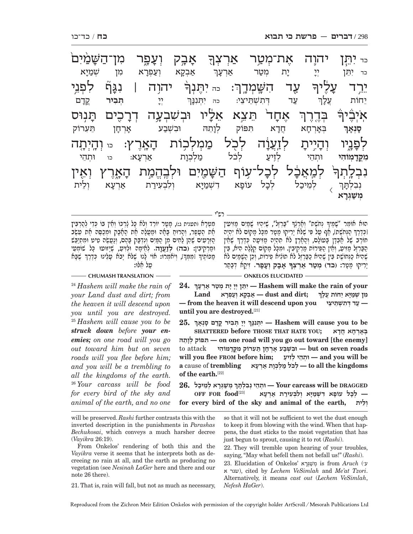| שִׁמַיָּא         | מן                | עָמֳו<br>וְעַפְרָא                      | אַבְקָא                                 | 고초<br>אַר<br>אַרְעָך  | מִטַר                              | יָת         | יהוֶה<br>לל<br>$\tau$ :   | יִתְּן<br>$\mathsf{T} \mathsf{D}$<br>יִהֵן<br>כד |
|-------------------|-------------------|-----------------------------------------|-----------------------------------------|-----------------------|------------------------------------|-------------|---------------------------|--------------------------------------------------|
| לִפְנִי<br>קְדָם  | נִגַּף<br>תִּבִיר | יהוָה<br>רר<br>ד                        | יִתֶּנְךָ<br>יִּתְנִנְּךְ               | כה<br>כה              | הִשְׁמְרָךָ:<br>דְּתִשְׁתֵּיצֵי:   | עָר<br>עַד  | עָלֶיךִ<br>עֲלָך          | יִרְד<br>יחות                                    |
| תנוּס<br>תֵעִרוֹק | כי<br>אָרְחָן     | וּבְשַׁבְע <del>ָ</del> ה<br>וּבִשְׁבַע |                                         | אליו<br>לְוָתֵה       | הַצְא<br>תִפוֹק                    | אד<br>חֲדָא | בְּדֶרָ<br>ך<br>בְאָרְחָא | <b>ٚ؉</b> ڹڐۭۘؗۘۘڐڸڿ<br>סָנְאָךְ                 |
| וּתְהֵי           | :Y<br>כו<br>כו    | הָאָרָ<br>ּאַרְעָא                      | ֿ <i>ֿ</i> ײַלְּכָוֹי<br>ת<br>מַלְכְוָת | לְכָל<br>לִכֹל        | <u>לְזַעֲוָ</u> ֫ה<br>.<br>לְזִיעַ |             | והיי<br>וּתְהֵי           | לפניו<br>מִקֱדָמְוֹהִי                           |
| ٚ؉ۣٙ؆<br>וִלֵית   | הָאָרָ<br>אַרְעָא | וְלִבְעִירַת                            | מֲיִ<br>ם                               | קשָׁוּ<br>דִשְׁמַיָּא | עָוֹף<br>לְבָל<br>עוֹפָא           |             | מַאַ<br>לְמֵיכַל          | $\overline{F}$<br>ּנְבִלְתָּךָ<br>מְשַׁגְרָא     |

רש"י

מִטְרָא וּחַטנית גּּוֹ, מָטֶר יוֹרֵד וְלֹא כָּל גָרְכּוֹ וְאֵין בּוֹ כְּדֵי לְהַרְבִּיץ<br>חֶת הֶטָפָר, וְהָרוּחַ בָּחָה וּמַטֲלָה חֶת הָאָבָק וּמְכַסֶּה חֶת טֵשֶׁב<br>הַזְרָטִים שֶׁהֶן לַחִים מִן הַמַּיִם וְנִדְבַּק בַּהֲם, וְ וּמְ רִק ִיבין: **ְ (כה) לזֲ עו ה.** ְלֵא ָימ ְ ה וּלִז ַיע ֶ , שָׁיּ ָ זוּעוּ כּ ְ ל שׁוֹמֵעי ְיִ בְּיְ יִךְ יִ יִי<sup>ְבַ</sup>ּבְּיָיִי יְדָ יִבְּיָ יִי יִדְ בְּיָ יִבְּוֹ בְּוֹל עֲלֵינוּ כֶּדֶרֶךְ שַׁבָּתֹ ָָטל אלוּ:

<sup>24</sup> *Hashem will make the rain of your Land dust and dirt; from the heaven it will descend upon you until you are destroyed.*  <sup>25</sup> *Hashem will cause you to be struck down before your enemies; on one road will you go out toward him but on seven roads will you flee before him; and you will be a trembling to all the kingdoms of the earth.*  <sup>26</sup> *Your carcass will be food for every bird of the sky and animal of the earth, and no one* 

ָהוּא אוֹמֵר "שָׁמָיִךְ נְתֹשֶׁת" וְאַרְלִךְ "בַּרְזֶל", שֶׁיִּהְיוּ שָׁמַיִם מַזִּיעִין<br>[פדרד הנתשת], אף על פי שלא יריהו מטר מכל מהום לא יהיה ָ֧֖֖ׅׅ֧֖֧֧֚֚֚֚֚֚֚֚֚֚֚֚֚֚֚֚֚֚֚֚֚֚֚֚֚֚֚֚֚֝֝֝֟֩֝֬֝֓֞֝֬֝֓֞֝֬֝֓֝֬֝֓֞֞֝֬֝֓֞֝֬֝֓֞֝֬֝֝֬֝֝֬֝֝֬֝֝֞֝֬֝֝֞ וַכְּדֶרֶךְ הַנְחֹשֵׁת], אַף טַל פִּי שֵׁלֹּא יָרִיקוּ מָטָר מִכָּל מָקוֹם לֹא יְהָיֵה חוֹרֶב שֶׁל אַבְּדֶן בָּטוֹלָם, וְהָאָרֶץ לֹא תִהְיֶם מַזִּיטָה כְּדֶרֶךְ שָׁאֵין<br>הַבַּרְזֵל מֵזִיטַ, וְחֵין הַפִּירוֹת מַרִקִיבִין. וּמִכַּל מַקוֹם קַלָּלָה הִיא, בַּין שְׂיָאִיו כַעְּיוּשֶׂיג כֵּין שֶׂיָאִיו כַכַּנְ יֶל לִיוּ יוּוּלִיו פֵילויג, וְי<br>יריקוּ מטר: (**כד) מטר ארצר אבק ועפר.** ַשְׁהִיא כַּנְחוֹשֶׁת בֵּין שֶׁהִיא כַבַּרְזֶל לֹא תוֹנִיא פֵירוֹת, וְכֶן הֲשָׁמֵיִם לֹא

**CHUMASH TRANSLATION ONKELOS ELUCIDATED** 

**24. ְ your of rain the make will Hashem — ִיֵתּ ְן יָי ָ י ְת מט ר אְרָעך**  $\bf{Land}$  **z** אַבְקָא וְעַפְרָא $\bf{Land}$  dust and dirt; **ִמ ְ ן שׁמָיּ ֵא י ֲ חוֹת ע ָלך — from the heaven it will descend upon you יציֵ תֵּשְׁ תִ דּ דְ ע until you are destroyed.**[21]

**25. ְ ְ יָי ְ תּ ִב ֳ יר קָד ָ ם סְנָאך נּךָנִתְּ יִ — Hashem will cause you to be ְְ בָּאְר ָח ֲא חָדא ;YOU HATE THAT THOSE before SHATTERED תהֵּוָל פּוֹק ְ תִּ — on one road will you go out toward [the enemy] roads seven on but — ִוּב ְשׁב ָע אְר ָח ֵ ן תּ ִע ִ רוֹק מֳקָּד ִמוֹהי** attack to **will you flee FROM before him; יעַ זִ ל י ְ הֵוּתְ — and you will be kingdoms the all to — ְלכֺ ל מ ְל ְכָו ת אְרָעא trembling** of cause **a of the earth.**[22]

**ְ** $\frac{26.}{}$  **P** וּתְהֵי נְבִלְתָּךְ מְשַׁגְּרָא לְמֵיכַל $\frac{1}{2}$  – Your carcass will be DRAGGED **— ְלָכ ָ ל עוֹפ ִא ד ְשׁמָיּ ְא ו ִל ְב ִע יר ת אְרָעא** [23]**food FOR OFF for every bird of the sky and animal of the earth, ליתֵו ְ**

will be preserved. *Rashi* further contrasts this with the inverted description in the punishments in *Parashas Bechukosai*, which conveys a much harsher decree (*Vayikra* 26:19).

From Onkelos' rendering of both this and the *Vayikra* verse it seems that he interprets both as decreeing no rain at all, and the earth as producing no vegetation (see *Nesinah LaGer* here and there and our note 26 there).

so that it will not be sufficient to wet the dust enough to keep it from blowing with the wind. When that happens, the dust sticks to the moist vegetation that has just begun to sprout, causing it to rot (*Rashi*).

22. They will tremble upon hearing of your troubles, saying, "May what befell them not befall us!" (*Rashi*).

23. Elucidation of Onkelos' ראגְּשׁ מְ is from *Aruch* ('ע א שגר(, cited by *Lechem VeSimlah* and *Me'at Tzori*. Alternatively, it means *cast out* (*Lechem VeSimlah*, *Nefesh HaGer*).

21. That is, rain will fall, but not as much as necessary,

Reproduced from the Zichron Meir Edition Onkelos with permission of the copyright holder ArtScroll / Mesorah Publications Ltd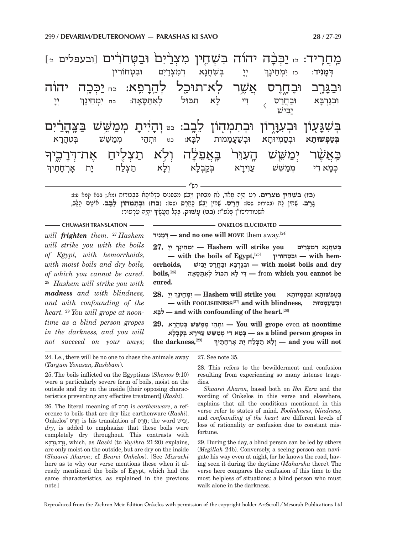רש"י  $\Gamma$ ה יככה יהוה בשחין מצרים ובטחרים [ובעפלים כ וּבַגָּרֶב וּבֶחֶרֶס אֲשֶׁר לְא־תוּכֵל לְהֵרָפֵא: <sub>כּח</sub>ַיַּבְהַ יהוֹה בְּשׁגָּעָוֹן וּבְעִוָּרְוֹן וּבְתִמְהָוֹן לֵבְב: כּט וְהָיִיתָ מְמַ*שֵׁ*שׁ בַּצֶּהֱרַיִּם .<br>ה כִּאֲשָׁר יְמַשֵּׁשׁ הֶעִוֵּר בְּאֲפֵלָה וְלֹא תַצְלֶיחַ אֶת־דְּרָכֶיךָ ֧֧֧֢ׅ֧֚֝<u>֓</u> יִי בְּשִׁחֲנָא דְמִצְרֵיִם וּבִטְחוֹרִין **ִדְמָנִיד:** כז יִמְחֵינָךְ ֧֧֧֦֧֢ׅ֖֧֧֦֧ׅ֧֚֚֝֝֬֝֬֜֓֓<u>֚</u> ול<br>די וּבַחֲרַס , דִּי לָא תִכּוּל לְאִתַּסָּאָה: <sub>כח</sub> יִמְחֵינָךְ וּבְגַרְבָּא  $\overline{\langle}$ יַבִּישׁ **ַבְּטַבְּשׁוּתָא** וּבְסַמְיוּתָא וּבְשַׁעֲמָמוּת לִבָּא: כּט וּתְהֵי מְמַשָּׁשׁ בְּטִהֲרָא ֧֧֧֦֧֢ׅ֖֧֧֚֝֝֬֓֓֓֓֓֓֓֡֓֓֓֡֬֓֓֓֡֬֓֓֓֡֬֓֓֝֬ בְּמָא דִי מְמַשֵּׁשׁ עַוִּירָא בְּקַבְלָא וְלָא תַצְלַח יָת אָרְחָתָיךְ

**ִ (כז) בּ ְשׁ ִח ִ ין מ ְצרִ ים.** ר ָ ע הָי ְה מ ֹאד, ל ִ ח מבּ ְ חוּץ וָיֵב ִשׁ מ ִבְּפִנ ִ ים כְּדִא ָית ִא בְּבכוֹרוֹת (מא.; בבא קמא פ:): **גָּרָב.** אָתִין לַח (בכורות שם): חָרֶס. אָתִין יָבֵא כַּחֶרֶס (שם): (בח) **וּבְתִמְהוֹן לֵבָב.** תוֹטֶס הַלֵּב, ִָ י ְהֶי ִה עְרעוּר: ְ אשטורדישו''ן בּלע"ז: **(כט) ע שׁוּק.** ְבָּכל מֲ עֶשׂיך

- CHUMASH TRANSLATION ——————————————————— ONKELOS ELUCIDATED *will frighten them.* <sup>27</sup> *Hashem will strike you with the boils of Egypt, with hemorrhoids, with moist boils and dry boils, of which you cannot be cured.*  <sup>28</sup> *Hashem will strike you with madness and with blindness, and with confounding of the heart.* 29 *You will grope at noontime as a blind person gropes in the darkness, and you will not succeed on your ways;* 

**ְ ְ יָי 27. ְבּ ִשֲׁחָנ ְא ד ִמ ְצרִים you strike will Hashem — ִי ְמֵח ָינך dry and boils moist with — ְוּבגְרָבּ א וּבֲחר ס י ִבּישׁ ,orrhoids-** $\blacksquare$  **with the boils of Egypt**,  $[25]$  **be cannot you which** from **— ִדּ ָ י ל ִא ת ְ כּוּל ל ִאתָּסָּאה** [26]**,boils cured. ְ**

 **ְ יָי 28. ְבּט ְפ ָשׁוּת ְ א וּבס ְמ ָ יוּתא you strike will Hashem — ִי ְמֵח ָינך — with FOOLISHNESS**[27] **and with blindness, ממוּתָעֲשׁ וּב ְ בּאָלִ — and with confounding of the heart.**[28]

 **noontime at** even **grope will You — ְוּתֵה ְ י ממ ֵשּׁ ְשׁ בּ ִטֲהָרא 29. in gropes person blind a as — ְכָּמ ִא ד ְ י ממ ֵשּׁ שׁ עִוּ ָיר ְא בּק ְב ָלא the darkness,**[29] **ְ not will you and — ְו ָל א ת ְצל ָח י ָת אְר ָחָתיך**

24. I.e., there will be no one to chase the animals away (*Targum Yonasan, Rashbam*).

25. The boils inflicted on the Egyptians (*Shemos* 9:10) were a particularly severe form of boils, moist on the outside and dry on the inside [their opposing characteristics preventing any effective treatment] (*Rashi*).

26. The literal meaning of רסֶח is *earthenware*, a reference to boils that are dry like earthenware (*Rashi*). Onkelos' חֲרָס is his translation of יְחֵרָס; the word יְהֵבִישׁ, *dry*, is added to emphasize that these boils were completely dry throughout. This contrasts with גַרַב/גַרבָּא, which, as *Rashi* (to Vayikra 21:20) explains, are only moist on the outside, but are dry on the inside (*Shaarei Aharon*; cf. *Beurei Onkelos*). [See *Mizrachi* here as to why our verse mentions these when it already mentioned the boils of Egypt, which had the same characteristics, as explained in the previous note.]

27. See note 35.

**נידִמָדְּ — and no one will MOVE** them away.[24]

28. This refers to the bewilderment and confusion resulting from experiencing so many intense tragedies.

*Shaarei Aharon*, based both on *Ibn Ezra* and the wording of Onkelos in this verse and elsewhere, explains that all the conditions mentioned in this verse refer to states of mind. *Foolishness*, *blindness,* and *confounding of the heart* are different levels of loss of rationality or confusion due to constant misfortune.

29. During the day, a blind person can be led by others (*Megillah* 24b). Conversely, a seeing person can navigate his way even at night, for he knows the road, having seen it during the daytime (*Maharsha* there). The verse here compares the confusion of this time to the most helpless of situations: a blind person who must walk alone in the darkness.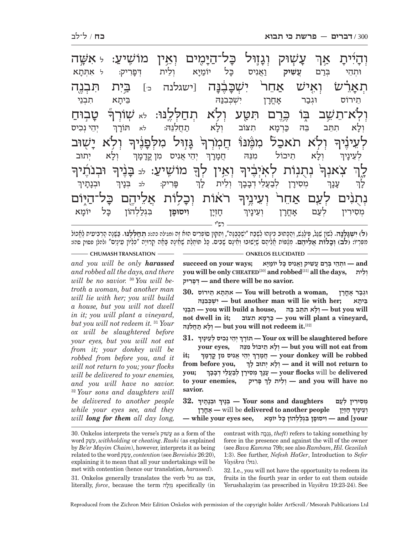רש"י י עָשָׁוּק וְגָזֶוּל כָּל־הַיָּמֶים וְאֵין מוֹשִׁיעַ: לּ אִשָּׁה ְוהִ֜ יית אp ך תְאָרֹשׁ וְאִ*ישׁ* אַחֵר<sup>ֶ ,</sup>יִשְׁכָּבֶנָה [ישגלנה כּ] בַּיִת תִּבְנֶה ט בוּח .<br>คิ' ֿוְלֹא־תֵשֵׁב בֶּוֹ כֶּרֶם תִּטֵּע וְלִא תְחַלְלֶנּוּ: <sub>לֹא</sub> שְׁוֹרְךָ .<br>ה ֿוְלִא יָשָׁוּב גּ זוּל ר .<br>ה תאכַל מִמֵּנּוּ לְעֵינֶ֫יךָ .<br>ה .<br>ה **ּ** וּבְנֹתֶׁיךָ  $\mathbf{u} \in \mathbb{C}$ מוֹשׁיע F ביר ואיז נתנות .<br>ค. ׇׅ֧֧֦֧֦֧֦֧֦֧ׅ֦֧֓֝֜֓֓֡֓֓֡ ֿ צ<sup>ֹ</sup>אנְך<sup>ָי</sup> ַלֲן ר<br>דֹ רֹאוֹת וְכָלוֹת אֲלֵיהֶם כָּל־הַיְוֹם נְתֻנִּים לְעַם אַחֵר<sup>י</sup> וְעֵינֶי<del>ן</del> וּתְהֵי בְּרַם **עֲשִׁיק** וַאֲנִיס כָּל יוֹמַיָּא וְלֵית דְפָרִיק: לּאִתְתָא ַתֵירוֹס וּגְבַר אָחֱרָן יִשְׁכְּבִנּהּ - בֵּיתָא תִבְנֵי ֧֧֧֢ׅ֧֚֝<u>֓</u> יהי נכיס וְלָא תִתֵּב בֵּהּ כַּרְמָא תִצּוֹב וְלָא תַחֲלִנֵּהּ: לֹא תּוֹרָךְ ׅ֧֧֖֖֖֖֖֖֧ׅ֧ׅ֧֧֧֧֧֧֧֧֧֧֧֧֧֚֚֚֚֚֚֚֚֚֚֚֚֚֚֚֚֓֝֬֝֓֟֓֟֓֡֬֓֝֬֓֓֝֬֝֓֞֝֬֝֬֝֬֝֬֝֬֝֬֝֬֝֬֝֬֝֬֝֬ יתוּב ׇׅ֧֧֧֦֧֢ׅ֦֧֦֧ׅ֧֓֝֬֓֓֓֓֡֜֓֓<u>֚</u> יְהֵי אֲנִיס מַן ֧֧֧֖֖֖֖֖֖֧֚֚֚֚֚֚֚֝֝֬<u>֚</u> הֵיכוֹל מִנֵּהּ חַמַרַךִּ לְעֵינָיךִ ֧֧֧֢ׅ֧֚֝<u>֓</u> ֖֖֖֖֖֧֖֧֧֚֚֚֚֚֚֚֚֚֚֚֚֚֚֚֝֓֞֟֓֡֓֞֟֓֡֞֟֓֡֬֓֓֞֟֓֡֟֓֡֟֓֡֬֓֓֞֓֝֬֝ וּבנתַיך ְפֶּרִיק: לב בְּנָין ְית לַוִּ ֦֧֖֧֧֧֧֧֧֧֧֧֧֧֧֧֧֚֚֚֚֚֚֚֚֚֚֚֚֚֚֚֚֚֚֚֚֚֝֓֝֬֝֓֟֓֝֬֝֓֝֬֝֓֝֬֝֬֝֓֝֬֝֬֝֬֝֬ מִסִירַן לִבְעֲלֵי דְבָבָךְ ֧֧֧֢ׅ֧֚֝<u>֓</u> עֲנְך לְך ֧֧֧֦֧֢ׅ֧֦֧֧֦֧ׅ֧֚֝֝֬֝֬֜֓֓<u>֚</u> חָזְיָן ו**יסוּפָן** בִּגְלַלְהוֹן כָּל יוֹמָא מִסִירִין לְעַם אַחֱרַן וִעֵינַיךִ

(ל) וִשְׁגַּלֶּנֵּה. לְשׁוֹ שֶׁגֵּל, פִּילֶגֶשׁ, וְהַכָּחוּב כִּינָהוּ לְשֶׁכָּדֶק "יִשְׁכָּבֶנָּה", וְחָקוּן סוֹפְרִים הוּח זֶה ומגילה כה: תִחֲלִלְנּוּ. בַּשָּׁנָה הָרְבִיטִית לֶחֱכוֹל מִפְּרִיוֹ: **(לב) וכֵלוֹת אֵלִיהֵם. מִצִׁפּוֹת אֲלֶיהֶם שָׁישוִבוּ וְאַינֶם שָׁבִים. כָּל תּוֹחֶלֶת שָׁאֵינָהּ בָּאה קְרוּיָה "כִּלְיוֹן עֵינֵים" ולהלן פסוק סה):** 

**CHUMASH TRANSLATION ONEXAMELOS ELUCIDATED** -

*and you will be only harassed and robbed all the days, and there will be no savior.* 30 *You will betroth a woman, but another man will lie with her; you will build a house, but you will not dwell in it; you will plant a vineyard, but you will not redeem it.* <sup>31</sup> *Your ox will be slaughtered before your eyes, but you will not eat from it; your donkey will be robbed from before you, and it will not return to you; your flocks will be delivered to your enemies, and you will have no savior.*  <sup>32</sup> *Your sons and daughters will be delivered to another people while your eyes see, and they will long for them all day long,* 

 **and — ְוּתֵה ְ י בּר ֲם ע ִשׁ יק וֲאִנ ָ יס כּ ל יוֹמָיּא ;ways your on succeed you will be only CHEATED**[30] **and robbed**[31] **all the days, ליתֵו ְ ריקִפָדְּ — and there will be no savior.**

**ְ וּגב ָר אֳחָרן ,woman a betroth will You — ִא ְתָּת ֵא תירוֹס 30. ֵ בּ ָיתא ;her with lie will man another but — ִי ְשׁ ְכּ ִבנּהּ will you but — ְו ָל ִא תֵתּ ֵב בּהּ ,house a build will you — ִת ְבֵני not dwell in it; תצּוֹב אִ מָרְכּ — you will plant a vineyard,**  [32]**.it redeem not will you but — ְו ָל א תֲח ִלֵנּהּ**

**31. ְ ְ יֵה ְי נ ִכ ְ יס לֵע ָיניך תּוֹרךָ — Your ox will be slaughtered before ְyour eyes, נּהֵּמ יכוֹל ִ ת אֵ לָ וְ — but you will not eat from it; ְ ְ ְ יֵה ֲ י אִנ ִ יס מ ֳ ן קָדָמך רךָמָחֲ — your donkey will be robbed from before you, ְ to return not will it and — ְו ָל ְא י ָ תוּב לך you; ְ ְ ְ מ ִס ָיר ְ ן לבֲעֵל ְ י דָבָבך נךָעָ — your flocks** will be **delivered**   $\times$  **to** your enemies, **לך ית ָ לֵוְ — and you will have no savior.**

| 32. בּנְיִךְ וּבְנָתָיךְ $\sim$ Your sons and daughters |                                               | מסירין לעם  |
|---------------------------------------------------------|-----------------------------------------------|-------------|
|                                                         | אחרן — will be delivered to another people    | ועיניר חויו |
| — while your eyes see,                                  | nd [your — וִיסוּפָן בִגְלַלְהוֹן כָּל יוֹמָא |             |

30. Onkelos interprets the verse's עשׁוּק as a form of the word שׁק;ֶ ע, *withholding* or *cheating*. *Rashi* (as explained by *Be'er Mayim Chaim*), however, interprets it as being related to the word שׂקֶ עֵ, *contention* (see *Bereishis* 26:20), explaining it to mean that all your undertakings will be met with contention (hence our translation, *harassed*). 31. Onkelos generally translates the verb גזל as אנס, literally, *force*, because the term להזֵגְּ specifically (in

contrast with בהנֵגְּ, *theft*) refers to taking something by force in the presence and against the will of the owner (see *Bava Kamma* 79b; see also *Rambam*, *Hil. Gezeilah* 1:3). See further, *Nefesh HaGer*, Introduction to *Sefer*  .(גזל) *Vayikra*

32. I.e., you will not have the opportunity to redeem its fruits in the fourth year in order to eat them outside Yerushalayim (as prescribed in *Vayikra* 19:23-24). See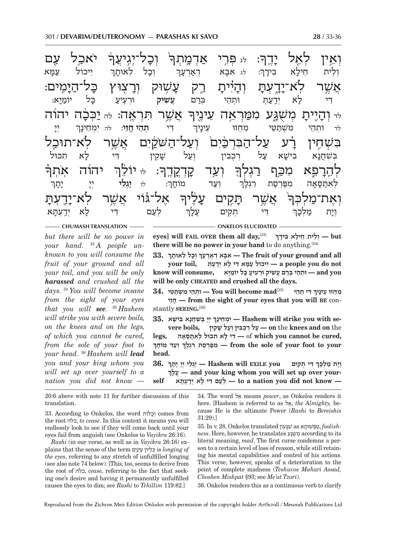| עַם<br>יֵיכוֹל עַמָּא | יֹאכל            | וְכָל־יְגִיעֲ <del>ן</del>    | וְכָל לֵאוּתָך | <b>ֹא</b> ַדְמֶתְךָ<br>דְאַרְעֲךָ                            | לג פְּרֶל<br>לג אָבָא                                                                                                                    | יֲהֶךְ:<br>ּבִּידָךָ:         | לְאֵל<br>חֵילָא                        | <b>יְאֵין</b><br>ולית                |
|-----------------------|------------------|-------------------------------|----------------|--------------------------------------------------------------|------------------------------------------------------------------------------------------------------------------------------------------|-------------------------------|----------------------------------------|--------------------------------------|
| כל־הַיּמִים:          |                  | יִרְצְוּץ                     | ַעֲשִׁיּק      | ּבֵק                                                         | <b>ּ</b> וְהָיִיתָ<br>ּוּתְהֵי בְּרַם <b>עֲשִׁיק</b> וּרְעָיעַ כָּל יוֹמַיָּא:                                                           |                               | לֹא־יָדְעְתָ <i>ּ</i><br>לָא יְדָעַתְּ | אֲשֶׁר<br>די $\overline{\mathbf{r}}$ |
|                       |                  |                               |                | ּעֵינֶיֶךְ אֲשֶׁר תִּרְאֶה: <sub>לֹהּ</sub> יַכְּב੍ָד יִהוֹה | מִשְׁתַּטֵי מֵחֵזוּ עֵינָיךְ דִי <mark>תְהֵי חָזֵי:</mark> לה יִמְחֵינָךְ                                                                | מְ <i>שֶׁגֶּע מִמַּרְ</i> אָה |                                        | ּיִר וְהָיֶיתָ<br>לר וּתְהֵי         |
|                       |                  |                               |                |                                                              | בִּשְׁחִין רָצ עַל־הַבִּרְכַּ֫יִם וְעַל־הַשֹּׁקַיִם אֲשֶר לְא־תוּכָל<br>בְּשִׁחֲנָא בִישָׁא עַל רְכֻבִּין וְעַל שָׁקִין דִּי לָא תִכּוּל |                               |                                        |                                      |
| אֹתִךָּ<br>יָתְךְ     | יהוׄה<br>וו<br>ד | יגלי                          |                | ּיְעַד מוֹחָן ּלוּ                                           | ּמִכַּף בַגְלְךָּ וְעַד קָדְקֶדֶךְ: ﴿ יוֹלֵךְ                                                                                            | רִגְלָך                       | לְאִתַּסָּאָה מִפַּרְסַת               | <u>לְהֵרָתֵ</u> א                    |
| לֹא־יָדֻעְתָּ         |                  | אֲשֶׁר<br>דִּי לָא יְדַעְתָּא | לְעַם          | עָלֶיך <del>ָ</del> אֶל- <sub>ּג</sub> וֹוּ<br>עֲלָך         | תְקִים                                                                                                                                   | אֲשֶׁר<br>דִּי תְקִים         | וְאֵת־מַלְכְּךָ<br>מַלְבָּך            | וְיָת                                |

**CHUMASH TRANSLATION - <b>ONKELOS ELUCIDATED** -

*but there will be no power in your hand.* 33 *A people unknown to you will consume the fruit of your ground and all your toil, and you will be only harassed and crushed all the days.* <sup>34</sup> *You will become insane from the sight of your eyes that you will see.* <sup>35</sup> *Hashem will strike you with severe boils, on the knees and on the legs, of which you cannot be cured, from the sole of your foot to your head.* <sup>36</sup> *Hashem will lead you and your king whom you will set up over yourself to a nation you did not know —* 

**eyes] will FAIL OVER them all day,**[33] **ְ but — ְוֵל ֵ ית ח ָיל ִא בּ ָידך** there will be no power in your hand to do anything.<sup>[34]</sup>

**33. ְ ְ וָכ ֵל ל ָאוּתך all and ground your of fruit The — ִאָבּ ְא דאְרָעך ְ your toil, ווי לא יִדעַת People you do not you and — ְוּתֵה ְ י בּר ֲם ע ִשׁ ְ יק וּר ִע יע ָ כּ ל יוֹמָיּא ,consume will know will be only CHEATED and crushed all the days.**

**ְ ִ דּ ְ י תֵהי** [35]**mad become will You — ְוּתֵה ִ י מ ְשׁתֵּטּי 34. ֵ מֵח ֵ זוּ ע ָיניך זיֵחָ — from the sight of your eyes that you will BE** constantly **SEEING.** [36]

**ְ**35. יִמְחֵינָךְ יְיָ בְּשִׁחֲנָא בִישָׁא – Hashem will strike you with sever boils, שְׁכְּיִי וְעַל<br>שְׁקִין — on the knees and on the **ְ ,cured be cannot you which** of **— ִדּ ָ י ל ִא ת ְ כּוּל ל ִאתָּסָּאה ,legs ְ p** מִפְּרסַת רְגְלָךְ וְעַד מוֹחָךְ (from the sole of your foot to your **head.**

**/ 136.**  $\frac{1}{2}$  **Plashem** will EXILE you  $\frac{1}{2}$  **Plashem** will exter you will get up over your **ְלךָ עֲ — and your king whom you will set up over yourself תּאָע Aְ יד אְ ל י ָ דּ םִ עלְ — to a nation you did not know —**

20:6 above with note 11 for further discussion of this translation.

33. According to Onkelos, the word כלוֹתוְ comes from the root כלה, *to cease*. In this context it means you will endlessly look to see if they will come back until your eyes fail from anguish (see Onkelos to *Vayikra* 26:16).

*Rashi* (in our verse, as well as in *Vayikra* 26:16) explains that the sense of the term בִּלְיוֹן עֵינֵים is *longing of the eyes*, referring to any stretch of unfulfilled longing (see also note 74 below). [This, too, seems to derive from the root of כלה, *cease,* referring to the fact that seeking one's desire and having it permanently unfulfilled causes the eyes to dim; see *Rashi* to *Tehillim* 119:82.]

34. The word אלֵ means *power*, as Onkelos renders it here. [Hashem is referred to as אלֵ, *the Almighty,* because He is the ultimate Power (*Rashi* to *Bereishis* 31:29).]

35. In v. 28, Onkelos translated ן;גּעושִׁ as שׁוּתא פְ ט , *foolishness*. Here, however, he translates גּעשֻׁ מְ according to its literal meaning, *mad*. The first curse condemns a person to a certain level of loss of reason, while still retaining his mental capabilities and control of his actions. This verse, however, speaks of a deterioration to the point of complete madness (*Teshuvos Mahari Assad, Choshen Mishpat* §93; see *Me'at Tzori*).

36. Onkelos renders this as a continuous verb to clarify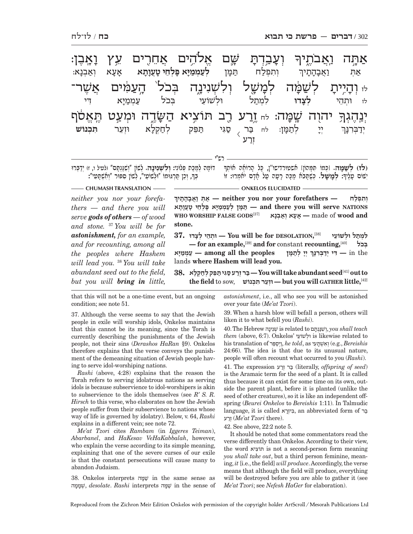רש"י .<br>ก' ֿוְעָבְדְתָּ שֶׁם אֱלֹהִים אֲחֵרֶים עֵץ וָאֶבֶן:  $\ddot{\mathbf{z}}$ אַתָּה וַאֲבֹתֶיך י וְהָיִיתָ לְשַׁמָּה לְמָשָל וְלִשְׁנִינֶה בְּכֹל הָעַמִּים אֲשֶׁר־ $\varphi$ ֥ ֖ יהוה שׁ( מּ ה: לח זר' ע רU ב תּוֹצ יא ה' שּׂ ד ְ < ה וּמעpט תֱּ S א ֔סֹף .<br>ล. יִנְהֶגְךָ ֦֧֖֖֖֖֖֖ׅ֖ׅׅ֖ׅ֧ׅׅ֧ׅ֧֧ׅ֧֚֚֚֚֚֚֚֚֚֚֚֚֚֚֚֚֚֚֚֚֚֝֝֝֓֝֓֓֓֝֬֓֓֞֝֬֝֝ ְו ִת ְפל'ח תּ' מּ ן **ְלע ְ ממ יּ א פּ ְ לֵחי טֲ עו ת א** א ע ְ א וא ְ ' בנ א: את לז וּתְהֵי **לְצָדוּ לִ**מְתַל וּלְשׁוֹעֵי בְּכל עַמְמַיָא דִי בּ'ר סִ' גּי תֵּ ' פּ ְ ק לחְ' קל ְ א וּזֵער **ִתּ ְכנוֹשׁ** ֧֧֧֢ׅ֧֚֝<u>֓</u> יִי לְתַמֶּן: לח  $\overline{\langle}$ ֿיָרע יד בר

ָ

ָ ְ , וֵכן תְּ ר ְ גּוּמוֹ "וּל ֵשׁוֹע ְ י", ל ִ שׁוֹן ס ְ פּוּר "ו ִאְשָׁתּ ִעי": ָדוֹמ ְה למ כּ ְ ת פּ ִלוֹני: **ְו ִל ְשִׁנינ ה.** ְל ְ שׁוֹן "ו ִשׁנְּנָתּם" (לעיל ו, ז) ְ ידְ בּרוּ ִי ָ שּׁוֹם עֶליך ִבְּךְ, וְכֵן תַּרְגּוּמוֹ "וּלְשׁוֹטֵי", לְשׁוֹן סִפּוּר "וְחָשְׁתָּטִי":

יְשׁוֹם **טְלֵיךְ: לְמַשֵׁל.** כְּשֶׁתָּבֹּא מָכָּה רָעָה עָל אָדָם יֹאמְרוּ: זוֹ

**(לז) לְשַׁמַּה. [כִּמוֹ תִּמָּהוֹן] אשטורדישו''ן, כָּל הָרוֹאֶה אוֹתִךְ)** 

ָ

**CHUMASH TRANSLATION ---- <b>CHUMASH TRANSLATION** --- **ONKELOS ELUCIDATED** *neither you nor your forefathers — and there you will serve gods of others — of wood and stone.* <sup>37</sup> *You will be for astonishment, for an example, and for recounting, among all the peoples where Hashem will lead you.* <sup>38</sup> *You will take abundant seed out to the field, but you will bring in little,* 

**ְ ְ ו ִת ְפלח — forefathers your nor you neither — א ְתּ וֲאָב ָהָתיך NATIONS serve will you there and — תָּמּ ְ ן לע ְממָיּ ָא פּ ְל ֵח ָ י טֲעָוָתא WHO WORSHIP FALSE GODS**[37] **נאָבְ או אְ עָאָ —** made of **wood and stone.**

**,DESOLATION for be will You — ְוּתֵה ְ י ל ָצדוּ 37. ִל ְמת ְ ל וּל ֵשׁוֹעי** [38] **— for an example,**[39] **and for** constant **recounting,**[40] **כלֹ בּ ְ ְ ְ יָי ְ לתָמּן peoples the all among — ע ְממָיּא** the in **— ִדּ ְ י יד ְבִּרָנּך** lands **where Hashem will lead you.**

 **to out**]41[**seed abundant take will You — בּ ְר זר ע ס ִגּ י תֵּפּ ְק לח ְק ָלא 38. the field** to sow, **כנוֹשְׁ תּ רִ עֵוּזְ — but you will GATHER little,**[42]

that this will not be a one-time event, but an ongoing condition; see note 51.

37. Although the verse seems to say that the Jewish people in exile will worship idols, Onkelos maintains that this cannot be its meaning, since the Torah is currently describing the punishments of the Jewish people, not their sins (*Derashos HaRan* §9). Onkelos therefore explains that the verse conveys the punishment of the demeaning situation of Jewish people having to serve idol-worshiping nations.

*Rashi* (above, 4:28) explains that the reason the Torah refers to serving idolatrous nations as serving idols is because subservience to idol-worshipers is akin to subservience to the idols themselves (see *R' S. R. Hirsch* to this verse, who elaborates on how the Jewish people suffer from their subservience to nations whose way of life is governed by idolatry). Below, v. 64, *Rashi* explains in a different vein; see note 72.

*Me'at Tzori* cites *Rambam* (in *Iggeres Teiman*), *Abarbanel*, and *HaKesav VeHaKabbalah*, however, who explain the verse according to its simple meaning, explaining that one of the severe curses of our exile is that the constant persecutions will cause many to abandon Judaism.

38. Onkelos interprets מּהשׁ in the same sense as מהמשְׁ , *desolate*. *Rashi* interprets מּהשׁ in the sense of *astonishment*, i.e., all who see you will be astonished over your fate (*Me'at Tzori*).

39. When a harsh blow will befall a person, others will liken it to what befell you (*Rashi*).

40. The Hebrew ישׁנִינה is related to ישננתם, you shall teach *them* (above, 6:7). Onkelos' שׁוֹעיֵ וּלְ is likewise related to his translation of יִיסַפּר, he told, as *וְיוֹם (e.g., Bereishis*) 24:66). The idea is that due to its unusual nature, people will often recount what occurred to you (*Rashi*).

41. The expression רע
ז רְ בּ) literally, *offspring of seed*) is the Aramaic term for the seed of a plant. It is called thus because it can exist for some time on its own, outside the parent plant, before it is planted (unlike the seed of other creatures), so it is like an independent offspring (*Beurei Onkelos* to *Bereishis* 1:11). In Talmudic language, it is called בְּיוָרָא, an abbreviated form of בָּר רע
זְ) *Me'at Tzori* there).

### 42. See above, 22:2 note 5.

It should be noted that some commentators read the verse differently than Onkelos. According to their view, the word תּוֹציאִ is not a second-person form meaning *you shall take out*, but a third person feminine, meaning, *it* [i.e., the field] *will produce*. Accordingly, the verse means that although the field will produce, everything will be destroyed before you are able to gather it (see *Me'at Tzori*; see *Nefesh HaGer* for elaboration).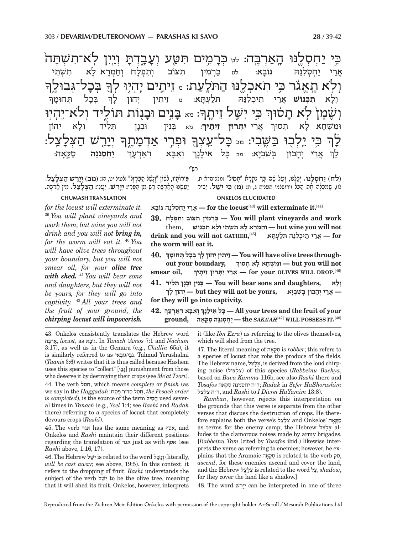האַרבֵה: <sub>לי</sub> כִּרמִים תִטֵּע וְעַבְדת ์<br>ก ּ; בְּכָל־גְּבוּלֶךְ יּ<br>ה תֹאכלנּוּ הַתּלַעַת: מּ זֵיתֵים ר: מא בָּנִים וּבָנוֹת תּוֹלֶיד וְלֹא־יִהְיִיוּ וְשֶׁמֶן לִא תָטוּךְ כִּי יִשֵׁל זֵיהֶךְ י וּפְרֵי אַדְמָהֶך יִיָּרֶשׁ הַצְלָצַל: נצה<del>ַ</del> י בִּי יֵלְכָוּ בַ*'שֶׁ*בִי: <sub>מב</sub> בָל־עֵצְךָ ֔לך אֲרֵי יַחְסְלִנֵּהּ גּוֹבָא: לּט כַּרְמִין תִּצוֹב וְתִפְלָח וְחַמְרָא *לָ*א תִשְׁתֵּי ֦֧֖֖֖֖֖֖֖ׅ֖֧ׅׅ֖֧֧֚֚֚֚֚֚֚֚֚֚֚֚֚֚֚֚֝֓֓֞֟֓֡֓֞֟֓֡֓֞֓֡֟֓֡֓֞֓֞֓֝֬֝ ֧֧֧֢ׅ֧֚֝<u>֓</u> בְּכָל תְּחוּמָן **וְלָא תִכְנוֹשׁ אֲרֵי תֵיכְלִנֵּה**َ הּלַעְתָּא: מ זֵיתִין יְהוֹן לָךְ **ְ**: מא בְּנִין וּבְנָן תְּלִיד וְלָא יְהוֹן ׇׇׅ֧֧֖֖֖֖֖֖֖֖֧֚֚֚֚֚֚֚֚֚֚֓֝֬<u>֚</u> ֲאֵרי **ִי ְתּ ֵ רוּן זית יך** תסוּך ׅ֧֖֖֖֖֖֖֖֖֖֖֧֖֧֖֧֧֧֧֧֧֧֚֚֚֚֚֚֚֚֚֚֚֚֚֚֓֝֬֝֓֞֟֓֡֬֓֓֞֟֓֡֬֓֓֞֬֓֓֞֓֝֬֓֓֞֝֬֓֓֞֝֬֝֬֝֬֝֬֝֬֝֬ **יַחִסְנְנֵהּ סַ** קַאַה: ֧֧֧֦֧֢ׅ֖֖֖֖֖֧֚֚֚֚֚֚֝֝<u>֚</u> וְאִבַּא דְאַרְעַךְ ֧֧֧֢ׅ֧֚֝<u>֓</u> אֵרֵי יְהַכוּן בִּשְׁבִיַא: מב כַּל אִילַנַךְ לְך

ְ(**לח) יחסלנּוּ.** יכלִנּוּ, ועל שׁם כּךְ נקרא "קסיל" (מלכים־א ח, לז) ֶ , שְׁמּכֶ לּ ֶה את ה ֹ כּל (ירושלמי תענית ג, ו): **ִ (מ) כּ ִ י ישּׁ ל.** י ִשּׁיר פֵּירוֹתָיו, לְשׁוֹן "וְנָשֵׁל הַבַּרְזֶל" ולטיל יט, ה): <mark>ומב) יְיָרֵישׁ הַצְּלָצֵל.</mark><br>יַטֲשֶׂנּוּ הָאַרְבֶּה רָשׁ מִן הַפֶּרִי: **יִיַרֵישׁ. יַטֵּנְי: הַצִּלַצֵל.** מִין אַרבּה.

רש"י

**CHUMASH TRANSLATION ONKELOS ELUCIDATED** 

*for the locust will exterminate it.*  <sup>39</sup> *You will plant vineyards and work them, but wine you will not drink and you will not bring in, for the worm will eat it.* <sup>40</sup> *You will have olive trees throughout your boundary, but you will not smear oil, for your olive tree with shed.* <sup>41</sup> *You will bear sons and daughters, but they will not be yours, for they will go into captivity.* <sup>42</sup> *All your trees and the fruit of your ground, the chirping locust will impoverish.*

[44]**.it exterminate will**]43[**locust the for — ֲאֵר י י ְח ְס ִלֵנּ ָ הּ גּוֹבא**

 **work and vineyards plant will You — כְּר ִמ ִ ין תּ ְ צּוֹב ו ִת ְפ ָלח 39. them, נחמרא לא תשתּי ולא תכנוֹש — but wine you will not drink and you will not GATHER, for — ֲאֵר ֵ י ת ְיכ ִלֵנּ ֹ הּ תּל ְעָתּא** [45] **the worm will eat it.**

**40. ְ ְ בָּכ ְל תּ ָחוּמך לך הוֹן ָ י ין ְ יתִ זֵ — You will have olive trees through-ְout your boundary, ְ not will you but — ִוּמ ְשָׁח ָא ל ְא תסוּך smear oil, ְ .DROP WILL OLIVES your for — ֲאֵר ִ י י ְתּ ֵ רוּן ז ָיתיך** [46]

**ְ ְ ו ָלא ,daughters and sons bear will You — ְבִּנ ְ ין וּבָנ ְ ן תּ ִליד 41. — ֲאֵר ְי יָה ְ כוּן בּ ִשׁ ְבָיא ,yours be not will they but — ְי ָ הוֹן לך**

**for they will go into captivity.**

**42. ְ ְ ו ִאָבּ ְא דאְרָעך נךָילָ א לִ כָּ — All your trees and the fruit of your ְ.IT POSSESS WILL**] 47[*AH'SAKA* **the— י ְח ְסִנֵנּ הּ סָקָּאה ,ground** [48]

43. Onkelos consistently translates the Hebrew word בּהֶרְא , *locust*, as גּוֹבא . In *Tanach* (*Amos* 7:1 and *Nachum*  3:17), as well as in the Gemara (e.g., *Chullin* 65a), it is similarly referred to as גֹּבָי/גּוֹבָאי<br/> Talmud Yerushalmi (*Taanis* 3:6) writes that it is thus called because Hashem uses this species to "collect" [נָבֵי] punishment from those who deserve it by destroying their crops (see *Me'at Tzori*). 44. The verb חסל, which means *complete* or *finish* (as we say in the *Haggadah*: סח
פּ דּוּר ֶ ס לִ ס
חֲ, *the Pesach order is completed*), is the source of the term סילִ ח used several times in *Tanach* (e.g., *Yoel* 1:4; see *Rashi* and *Radak* there) referring to a species of locust that completely devours crops (*Rashi*).

45. The verb אגר has the same meaning as אסף, and Onkelos and *Rashi* maintain their different positions regarding the translation of אגר just as with אסף) see *Rashi* above, 1:16, 17).

46. The Hebrew שּׁל יִ is related to the word שׁל
נוְ) literally, *will be cast away*; see above, 19:5). In this context, it refers to the dropping of fruit. *Rashi* understands the subject of the verb שּׁל יִ to be the olive tree, meaning that it will shed its fruit. Onkelos, however, interprets

it (like *Ibn Ezra*) as referring to the olives themselves, which will shed from the tree.

47. The literal meaning of אהקּס is *robber*; this refers to a species of locust that robs the produce of the fields. The Hebrew name, צל
לצְ , is derived from the loud chirping noise (לצוּלְ צִ ( of this species (*Rabbeinu Bachya*, based on *Bava Kamma* 116b; see also *Rashi* there and *Tosafos* סקאה יחסנינה ה"ד ;*Radak* in *Sefer HaShorashim* צלצל ה"ד, and *Rashi* to *I Divrei HaYamim* 13:8).

*Ramban*, however, rejects this interpretation on the grounds that this verse is separate from the other verses that discuss the destruction of crops. He therefore explains both the verse's צל
לצְ and Onkelos' אהקּס as terms for the enemy camp; the Hebrew צל
לצְ alludes to the clamorous noises made by army brigades. [*Rabbeinu Tam* (cited by *Tosafos* ibid.) likewise interprets the verse as referring to enemies; however, he explains that the Aramaic אהקּס is related to the verb סק, *ascend*, for these enemies ascend and cover the land, and the Hebrew צל
לצְ is related to the word צלֵ, *shadow*, for they cover the land like a shadow.]

48. The word רשֵׁייְ can be interpreted in one of three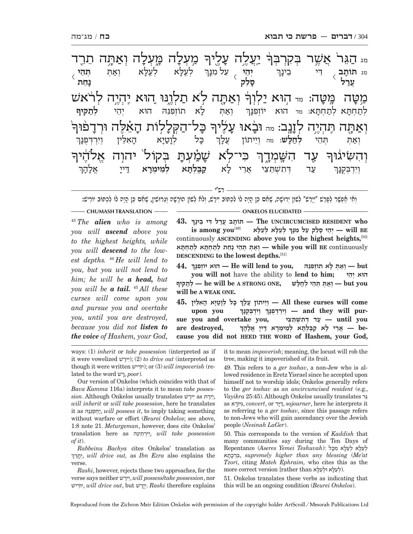י יַעֲלֶה עָלֶיךָ מַעְלָה מֶעְלָה וְאַתָָה תֵרֵד ' בּה <sub>ײ</sub>ַ הַגֵּר אֲשֶׁר בְּקִרְבְּךָ  $\dot{\mathbf{r}}$  וְ וְאַתֶּה לֹא תַלְוֶנֵּוּ הַוּא יְהְיֶה לְרֹאשׁ מִטַּה מַטַּה: <sub>ײִ</sub> הוּא יַל ֙ .<br>ก' ה לִזַנֵב: <sub>מה</sub> וּבַאוּ עַלֵיךִ כַּל־הַקַלַלוֹת האנלה וּו .<br>ה ְשמעת בּקול יהוה <mark>ּ</mark> דָּ עֻר הִשְּׁמְדֶך גוּה **ְתֵּהי** ְלְעֵלָא לְעֵלָא וְאַתְ  $\overline{\langle}$  **נֵ חת יֵעֵל מִנְּךְ** ְ $\langle$  **סֵ לק** בִינ<u>ַ</u>ךְ מג **הנור**  $\overline{\langle}$  **ֲער ל** ֧֧֧֦֧֢ׅ֧֦֧֧֦֧ׅ֧֚֝֝֬֝֬֜֓֓<u>֚</u> ְוא ְ ' תּ ל ְ א תוֹז ִפֵנּ ְ הּ הוּא יֵהי **ְלתִ קּיף**  לְתַחְתַּא לְתַחְתַּא: מד הוּא יוֹזִפְנַּךְ ְ ֧֧֧֧֦֧֦֧֚֝֝֬<u>֓</u> כּל לוטיא **וְאַתְּ תִּהֵי לְחַלַּשׁ: מה וְיֵיתוֹן עֵלַ**ךְ ֧֧֧֦֧֢ׅ֖֖֖֖֖֧֚֚֚֚֚֚֝֝<u>֚</u> ְ ע ְ 'ד דּ ִת ְשֵׁתֵּצ ֲ י אֵרי ל א **ק בּ ְC לתּ ְ א לֵמ ְימר א** דּ' יי ֱ אל ה ך **וְיִדְבְּקֻנָּ**ךְ

ְוְאֵי אֶפְשֶׁר לְפַרֶשׁ "יְיֵרֶשׁ" לְשוֹן יְרוּשָׁה, שָׁאָם כֵּן הָיָה לוֹ לְכִתּוֹב יִירָשׁ, ולֹא לְשוֹן הוֹרָשָׁה וְגֵרוּשִׁין, שָׁאָם כֵּן הַיָּה לוֹ לְכִתּוֹב יוֹרְישׁ: רש"י

<sup>43</sup> *The alien who is among you will ascend above you to the highest heights, while you will descend to the lowest depths.* <sup>44</sup> *He will lend to you, but you will not lend to him; he will be a head, but you will be a tail.* <sup>45</sup> *All these curses will come upon you and pursue you and overtake you, until you are destroyed, because you did not listen to the voice of Hashem, your God,* 

**CHUMASH TRANSLATION ---- <b>CHUMASH TRANSLATION** ---

**43. ְ who RESIDENT UNCIRCUMCISED The — ָתּוֹת ֲ ב ער ִל דּ ֵ י ב ָינך ְ** $\mathbf{i}$  **s** among  $\mathbf{y}$ ou<sup>[49]</sup>  **BE will — ְיֵה ָ י סֵל ֵ ק ע ִ ל מָנּך** continuously **ASCENDING above you to the highest heights,**[50] continuously **BE will you while — ְוא ְתּ ְ תֵּה ָ י נֵח ְת לת ְחָתּ ְא לת ְחָתּא DESCENDING to the lowest depths.**[51]

- **44. ְ but — ְוא ְתּ ָ ל ְ א תוֹז ִפֵנּהּ ,you to lend will He — ְ הוּא יוֹז ִפָנּך you will not** have the ability to **lend to him; היֵי הוּא ְ — ب<sub>ַ</sub> מִהֵי לְחַלָּשׁ , he will be** A STRONG ONE, שִׁמְּלִּחַ — but you **will be A WEAK ONE.**
- **ְ45. (יְמֵיִא הָאִלִּין — All these curses will come upon you ְ ְ ְ וִיְד ְבֻּקָנּך you until — ע ְ ד דּ ִת ְשֵׁתֵּצי ,you overtake and you sue-pur will they and — ְוִיְרְדֻּפָנּך are destroyed, ְ** cause you did not HEED THE WORD of Hashem, your God, **be — ֲאֵר ָ י ל א קֶבּ ְלָתּ ְ א לֵמ ְימָר א דּ ָיי ֱ אָל ָהך**

ways: (1) *inherit* or *take possession* (interpreted as if it were vowelized ירשׁ יִ) ;(2 (*to drive out* (interpreted as though it were written (יוֹרִישׁ; or (3) *will impoverish* (related to the word רשׁ, *poor*)*.*

Our version of Onkelos (which coincides with that of *Bava Kamma* 116a) interprets it to mean *take posses* $sion$ . Although Onkelos usually translates יִירַשׁ as יִירַח. *will inherit* or *will take possession*, here he translates it as נּהֵּנִסְ חְ י , *will possess it*, to imply taking something without warfare or effort (*Beurei Onkelos*; see above, 1:8 note 21. *Meturgeman*, however, does cite Onkelos' translation here as ינּהֵּ תִ ירְ יֵ, *will take possession of it*).

*Rabbeinu Bachya* cites Onkelos' translation as ְ רךֵתיְ, *will drive out,* as *Ibn Ezra* also explains the verse.

*Rashi*, however, rejects these two approaches, for the verse says neither ירשׁ יִ, *will possess*/*take possession*, nor רישׁ;ִיו, *will drive out*, but רשֵׁייְ. *Rashi* therefore explains

it to mean *impoverish*; meaning, the locust will rob the tree, making it impoverished of its fruit.

49. This refers to a *ger toshav*, a non-Jew who is allowed residence in Eretz Yisrael since he accepted upon himself not to worship idols; Onkelos generally refers to the *ger toshav* as *an uncircumcised resident* (e.g., *Vayikra* 25:45). Although Onkelos usually translates גּרֵ as רא;גּיּוִ, *convert*, or יּרדּ , *sojourner*, here he interprets it as referring to a *ger toshav*, since this passage refers to non-Jews who will gain ascendancy over the Jewish people (*Nesinah LaGer*).

50. This corresponds to the version of *Kaddish* that many communities say during the Ten Days of ְ לֵעלּ ְ א לֵעלּ ִא מכּל :(*Teshuvah Yemei Aseres* (Repentance תאכרְבִּ , *supremely higher than any blessing* (*Me'at Tzori*, citing *Mateh Ephraim,* who cites this as the more correct version [rather than לִעֲלָא וּלִעֲלָא וּלִעֲלָ

51. Onkelos translates these verbs as indicating that this will be an ongoing condition (*Beurei Onkelos*).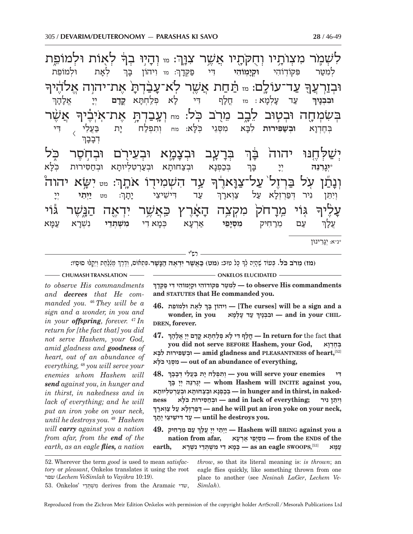רש"י לאוֹת וּלמוֹפת לִשְׁמָ*ּר מִצְוֹתֲיו וְחֻקֹּתָיו אֲשֶׁר צִ*וּּ֑הָ׃ ְיִהְיִוּ בְךָ ֦֧֧֖֖ׅׅ֧֧֧֧ׅ֧֧֧֧֧֚֚֚֚֚֚֚֚֚֚֚֚֚֚֚֚֚֚֝֡֡֓֡֬֓֡֟֓֡֬֓֝֓֝֓֝֬֜֓֝֬֝֬ .<br>ה ּלֵם: <sub>מּו</sub> תַּחַת אֲשֶׁר לֹא־עַבָּדִתַּ אֵת־ .<br>ה <mark>ֿוּבְזַרְ</mark>עֲךָ .<br>ก' אֲשֶׁר $\ddot{\rm w}$ בְּשִׂמְחֶה וּבְטְוּב לֵבֶב מֵרֻב כִּל: מח וְעֲבַדְתָּ אֶת־אִיְבֶ֫יךִ ְבְּרָעָָב וּבְצָמֶא וּבְעֵירֹם וּבְחָסֶר כִּל חנּוּ יהוה ׅ֖֖֖֖֖֖֖֖ׅ֖֪֪ׅ֖֖֪֖֖֪֪֪֪֪֪֪֪֪֪֪֪֚֚֚֚֚֚֚֚֚֚֚֚֚֚֓֝֝֝֝֓֞֝֓֝֓֓֞֝֬֝֓֞֝֓֞֝֓֝֓֝֓֝֬֝֓֝֓֝֝֝֝֝  $\kappa$ יש $\omega$ ר עד השמיד' צוּאר .<br>ה גּוֹי מֵרָחֹק מִקְצֵה הָאָדֶץ כַּאֲשֶׁר יִדְאֶה הַגֲשֶׁר גּוֹי עָלֶיך<del>ּ</del> ֧֧֧֦֧֢ׅ֖֧֧֚֝֝֬֓֓֓֓֓֓֓֡֓֓֓֡֬֓֓֓֡֬֓֓֓֡֬֓֓֝֬ לאת וּלמוֹפת ֧֧֧֢ׅ֧֚֝<u>֓</u> פַקְרַךְ: מו וְיהוֹן בַּךְ פִקוֹדוֹהִי **וּקְיַמְוֹהִי** דִי ֧֧֧֦֧֢ׅ֖֧֧֚֝֝֬֓֓֓֓֓֓֓֡֓֓֓֡֬֓֓֓֡֬֓֓֓֡֬֓֓֝֬ **ְ**עַד עַלְמָא ּמוּ חֱלָף דִּי לָא פְלַחְתָּא **קֵדָם** יְיָ אֱלָהָך **ִוּב ְבנ יך** בַּעֲלֵי דִי<br>רבבה > בְּחֶדְוָא וּ**בְשַׁפִּירוּת** לִבְּא מִסְגֵי כִּלָּא: מח וְתִפְלַח יָת  $\overline{\langle}$ דְבָנְךָ ֧֧֧֦֧֢ׅ֖֖֖֖֖֧֚֚֚֚֚֚֝֝֬<u>֚</u> וּבצחוּתא וּבערטליוּתא \***ְיגִ רֵנּהּ** ְיי בּ ך ׇׅ֧֧֧֦֧֢ׅ֦֧֦֧ׅ֧֓֝֬֓֓֓֓֡֜֓֓<u>֚</u> : מט **יְ יֵתי** ְיי ׇׅ֧֧֧֦֧֢ׅ֦֧֦֧ׅ֧֓֝֬֓֓֓֓֡֜֓֓<u>֚</u> עַד דִישֵׁיצִי יָתָךְ וְיִתֵּן נִיר דְפַרְזְלָא עַל צַוְּארָךְ ְ ע ֵ 'ם מר ִ ' חיק **ִמ ְסּיֵ פי** אְ' רע ְ א כּמ ִ א די **ִמ ְשׁ ְתֵּדי** ִנ ְשׁרא ע' מּ א ַעֲלֶךְ \*נ"א: ְ יגֵ רינוּן

ְ מְ צל ח ְ ת וֵיק ָ לּוּ סוּסיו: ָ כּל טוּב: **(מט) כֲּ א ֶשׁ ִר יְדֶאה ה נֶּשׁר**ִ**.**פְּת ְ אוֹם, וֶדֶרך **ֵ (מז) מרֹ ֹ ב כּל.** ְבּ ֶ עוֹד שָׁהָי ְה לך ָ

**CHUMASH TRANSLATION** *CHUMASH TRANSLATION* **CONKELOS ELUCIDATED** 

*to observe His commandments and decrees that He commanded you.* <sup>46</sup> *They will be a sign and a wonder, in you and in your offspring, forever.* <sup>47</sup> *In return for [the fact that] you did not serve Hashem, your God, amid gladness and goodness of heart, out of an abundance of everything,* <sup>48</sup> *you will serve your enemies whom Hashem will send against you, in hunger and in thirst, in nakedness and in lack of everything; and he will put an iron yoke on your neck, until he destroys you.* <sup>49</sup> *Hashem will carry against you a nation from afar, from the end of the earth, as an eagle flies, a nation* 

**ְ commandments His observe to — ְל ִמטּ ִר פּ ִ קּוֹדוֹה ְ י וּקָי ִמוֹה ִ י דּ י פ ְקָּדך and STATUTES that He commanded you.**

**ְ** $\frac{46}{3}$  **(י**יהוֹן בְּךְ לְאָת וּלְמוֹפֵת **46.**<br>ייהוֹן בְּךְ לְאָת וּלְמוֹפֵת (The curses **ְ ע ָ ד ע ְלָמא you in ,wonder ניךָבְ וּבִ — and in your CHIL-DREN, forever.**

**47. ְ that** fact the **for return In — ֳחָל ִף דּ ָ י ל ְא פל ְחָתּ ֳא קָד ְם יָי ֱ אָל ָהך you did not serve BEFORE Hashem, your God, ואָדְחֶ בּ ְ** [52]**,heart of PLEASANTNESS and gladness amid — ְוּב שׁ ִפּ ִ ירוּת לָבּא ,everything of abundance an of out — ִמ ְסֵּג ֹ י כּ ָלּא**

**48. ְ ְ ִ דּי enemies your serve will you — ְו ִת ְפל ָח י ת בֲּעֵל ְ י דָבָבך ,you against INCITE will Hashem whom — ְיָגִרֵנּ ְהּ יָי ָ בּך ) / i i i i** and in lack of everything;  $\mathbf{r}$  **'**  $\mathbf{r}$  **' )** *i*  $\mathbf{r}$ **naked in ,thirst in and hunger in — ְבּכ ְפָנ ְא וּבצ ָחוּת ְא וּבעְר ִט ְ ל ָ יוּתא ְ ,neck your on yoke iron an put will he and — ְדּפְרְז ָל א ע ל צְוּ ָארך .you destroys he until — ע ִד דּ ֵישׁ ֵיצ ָי יָתך**

**ְ עֵמְיִי** יִיְ עֲלְךְּ עַם מֵרַחִיק 49.  $-$  **Hashem** will BRING against you a  **hation from afar, Applyish**  $\alpha$  $\beta$  **(and**  $\gamma$ **)** a set of the  $\alpha$  from the ENDS of the  $\bf{g}$  **(53)**  $\bf{g}$  **2018)** earth,  $\bf{h}$  as an eagle swoops. עמא

52. Wherever the term *good* is used to mean *satisfactory* or *pleasant*, Onkelos translates it using the root שפר) *Lechem VeSimlah* to *Vayikra* 10:19).

*throw*, so that its literal meaning is: *is thrown*; an eagle flies quickly, like something thrown from one place to another (see *Nesinah LaGer*, *Lechem Ve-Simlah*).

53. Onkelos' מִשְׁתְּדֵי derives from the Aramaic  $\nu$ ,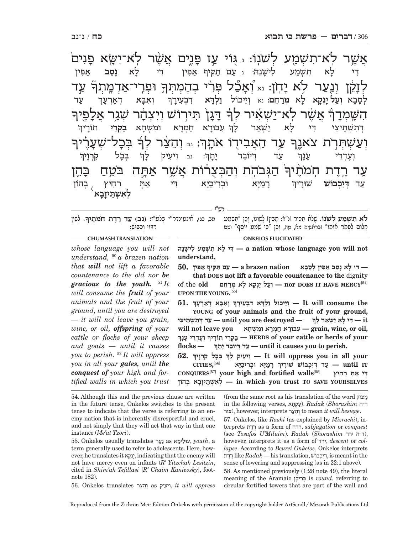אֲשֶׁר לֹא־תִשְׁמַע לְשֹׁנְוֹ: נּגָוֹי עַז פָּנִים אֲשֶׁר לֹא־יִשֶׂא פָנִים ֿ עַר .<br>ค. **ָ** וּפְרִי־אַדְמֶתְךָ .<br>ล. לְזָקֵן וְנֵעַר לִא יָחְן: נא וְאָבָל פְּרִי בְהֶמְתְּךָ .<br>ה ֹי דָגָן תִּירְוֹשׁ וְיִצְהָר שְׁגַר אֲלָפֶיךִ י<br>ה ֿ אֲשֶׁר לֹא־יַשְׁאִיר לְךָ ֦֧֖֖֖֖֧ׅׅׅ֧֧֧ׅ֧֧֧֧֚֚֚֚֚֚֚֚֚֚֚֚֚֚֚֚֝֝֓֡֓֓֡֬֓֓֞֟֓֡֬֓֞֓֡֬֓֓֞֓֡֬֓֓֝֬֝֓֞֬֝֓֝֬֓֝֬֝֬֝֬֝֬ **ֿ**ײִטְּבָ׀ .<br>ה י בְּכָל־*שְׁעָרָי*ך .<br>ה ֦֧֧֦֧֦֧֚֝֝<u>֓</u> : י<sup>ב</sup> וָׂדֵצָר לְבְ ר ער האָבידו אתר<u>.</u> <mark>ֿיְעַ</mark> יִתְרֹת צֹאנֶך ֿ הַגְּבֹהָת וְהַבְּצֻרֹוֹת אֲשֶׁר אַתֶּה בֹּטֵחַ בָּהֶן ' יר ת חמו ִדּי ל ִ א ת ְשׁמ ִ 'ע לישֵּׁ נהּ: <sup>נ</sup> ע'ם תִּ' קּיף א ִ ' פּ ִ ין דּי ל א **נֵ סב** א ִ ' פּין ֧֧֧֦֧֢ׅ֖֧֧֦֧ׅ֧֚֚֝֝֬֝֬֜֓֓<u>֚</u> עד ֧֧֧֦֧֢ׅ֖֖֖֖֧֚֚֚֚֚֝֝֬<u>֚</u> <mark>ֿוְ</mark>אָבָא דְאַרְעָך ְלס ב א **ְוע ל יְ נק א** ל א **ְמרֵ חם**: נא ְוֵייכוֹל **ו ְ לדּ א** ִד ְב ִעיר ך ֧֧֧֦֧֢ׅ֖֧֧֚֝֝֬֓֓֓֓֓֓֓֡֓֓֓֡֬֓֓֓֡֬֓֓֓֡֬֓֓֝֬ ֧֧֧֢ׅ֧֚֝<u>֓</u> ִעבּוּרא ח ְ' מר ִ א וּמ ְשׁח א **בּ ְ קֵרי** תוֹר יך ַדְּתִשְׁתֵּיצֵי דִּי לָא <u>י</u>ַשְׁאַר לָךְ **ְ** ֧֧֧֧֦֧֢ׅ֖֧֖֧֧֦֧֦֧֚֚֚֝֝֬֝֬֝֬<u>֓</u> .<br>בִּכָל **קִרְוָיך** ֧֧֧֧֦֧֢ׅ֖֧֖֧֧֦֧֦֧֚֚֚֝֝֬֝֬֝֬<u>֓</u> : נב ו**ִיעִי**ק לָךְ ֦֧֖֖֖ׅׅׅׅ֧ׅ֧֧ׅ֧ׅ֧֧֧֧֚֚֚֚֚֚֚֚֚֚֚֚֚֚֚֚֚֚֚֚֚֚֚֚֚֚֝֡֝֬֝֝֓֝֬֝֝֬֝֝֬ עַד דְיוֹבֵד יָתָךְ ענה בְהוֹן ֧֧֧֦֧֢ׅ֧֚֝֝֬֓֓֓֓֓֓֡֓֓֓֡֬֓֓֓֡֬֓֓֓֡֬֓֓֡֬֓֓֓֓ רַמַיַּא וּכִרִיכַיַּא דִּי אַתִּ  $\overline{\langle}$  **ְל ִא ְשֵׁתּיז ב א** ע' ד **ְדִּי ְכבּוֹשׁ** שׁוּר יך

 $\mathbf{v}'' = -$ 

| מב, כג), אינטינדר"י בְּלֹט"ז: (נב) עַד רֶדֶת חֹמֹתֶוּךָ. לְשׁוֹן | לֹא תִשְמַע לְשֹׁנוּ. אֲלֹח תַכִּיר וּנ"ח: תָּבִין) לְאוֹנוֹ, וְכֵן "תִּאְמַע         |
|------------------------------------------------------------------|---------------------------------------------------------------------------------------|
| רִדוּי וְכִבּוּם:                                                | חֵלוֹם לִפְתֹּר אוֹתוֹ" ובראשית מא, טוו, וְכֵן "כִּי שֹׁמֵטַ יוֹסֵף" ושם              |
| - CHUMASH TRANSLATION                                            | <b>ONKELOS ELUCIDATED</b>                                                             |
| whose language you will not                                      | ח – די לא תשמע לישנה – a nation whose language you will not                           |
| understand, $50$ a brazen nation                                 | understand,                                                                           |
| that <b>will</b> not lift a favorable                            | 50. דִּי לָא נָסֶב אַפִּין לְסָבָא — a brazen nation — דִּי לִא נָסֶב אַפִּין לְסָבָא |
| countenance to the old nor be                                    | that DOES not lift a favorable countenance to the dignity                             |
| gracious to the youth. $51$ It                                   | of the <b>old</b> ווירחם יעל יונקא לא מרחם ועל הארו היא יונקא של האות ועל סוף ווא     |
| will consume the <b>fruit</b> of your                            | UPON THE YOUNG. [55]                                                                  |
| animals and the fruit of your                                    | 51. וְיֵיכוֹל וַלְדָא דִבְעִירָךְ וְאִבָּא דְאַרְעָךְ It will consume the             |
| ground, until you are destroyed                                  | YOUNG of your animals and the fruit of your ground,                                   |
| $-$ it will not leave you grain,                                 | ער דְּתְשְׁתֵּיצֵי — until you are destroyed — דִּי לַא יַשְׁאַר לַךְּ — it           |
| wine, or oil, <b>offspring</b> of your                           | will not leave you רעבורא חַמְרָא וּמִשְׁחָא — grain, wine, or oil,                   |
| cattle or flocks of your sheep                                   | בַקְרֵי תוֹרָיךְ וְעֵדְרֵי עָנָךְ — HERDS of your cattle or herds of your             |
| and goats $-$ until it causes                                    | flocks — עד דִּיוֹבֵד יָתָךְ — until it causes you to perish.                         |
| you to perish. $52$ It will oppress                              | 52. וְיעִיק לְךְ בְּכָל קַרְוָיךָ b It will oppress you in all your                   |
| you in all your <b>gates</b> , until the                         | CITIES, $^{[56]}$ עד דִיִכְבּוֹשׁ שׁוּרָיךְ רָמַיָּא וּכִרִיכַיָּא — until IT         |
| conquest of your high and for-                                   | CONQUERS[57] your high and fortified walls[58] דִּי אַתְּ רְחִיץ                      |
| tified walls in which you trust                                  | לאשתיוכא בהון — in which you trust TO SAVE YOURSELVES                                 |

54. Although this and the previous clause are written in the future tense, Onkelos switches to the present tense to indicate that the verse is referring to an enemy nation that is inherently disrespectful and cruel, and not simply that they will act that way in that one instance (*Me'at Tzori*).

55. Onkelos usually translates ער
נ as ימא עוּלֵ , *youth*, a term generally used to refer to adolescents. Here, however, he translates it קאנְי, indicating that the enemy will not have mercy even on infants (*R' Yitzchak Lesitzin*, cited in *Shim'ah Tefillasi* [*R' Chaim Kanievsky*], footnote 182).

56. Onkelos translates צר
הֵוְ as יעיקִ וִ, *it will oppress*

(from the same root as his translation of the word קמצוק in the following verses, תאקְע(. *Radak* (*Shorashim* ה"ד צור(, however, interprets צר
הֵוְ to mean *it will besiege*.

57. Onkelos, like *Rashi* (as explained by *Mizrachi*), interprets דתֶרֶ as a form of רדה, *subjugation* or *conquest* (see *Tosafos U'Miluim*). *Radak* (*Shorashim* ירד ה"ד(, however, interprets it as a form of ירד, *descent* or *collapse*. According to *Beurei Onkelos*, Onkelos interprets דתֶרֶ like *Radak* — his translation, כבּוֹשְׁ יִדְּ, is meant in the sense of lowering and suppressing (as in 22:1 above).

58. As mentioned previously (1:28 note 49), the literal meaning of the Aramaic יכן רִכְּ is *round*, referring to circular fortified towers that are part of the wall and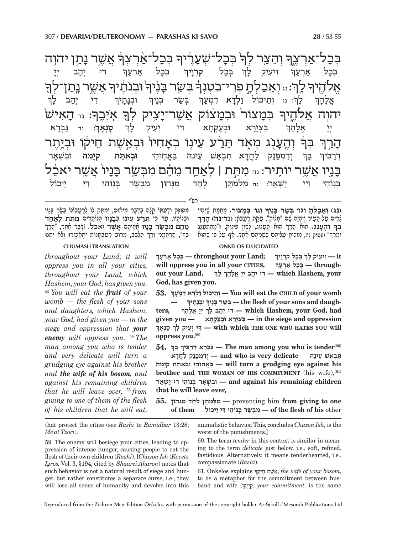ֿ אֲשֶׁר נָתַן יהוָה .<br>ค. .<br>ก' <u>ڐؚڂٙڔۦ؆</u>ؚڶۂڶۭڋ ֙ ְ בּכ ְ ל־שׁעֶ ֔ ריך ์<br>ก .<br>ก. **וְהֵצָר לְ** בְּכָל־אַרְצֶך ֖ ์<br>ก .<br>ר **ְאֲ** שֶׁ בָּתַן־לְךָ <u>ؖ</u> וּבְנֹתֶׁיךָ .<br>ה ْ בְּש<del>ָׂ</del>ר בָּנֶ֫י<sub>ּד</sub> .<br>ה ׅ֧֖֖֖֖֖֖ׅ֖֖ׅ֖ׅ֖ׅ֖֧֖֖֧֪ׅ֧֚֚֚֚֚֚֚֚֚֚֚֚֚֚֚֓֝֬֝֝֓֝֬֓֡֓֞֟֓֡֓֞֟֓֡֞֓֞֓֝֬֝֓֞֞֝֓֞֝֓֞֝֬֓֝ יינ **וֹאٚכֹ**לְעוֹ פֹנֹג, נוּ נוֹ לִי יִ .<br>ר לנ. אֵלֹהֱיך .<br>ล.  $\mathrm{i}$  נד הַאִי $\mathrm{i}$  $\mathbf{X} \in \mathbb{R}^{n+1}$ .<br>ה .<br>ה ַ בְּמָצוֹר<sup>ּ</sup> וּבְמָצוֹק אֲשֶׁר־יָצִיק לְךָ יהוָה אֱלֹהֱיִךָּ ֿי וְהֶעֲנָג מְאֶד תֵּב<sup>ִי</sup>ע עֵינָוֹ בְאָחִיוֹ וּבְאֵשֶׁת חֵיקוֹ וּבְיֶתֶר .<br>ก. ֦֧֦֧<u>֚֓</u> ָב<sup>ּ</sup>ֲ ב  $\overline{\mathbf{P}}$ הַרֵך בָּנֶיוּ אֲשֶׁר יוֹתְיר: הּ מִתֵּת | לְאַחַד מֵהֶם מִבְּשֵׂר בָּנָיוֹ אֲשֶׁר יֹאבֹל ְיִד<sup>ֶ</sup> יִד<del>ַ</del>ב יי **ְ**בכל ֧֧֧֢ׅ֧֚֝<u>֓</u> .<br>בְּכָל קִרְוָיך ֖֖֖֖֧֧֧֧֧֧֧֧֧֧֚֚֚֚֚֚֚֚֚֚֚֚֚֚֚֚֚֚֚֚֚֚֚֝֝֓֟֓֟֓֝֓֝֓֝֓֝֬֝֓֝֬֝֓֝֬֝ וִיעִיק לָך בְּכָל אַרְעָך ֧֧֧֦֧֢ׅ֖֖֖֖֧֚֚֚֚֚֝֝֬<u>֚</u> ֧֧֧֦֧֢ׅ֖֖֖֖֖֧֚֚֚֚֚֚֝֝֬<u>֚</u> יהב ׅ֧֖֖֖֖֖֖֖֖֧ׅ֖֖֖֪ׅ֪֪֪֪ׅ֖֧֚֚֚֚֚֚֚֚֚֚֚֚֚֚֚֓֬֝֓֓֞֟֓֡֬֓֓֞֓֞֓֡֓֓֞֓֞֓֡֓֓֞֓֝֬֝֓֞֝֬֝֓֝֓֓֝֬ יר ֖֖֖֖֖֖֖֖֧ׅ֖֧֪֪ׅ֧֧֧֧֧֧֧֪֪֪֪֪֪֪֪֪֪֪֪֪֪֪֪֪֪֪ׅ֚֚֚֚֚֚֚֚֚֚֚֚֚֚֚֚֚֚֚֝֝֟֓֓֞֝֬֝֓֞֝֬֝֓֞֝֬֝֓֝֬֝֬֝֬֝ ַבְּשַׂר בְּנָיך ֧֧֧֖֖֖֖֖֖֧֚֚֚֚֚֚֚֝֝֬<u>֚</u> : נג ְוֵתיכוֹל **ו ְ לדּ א** ִד ְמע ך ׇׅ֧֧֧֦֧֢ׅ֦֧֦֧ׅ֧֓֝֬֓֓֓֓֡֜֓֓<u>֚</u> לְך אֵלֶהָך **ְ**: נד ג<mark>ַּבְרָא</mark> ׇׇׅ֧֧֓<u>֓</u> **סְ נא ך** ֧֧֧֢ׅ֧֚֝<u>֓</u> ַבִּצירא וּבעקתא די יִי אֱלָהָך ׇׅ֧֧֧֦֧֢ׅ֧֓֝֬֓֓֓֓<u>֚</u> ְוִד ְמפ' נּ'ק לֲ' חד ִ א תּ ְבֵא ֵ שׁ ע ֵינהּ בֲּ' א ֽח ִוּהי **ְוּב ִאתּ ְ ת קיֵ מהּ** ִוּב ְשׁא ר ׇׅ֧֧֧֦֧֢ׅ֦֧֦֧ׅ֧֓֝֬֓֓֓֓֡֜֓֓<u>֚</u> בּ ך דְרַכִּיךִ בְּנְוֹהִי דִּי יַשְׁאַר: <sub>נה</sub> מִלְמִתַּן לְחַד מִנְּהוֹן מִבְּשַׂר בְּנְוֹהִי דִּי יֵיכוֹל

רש"י

מְפוּנָק וְדַעְתּוֹ קָנָה בִּדְבַר מִיאוֹס, יִמְתַּק לוֹ לְרַעֲבוֹנוֹ בְּשֶׂר בָּנָיו<br>וּבְנוֹתֵיו, עַד כִּי הַגַרַע עֵינוֹ בְּבֵנֵיו הַמִּתְרֹיִם מִהָּת לֹאַחַד **מהם מבּשׂר בּניו א**מיהס **אשר יֹאבל.** [דִּבר אִחר, "הרך מִהֶם מִבְּשַׁר בָּנָיוּ וְזֵמֵיהֶס אֲשֶׁר יֹאבֵד. וַדֶּבֶר סַמֵר, ־הָרַןּ<br>בַּדְּ", הרַחְמֵני ורְדְ הַלֹּבֹב, מרוֹב רַטַבְּסִנוּת יִתְחָכְזְרוּ ולֹחִ יִתְּנוּ ָ

,<br>(נג) וְאָבַלְתָּ וֹגוֹ׳ בְּשַׂר בְּנֶיךָ וֹגוֹ׳ בְּמָצוֹר. מֵחֲמַת שֶׁיִּהְיִי ,<br>זכום נול ביווב ווכיר הם "מיוֹר", יוכם ביודון, ווכרזב) ברב ְָ לָרִים עַל הָטִיר וְיִהְיֵה שָׁם *"מָ*נוֹק", עֲקַת רֵעָבוֹן: (**נד־נה) הַרַך**ּר **ְגְיִיָּ שַׁג עֲעִיּ** וְיִאֶיֶָט שָׂכ<br>**בּרִּ וּהענֹג.** הוּא הרד ְדור זיין די מוֹכִיח עליהם שְׂשִׁירֵ, זְהוֹ דָ זְיוֹן, א שְׂיִאִבַּיִּ יִ<br>וּמרֹךְ" (פסוק נו), מוֹכִיח עליהם שְׂשִׁניהם אחד. אף על פּי שהוּא

**CHUMASH TRANSLATION ONKELOS ELUCIDATED** 

*throughout your Land; it will oppress you in all your cities, throughout your Land, which Hashem, your God, has given you.*  <sup>53</sup> *You will eat the fruit of your womb — the flesh of your sons and daughters, which Hashem, your God, had given you — in the siege and oppression that your enemy will oppress you.* <sup>54</sup> *The man among you who is tender and very delicate will turn a grudging eye against his brother and the wife of his bosom, and against his remaining children that he will leave over,* <sup>55</sup> *from giving to one of them of the flesh of his children that he will eat,* 

**ְ ;Land your throughout — ְבָּכ ל אְרָעך**

**ְ ְ ְ בָּכ ִל קְרָויך it — ִו ִיע ָ יק לך will oppress you in all your CITIES, ְ ְ ,Land your out- ָ לך your ,Hashem which — ִדּ ְ י יה ְב יָי ֱ אָל ָהך through — ְבָּכ ל אְרָעך ְGod, has given you.**

**53. ְ womb your of CHILD the eat will You — ְוֵת יכוֹל ו ְלָדּ ִא ד ְמָעך — ְ ְ ְ וּבָנָתיך ניךָבּ רְ שׂ בְּ — the flesh of your sons and daughters, ְ ְ יִי** יִהַב לךְ יִיְ אֵלְהָךְ — which Hashem, your God, had **ְ oppression and siege the in — ִבּ ְצָיָר ְ א וּבָע ְקָתא — you given ְ ָ סְנָאך לך יק ָ עִ י י ְ דִּ — with which THE ONE WHO HATES YOU will oppress you.**[59]

**54. ְ ָ בּך** [60]**tender is who you among man The — גּ ְבָר ְא דר ִכּיך ְִ תּ ְבֵא ֵשׁ ע ֵינהּ delicate very is who and — ְוִד ְמפנּ ק לֲחָדא exercy Exercise**  $-$  **<b>Exa**  $-$  **will** turn a grudging eye against his **brother and THE WOMAN OF HIS COMMITMENT** (his wife), <sup>[61]</sup>  **children remaining his against and — ִוּב ְשָׁא ְ ר בּ ִ נוֹה ִ י דּ י י ְשׁאר that he will leave over,**

 **one to giving from** him preventing **— ִמ ְלּ ִמתּ ְ ן לח ִ ד מְנּהוֹן 55.** other **his of flesh the of — ִמ ְבּ שׂ ְר בּ ִ נוֹה ִ י דּ ֵ י ייכוֹל them of**

that protect the cities (see *Rashi* to *Bamidbar* 13:28; *Me'at Tzori*).

59. The enemy will besiege your cities, leading to oppression of intense hunger, causing people to eat the flesh of their own children (*Rashi*). [*Chazon Ish* (*Kovetz Igros,* Vol. 3, §194, cited by *Shaarei Aharon*) notes that such behavior is not a natural result of siege and hunger, but rather constitutes a separate curse, i.e., they will lose all sense of humanity and devolve into this

animalistic behavior. This, concludes *Chazon Ish,* is the worst of the punishments.]

60. The term *tender* in this context is similar in meaning to the term *delicate* just below, i.e., soft, refined, fastidious. Alternatively, it means tenderhearted, i.e., compassionate (*Rashi*).

61. Onkelos explains אֵשֶׁת חֵיקֵךְ, the wife of your bosom, to be a metaphor for the commitment between husband and wife ( ְ מךיקְ, *your commitment,* is the same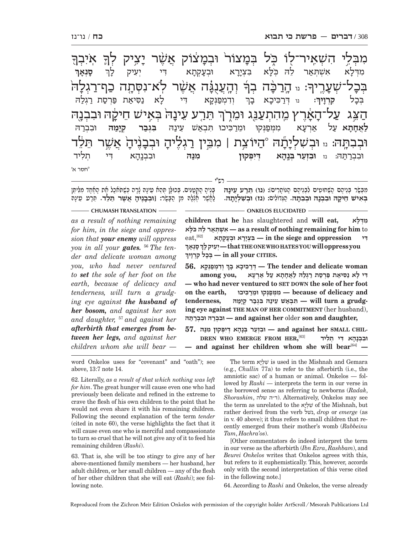֖ .<br>ล. ֿ א<sup>ַ</sup>יִבְךָ  $\mathsf{a}^{\mathsf{l}}$ מִבְּלִי הִשְׁאִיר־לִוֹ כִּל בְּמָצוֹר וּבְמָצוֹק אֲשֶׁר יָצִיק לְךָּ ֿי וְהָעֲנֻגָּה אֲשֶׁר לִא־נִסְּתֶה כַּף־רַגְלָה .<br>กิ .<br>ก' : י*י בׂובּ* בָּבָּ : בְּכָל־*שְׁעָ*רֶיךָ ְִתּרע עינה הַצֵּג עַל־הָאָ֫רֶץ מֵהִתְעַנֵּג וּמֵרֶךְ וּבְבִתֵּהּ:  $\mu$  וּבְשִׁלְיָתָה  $^{\circ}$ היוֹצֵת | מִבֵּין רַגְלֶיהָ וּבְבָנֶיהָ אֲשֶׁר תֵּלֵד **ְ** ֧֧֧֢ׅ֧֚֝<u>֓</u> **סְ נא ך** מִדְּלָא אִשְׁתְּאַר לֵהִ כִּלָּא בִּצְיָרָא וּבְעָקְתָא דִי יְעִיק לָךְ ׇׅ֧֧֧֦֧֢ׅ֦֧֦֧ׅ֧֓֝֬֓֓֓֓֡֜֓֓<u>֚</u> וְדִמְפַנְקָא דִי לָא נַסִּיאַת פַּרְסַת רַגְלַה **ְ**.<br>**:** נו דְּרַכִּיכָא בָךְ .<br>בִּכָל **קִרְוָיך לֲ אח ת א** ע'ל אְ' רע ִ א מ ְמּפְ' נּ ֵ קוּ וּמר ִ ' כּ ִ יכוּ תּ ְבא ֵ 'שׁ עינ' הּ **ִבּ ְגב ְ ר קי מ הּ** ִוּב ְבר' הּ **מִנַּה**ּ וּבִבנהא °חסר א' ִוּב ְבר' תּ' הּ: נז **ִוּבְזֵע ְר בּנ4 ה ְ א דִּי ְפּקוּן** 

ּמִבְּקַׂר בְּיֵהֶם הַשְׁחוּטִים לִבְיֵיהֶם הַמֹּסְרִים): (נוֹ) הַּרַע עֵינָהּ.<br>בְּאֵישׁ חֵיקָהּ וּבְבְנֵהּ וּבְבְתַּהּ. הַגְּדוֹלִים: (נוֹ) וּבִשְׁלְיַתַהּ. בְּנֶיהָ הַקְּטַנִּים. בְּכוּלָן תְּהֵא עֵינָהּ גָֿרָה כְּשֶׁתֹּאֹכַל אֶת הָאֶתֶד מִלִּיתֵּן<br>לַאֲשֶׁר אֶנְלָה מִן הַבְּשֶׂר: [וּבִבְנֵיהַ אֲשֶׁר תֵּלֵד. תֵּרָט עֵינַהּ

רש"י

### **CHUMASH TRANSLATION ONKELOS ELUCIDATED**

*as a result of nothing remaining for him, in the siege and oppression that your enemy will oppress you in all your gates.* 56 *The tender and delicate woman among you, who had never ventured to set the sole of her foot on the earth, because of delicacy and tenderness, will turn a grudging eye against the husband of her bosom, and against her son and daughter,* <sup>57</sup> *and against her afterbirth that emerges from between her legs, and against her children whom she will bear —* 

**children that he** has slaughtered and **will eat, לאָ דְּמ ִ** to **him for remaining nothing of result a as — ִא ְשׁ ְתּא ֵר ל ֹ הּ כּ ָלּא ְ ִ דּי oppression and siege the in — ִבּ ְצָיָר ְ א וּבָע ְקָתא** [62],eat **ְ ָ סְנָאך לך יק ָ עִ יְ— that THE ONE WHO HATES YOU will oppress you ְ .CITIES your all in — ְבָּכ ִל קְרָויך**

**ְ16.**  $\mu$ **יְרֵכִּיכָא בְּךְ** וְדִמְפַנִּקָא The tender and delicate woman **ִדּ ָ י ל א נ ִסּ יא ת פְּרס ת רְגל הּ לֲאָחָת א ע ל אְרָעא ,you among — who had never ventured to SET DOWN the sole of her foot and delicacy of because — ִמ ְמּפְנּ ֵ קוּ וּמר ִכּיכוּ ,earth the on tenderness, מהּיָק רְ בגְ בּ הּ ִ ינ ע שֵׁ אבְ תִּ — will turn a grudging eye against THE MAN OF HER COMMITMENT** (her husband), **,daughter and son** older **her against and — ִוּב ְבר ִ הּ וּב ְברתּהּ**

**,HER FROM EMERGE WHO DREN-CHIL SMALL her against and — ִוּבְזֵע ְ ר בָּנָה ְא דִּי ְפּ ִ קוּן מנּהּ 57. ִוּב ְבָנָה ִ א דּ ְ י ת ִליד** [63]  $\sim$  and against her children whom she will bear<sup>[64]</sup>  $\sim$ 

word Onkelos uses for "covenant" and "oath"); see above, 13:7 note 14.

62. Literally, *as a result of that which nothing was left for him*. The great hunger will cause even one who had previously been delicate and refined in the extreme to crave the flesh of his own children to the point that he would not even share it with his remaining children. Following the second explanation of the term *tender* (cited in note 60), the verse highlights the fact that it will cause even one who is merciful and compassionate to turn so cruel that he will not give any of it to feed his remaining children (*Rashi*).

63. That is, she will be too stingy to give any of her above-mentioned family members — her husband, her adult children, or her small children — any of the flesh of her other children that she will eat (*Rashi*); see following note.

The term יָשְׁלְיָא is used in the Mishnah and Gemara (e.g., *Chullin* 77a) to refer to the afterbirth (i.e., the amniotic sac) of a human or animal. Onkelos — followed by *Rashi* — interprets the term in our verse in the borrowed sense as referring to newborns (*Radak*, *Shorashim*, שלה ה"ד(. Alternatively, Onkelos may see the term as unrelated to the שֵׁלְיֵא of the Mishnah, but rather derived from the verb נשׁל, *drop* or *emerge* (as in v. 40 above); it thus refers to small children that recently emerged from their mother's womb (*Rabbeinu Tam*, *Hachra'os*).

[Other commentators do indeed interpret the term in our verse as the afterbirth (*Ibn Ezra*, *Rashbam*), and *Beurei Onkelos* writes that Onkelos agrees with this, but refers to it euphemistically. This, however, accords only with the second interpretation of this verse cited in the following note.]

64. According to *Rashi* and Onkelos, the verse already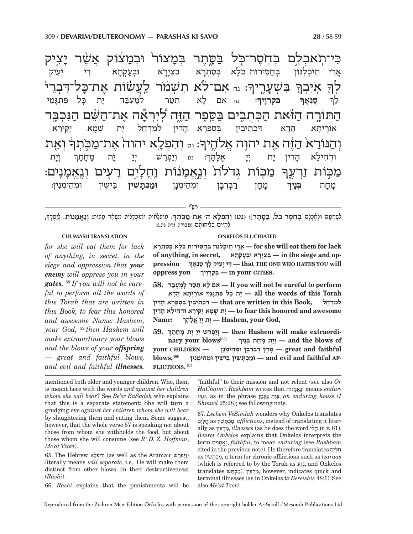ּבִּי־תְאַבְלֵם בְּחִסֶר־כֻּל בַּסֶתֶר בְּמָצוֹר וּבְמָצוֹק אֲשֶׁר יָצִיק .<br>ก' : <sub>ײִ</sub> אִם־לֹא תִשְׁמֹר לַעֲשׂוֹת אֶת־כָּל־דִּבְרִי ָ בִ $\dot{\varphi}$ עֲרֶיך .<br>ล. ַ א<mark>ִ</mark>יִּבְךָ  $\mathsf{a}^\dagger$ ְלך הַתּוֹרֶה הַוֹּאת הַכְּתֻבָּים בַּסֵפֶר הַזֶּה לְיִרְאָד אֶת־הַשֵּׁם הַנִּכְבֶּד ֿ וְאֵת .<br>ก. ן יו נט <mark>יְהִפְלָא יהוה אֶת־מַכְּתְ</mark>ךָ ' נט ּוְהַנּוֹרָא<sup>ֹ</sup> הַדֶּה אֶת יהוָה אֱלֹהֶיךִּ ֶךְ מַכְּוֹת גְּדֹלֹת וְנֶאֱמָנֹוֹת וָחֲלָיִם רָעֻים וְנֶאֱמָנִים: מַכְּוֹת זַרְעֶךְ ָאֲרֵי תֵיכְלִנּוּן בְּחַסִּירוּת כִּלָא בְּסִתְרָא בִּצְיָרָא וּבְעָקְתָא דִי יְעִיק **ְ :** נח ִאם ל ִ א תטּ ְ 'ר לֶמ ְעבּ'ד ית כּ ִ ל פּ ְתגֵּ מי **ְ ְבּ ִקְרו יך** ֧֧֧֢ׅ֧֚֝<u>֓</u> **סְ נא ך** לְך אוֹרָיְתָא הָדָא דִּכְתִיבִין בְּסִפְרָא הָדֵין לְמִדְחַל יָת *שְׁמָא* יַקִּירָא ֧֧֧֢ׅ֦֧֚֝֝֬<u>֓</u> וית ֧֧֧֦֧֢ׅ֖֧֧֚֝֝֬֓֓֓֓֓֓֓֡֓֓֓֡֬֓֓֓֡֬֓֓֓֡֬֓֓֝֬ : נט וְ<u>י</u>ַפְרֵשׁ יְיָ יָת מָחָתָך וּדְחִילָא הָדֵין יָת יְיָ אֱלָהָךְ **ְ**.<br>מָחָן רַבְרְבָן וּמְהֵימְנָן וּמַ**בְתָּשִׁין** בִּישִׁין וּמְהֵימְנִין: מַחַת **בִּנַי**ךִ

רש"י

.<br>לְשָׁתְטָם וּלְתָכְלָם בְחֹשֶׁר בֹל, בַּסָּתֶר]: (נט) וְהִפְלָא ה׳ אֶת מַבֹּתְךָ. מוּפְלָאוֹת וּמוּבְדָּלוֹת מִשְׁתָר מַכּוֹת: וְנֶאֱמָנוֹת. לְיַסֶּרְךָ,<br>לקיים שליחותם (עבודה זרה נה.): **ָ**

**CHUMASH TRANSLATION ONKELOS ELUCIDATED** 

*for she will eat them for lack of anything, in secret, in the siege and oppression that your enemy will oppress you in your gates.* 58 *If you will not be careful to perform all the words of this Torah that are written in this Book, to fear this honored and awesome Name: Hashem, your God,* <sup>59</sup> *then Hashem will make extraordinary your blows and the blows of your offspring — great and faithful blows, and evil and faithful illnesses.*

 **lack for them eat will she for — ֲאֵר ֵ י ת ְיכ ִל ְ נּוּן בּח ִסּירוּתֹ כּ ָלּ ְא בּ ִס ְתָרא of anything, in secret, תאָקְ עָוּב א ְ רָיָצְ בִּ — in the siege and oppression ְ ְ ָ סְנָאך לך יק ָ עִ י יְ דִּ — that THE ONE WHO HATES YOU will oppress you ְ .CITIES your in — ְבּ ִקְרָויך**

 **perform to careful be not will you If — ִא ָם ל ִא תטּ ְר לֶמ ְעבּד 58. Torah this of words the all — ָי ָת כּ ִ ל פּ ְתָגֵּמ ָ י אוֹרְיָת ָא הָדא ְ ל ִמְדחל ,Book this in written are that — ִדּ ְכ ִת ִיב ְ ין בּ ִס ְפָר ָא ה ֵדין awesome and honored this fear to — ָי ְת שָׁמ א י ִקּ ָיר ְא וּד ִח ָיל ָא הֵדין Name: ְ ,God your ,Hashem — ָי ְת יָי ֱ אָל ָהך**

**59. ְ ְ** [65]**blows your nary-extraordi make will Hashem then — ְוי ְפֵר ְשׁ יָי ָ י ָת מ ָחָתך of blows the and — ְוָי ָת מ ָח ְת בָּניך faithful and great — ָמ ָח ן ר ְבְרָב ְ ן וּמֵה ְימָנן — CHILDREN your .FLICTIONS-AF faithful and evil and — וּמ ְכָתּ ִשׁ ִ ין בּ ִישׁ ְ ין וּמֵה ְימִנין** [66]**,blows** FLICTIONS.<sup>[67]</sup>

mentioned both older and younger children. Who, then, is meant here with the words *and against her children whom she will bear*? See *Be'er BaSadeh* who explains that this is a separate statement: She will turn a grudging eye *against her children whom she will bear* by slaughtering them and eating them. Some suggest, however, that the whole verse 57 is speaking not about those from whom she withholds the food, but about those whom she will consume (see *R' D. Z. Hoffman*, *Me'at Tzori*).

(וַיַפְרֵשׁ as the Aramaic) (הִפְלָא) (as well as the Aramaic ( literally means *will separate*, i.e., He will make them distinct from other blows [in their destructiveness] (*Rashi*).

66. *Rashi* explains that the punishments will be

"faithful" to their mission and not relent (see also *Or HaChaim*). *Rashbam* writes that מנוֹתאֱנֶוְ means *endur* $ing$ , as in the phrase בְּיִת נָאֱמָן, an enduring house (I *Shmuel* 25:28); see following note.

67. *Lechem VeSimlah* wonders why Onkelos translates יםִלחֳ as שׁיןִ תּכְ מ , *afflictions*, instead of translating it literally as עיןִ רְמ , *illnesses* (as he does the word ליִ חֳ in v. 61). *Beurei Onkelos* explains that Onkelos interprets the term ניםִמאֱנֶ, *faithful*, to mean *enduring* (see *Rashbam*  cited in the previous note). He therefore translates יםִלחֳ as שׁיןִ תּכְ מ , a term for chronic afflictions such as *tzaraas* (which is referred to by the Torah as גע
נֶ, and Onkelos translates פִוְרְעִין .(מַכְתִּשׁ , however, indicates quick and terminal illnesses (as in Onkelos to *Bereishis* 48:1). See also *Me'at Tzori*.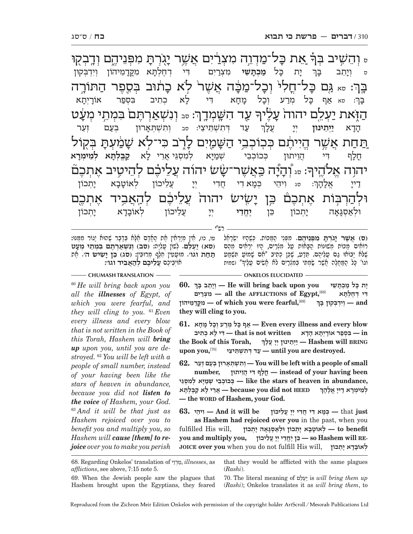את כּל־מִדוה מצרים אשר יגרת*ּ* מפּ <sub>ֿ</sub> יְהֵשָׁיב בְּךָ ֦֧֦֧<u>֚֓</u> : <sub>סא</sub> גָּם כָּל־חֳלִי וְכָל־מַבֶּה אֲשֶׁר ׁלִא כָתוֹנ בְּסֵפֶר הַתּוֹרָה בַּה: סֹא גּם ֦֧֧֦֧֖֖֧ׅ֧ׅ֧֧֧֧֧֚֚֚֚֚֚֚֚֚֚֚֚֚֚֚֚֚֚֚֚֝֝֓֡֬֓֡֟֓֡֟֓֡֟֓֡֡֬֜֓֡֬֝֓ ה: <sub>סב</sub> ונשארתם במתי ר עד השמד ה יהוה תַּחַת אֲשֶׁר הֱיִיהֶם כְּכְוֹכְבִי הַשָּׁמַיִם לָרֶב כִּי־לֹא שָׁמַ֫עְתָּ בְּקוֹל ় ৯৮ : ন ויה כּאשׁר־שֹשׂ יהוה עליכם יהוה א וּלְהַרְבִּוֹת אֶתְכֶם כֵּן יָשִׂישׂ יהוה עֲלֵיכֶם לְהַאֲבִיד אֶתְכֶם ֧֧֧֦֧֢ׅ֖֧֧֚֝֝֬֓֓֓֓֓֓֓֡֓֓֓֡֬֓֓֓֡֬֓֓֓֡֬֓֓֝֬ ית כּ ל **מ ְ כתּ ֵ שׁי** ִמ ְצרִ' י ִ ם דּ ְ י ד ֶח ְלתּ ִ א מֳקּדֵ מ ְ יהוֹן וִיְד ְבּקוּן ס וִיַּתְב ֧֧֧֦֧֢ׅ֖֖֖֖֖֧֚֚֚֚֚֚֝֝֬<u>֚</u> : סא אַף כָּל מְרַע וְכָל מָחָא דִי לָא כְתִיב בִּסְפַר אוֹרָיִתָא בּה ֧֧֧֢ׅ֧֚֝<u>֓</u> דּתשׁתּיצי: <sub>סב</sub> ותשתּארוּז בּעם זער הַדָא **יַיִּתֵינוּן** יִיַ ֳחל ִ ף דּ ֲ י הֵו ְ יתוּן כּ ְכוֹכֵב ְ י שׁמ' יּ ְ א ל ִמ ְסֵגּ ֲ י אֵרי ל א **ק בּ ְC לתּ ְ א לֵמ ְימר א** ְ: סג וִיהֵי בְּמָא<sup>ָ</sup>דִי חֲדִי יְיָ עֲלֵיכוֹן לְאוֹטָבָא יָתְכוֹן דיי אֱלָהָך וּלְאַסְגָאָה יָתְכוֹן כֵּן יֶחֱדֵי יְיָ עֲלֵיכוֹן לְאוֹבָדָא יָתְכוֹן

רש"י

**they will cling to you.**

טו. כו), אין מיראין את האדם אלא בדבר שהוא יגור ממּנּוּ: **(סא) י ְ עֵלם.** ְל ֲ שׁוֹן עִלָיּה: **ְ (סב) וִנ ְשׁאְ רֶתּ ִ ם בּ ְמֵת ְ י מעט תּ ח ת וגו'.** ָמוּע ִט ֵ ין חֶל ְ ף מ ִרוּבּין: **ֵ (סג) כּן י ִ שׂישׂ ה'.** ֶ את ְאוֹיֵב ֶיכם **ֲעֵל ֶיכ ְם להֲ א ִביד וגו'**:

**ֲ (ס) א ֶשׁר י ֹגְרתּ ִ מ ְפֵּנ ֶיהם.** ִמ ְפֵּני ה מּ ְ כּוֹת. כֶּשָׁה ִ יוּ י ְשָׂרֵאל ָרוֹאִים מַכּוֹת מִשׁוּנוֹת הַבָּאוֹת עַל מִגְרַיִם, הָיוּ יְרֵאִים מֵהֶם<br>שלֹא יבוֹאוּ גם עליהם. תּדע, שִׁכּוֹ כתיב ״אם שמוֹע תּשְמע וגו' כַּל הַמַּחֵלָה <u>אָשֶׁ</u>ר שָׂמִתִּי בִמְלָרֵיִם לֹא אֲשָׂים עַלֵיךָ" ושמות

### **CHUMASH TRANSLATION ONKELOS ELUCIDATED**

<sup>60</sup> *He will bring back upon you all the illnesses of Egypt, of which you were fearful, and they will cling to you.* <sup>61</sup> *Even every illness and every blow that is not written in the Book of this Torah, Hashem will bring up upon you, until you are destroyed.* <sup>62</sup> *You will be left with a people of small number, instead of your having been like the stars of heaven in abundance, because you did not listen to the voice of Hashem, your God.* <sup>63</sup> *And it will be that just as Hashem rejoiced over you to benefit you and multiply you, so Hashem will cause [them] to rejoice over you to make you perish* 

**60. ְ ָ י ָת כּ ל מ ְכָתּ ֵשׁי you upon back bring will He — ְוָיֵת ָ ב בּך ִ דּ ְ י ד ֶח ְלָתּא** [68]**,Egypt of AFFLICTIONS the all — ִמ ְצרִים מיהוֹןֵדָקֳּמִ — of which you were fearful,**[69] **ְ and — ְוִיְד ְבּ ָ קוּן בּך**

 **blow every and illness every Even — א ָף כּ ְל מר ְע וָכ ָל מ ָחא 61. in — ִבּ ְספ ָ ר אוֹרְיָת ָא הָדא written not is that — ִדּ ָ י ל ְא כ ִתיב the Book of this Torah, ְ BRING will Hashem — יְיֵת ְ ינוּן יָי ֲ ע ָלך .destroyed are you until — ע ְד דּ ִת ְשֵׁתּ ֵיצי** [70]**,you upon**

 **small of people a with left be will You — ְו ִת ְשׁ ְתָּא ְ רוּן בּע ְם זֵער 62. having been** חֵלָף דִּי הֵוֵיתוּן<br> **—** instead of your having been  **– 
ike the stars of heaven in abundance,** בְּכוֹכְבֵי שְׁמַיָּא לְמִסְגֵּי **ְ HEED not did you because — ֲאֵר ָ י ל א קֶבּ ְלָתּא ְלֵמ ְימָר א ד ָיי ֱ אָל ָהך — the WORD of Hashem, your God.**

 **just** that **— ְכָּמ ִא ד ֲ י חִד ְ י יָי ֲ עֵליכוֹן be will it And — ִו ֵיהי 63. as Hashem had rejoiced over you** in the past, when you  **benefit to — ְל ָאוֹטָב ָא י ְת ְ כוֹן וּלא ְסָגָּא ָה י ְתכוֹן** ,will His fulfilled **you and multiply you, ליכוֹןֵע ֲ יָי יְ דֵחֱי ןֶ כֵּ — so Hashem will RE-JOICE over you** when you do not fulfill His will, **תכוֹןְ י אָ דָאוֹבָ ל ְ**

68. Regarding Onkelos' translation of ויֵדְמ , *illnesses*, as *afflictions*, see above, 7:15 note 5. that they would be afflicted with the same plagues (*Rashi*).

69. When the Jewish people saw the plagues that Hashem brought upon the Egyptians, they feared

70. The literal meaning of לםֵעְ י is *will bring them up* (*Rashi*); Onkelos translates it as *will bring them*, to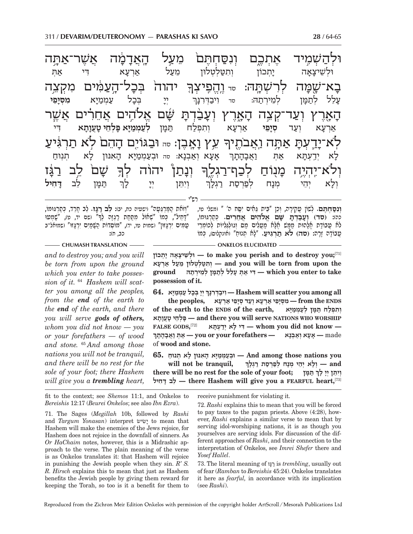וּלְהַשְׁמִיד אֶתְכֶם וְנִסַּחְתֶּם מֵעַל הָאֲדָמָה אֲשֶׁר־אַתָּה ַ יהוה בְּכָל־הָעַמִּים מִקְצֵה .<br>ล בְא־שֶׁמָּה לְרִשְׁתָּהּ: <sub>סד</sub> וֶהֱפִיצְךָּ הָאֶרֶץ וְעַד־קְצֵה הָאֶרֶץ וְעָבִרְתָּ שָׁם אֱלֹהִים אֲחֵרִים אֲשֶר ֹאֲבֶן: <sub>סה</sub> וּבַגּוֹיִם הַהֵם לֹא תַו ֿז וַאֲבֹתיה ַ שָׁם לֵב רַגָּוֹ  $\varphi$  $\mathsf{a}^\dagger$  $\mathsf{a}^{\mathsf{l}}$ ן**ּנְתַן**ׂ יהוֹה לְךָ וְלֹא־יֶהְיֶה מָנֻוֹּחַ לְכַף־רַגְלֶךְ ֿוּלְשֵׁיצָאָה יָתְכוֹן וְתִטַּלְטְלוּן מֵעַל אַרְעָא דִי אַתְּ ֧֧֧֦֧֢ׅ֧֦֧֧֦֧ׅ֧֚֝֝֬֝֬֜֓֓<u>֚</u> ְיי ְ בּכל ע ְ' ממ' יּ א **ִמ ְסּיֵ פי** עָלֵל לְתַמָּן לְמֵירְתַהּ: סד וִיבַדְּרִנְּךְ אְ' רע ְ א וע' ד **ְסיֵ פי** אְ' רע ְ א ו ִת ְפל'ח תּ' מּ ן **ְלע ְ ממ יּ א פּ ְ לֵחי טֲ עו ת א** ִדּי ׇׅ֧֧֧֦֧֢ׅ֦֧֦֧ׅ֧֓֝֬֓֓֓֓֡֜֓֓<u>֚</u> אַעַא ואַבנא: סה וּבעַממַיַא הַאִנּוּן את <u>ואבהת</u>ר ֧֧֧֢ׅ֧֚֝<u>֓</u> תּ' מּ ֵ ן לב **דּ ִ חיל** ׅ֧֖֧֖֖֖֖֖֖֖֖֖֖֧ׅ֪֧ׅ֧֧֧֧֧֚֚֚֚֚֚֚֚֚֚֚֚֚֓֬֝֬֝֓֝֬֓֝֬֓֓֝֬֝֓֞֝֬֝֬֝֬ יִיתֵ**ן** יי וְלָא יְהֵי מְנָח לְפַרְסַת רַגְלָךְ

רש"י

ָ" (שִׁמְהַ יִּה יִי יִם יִם יִם יִם יִם יִם יִם יִנְגוּ יִי יִשְׁמְעוּ יִי.<br>"דֶּחֵיל", כְּמוֹ "שְׂמוֹל מִתַּחַת רָגְזָה לְדָּ" (שם יד, ט), "שָׁמְעוּ<br>עמים ירְגּזוּ" (שמות טו. יד). "מוֹסדוֹת השמים ירְגּזוּ" (שמואל־ב ָ , "שְׁמעוּ ְ"וזֹאת ה מְּ רֵגָּעה" (ישעיה כח, יב): **ֵלב ר גּ ז.** ֵל ָב חֵר ְ ד, כּתְ רגּוּמוֹ, טַמִּים יִרְגָּזוּן" ושמות טו, יד), "מוֹסְדוֹת הַשָּׁמַיִם יִרְגָזוּ" ושמואל־ב<br>כב, ח):

**וְנִסַּ חָתֵּם. לְשׁוֹן עֵקִירָה, וְכֵן "בֵּית גֵּחִיׁם יִסֵּת ה' " (משלי טו,** כה): **ְ (סד) וע בְ דתּ שּׁ ֱ ם אלֹ ִה ֲ ים אֵחִרים.** ְכּתְ רגּוּמוֹ, לֹא עֲבוֹדַת אֱלָהוּת מִמָּטׁ אֶלָּא מַעֲלִים מֵם וְגוּלְגְּלִיוֹת לְכוֹמִרֵי ֲע ָבוֹד ָה זָרה: **(סה) לֹא תְ רִגּ ַיע.** ָ "ל ְא ת ַ נוּח" (אונקלוס) ְ , כּמוֹ

**CHUMASH TRANSLATION** —— ———————————————— ONKELOS ELUCIDATED

*and to destroy you; and you will be torn from upon the ground which you enter to take possession of it.* 64 *Hashem will scatter you among all the peoples, from the end of the earth to the end of the earth, and there you will serve gods of others, whom you did not know — you or your forefathers — of wood and stone.* <sup>65</sup> *And among those nations you will not be tranquil, and there will be no rest for the sole of your foot; there Hashem will give you a trembling heart,* 

**תכוֹןְ י הָ אָיצָ שֵׁ וּלְ — to make you perish and to destroy you;**[71]  **the upon from torn be will you and — ְו ִתטּ ְל ְט ֵ לוּן מע ל אְרָעא take to enter you which — ִדּ י א ְתּ ָ עֵל ְל לתָמּ ְ ן לֵמ ְירתהּ ground possession of it.**

**ְ ְ יָי ְ בָּכ ל ע ְממָיּא 64. נּךָרִדְּיב וִ — Hashem will scatter you among all ENDS the from — ִמ ְסָּיֵפ י אְרָע ְא וע ְד סָיֵפ י אְרָעא ,peoples the והפלח תמו לעממיא ,of the earth to the ENDS of the earth to the ENDS of the earth WORSHIP WHO NATIONS serve will you there and — ָפּ ְל ֵח ָ י טֲעָוָתא FALSE GODS, <sup>** $\mathbf{r}$  **(יִדּ** לְא יְדַעְתָּא — whom you did not know — **or your forefathers** — *ְדוֹ* **איבנא**</sup> de ma **— ָאָע ְא וא ְבָנא — forefathers your or you — א ְתּ וֲאָב ָהָתך** of **wood and stone.**

 **65. i i** *i***zy@exter index in its pour index in those nations you will not be tranquil, ְ and — ְו ָל ְא יֵה ְ י מָנ ְח לפְרס ת רְגָלך there will be no rest for the sole of your foot; מּןָתּ ְ וִיִתֵּוֹ יִיֵ לְךְ תַּמִּוֹ חילִ דּ בָ לֵ — there Hashem will give you a FEARFUL heart,**[73]

fit to the context; see *Shemos* 11:1, and Onkelos to *Bereishis* 12:17 (*Beurei Onkelos*; see also *Ibn Ezra*).

71. The Sages (*Megillah* 10b, followed by *Rashi* and *Targum Yonasan*) interpret שׂישִׂ י to mean that Hashem will make the enemies of the Jews rejoice, for Hashem does not rejoice in the downfall of sinners. As *Or HaChaim* notes, however, this is a Midrashic approach to the verse. The plain meaning of the verse is as Onkelos translates it: that Hashem will rejoice in punishing the Jewish people when they sin. *R' S. R. Hirsch* explains this to mean that just as Hashem benefits the Jewish people by giving them reward for keeping the Torah, so too is it a benefit for them to

receive punishment for violating it.

<sup>72.</sup> *Rashi* explains this to mean that you will be forced to pay taxes to the pagan priests. Above (4:28), however, *Rashi* explains a similar verse to mean that by serving idol-worshiping nations, it is as though you yourselves are serving idols. For discussion of the different approaches of *Rashi*, and their connection to the interpretation of Onkelos, see *Imrei Shefer* there and *Yosef Hallel*.

<sup>73.</sup> The literal meaning of גּזר is *trembling*, usually out of fear (*Ramban* to *Bereishis* 45:24). Onkelos translates it here as *fearful,* in accordance with its implication (see *Rashi*).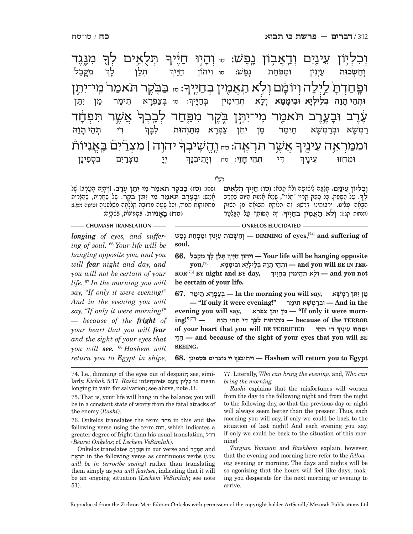מנּגד  $\mathsf{a}^\dagger$ .<br>ה אים $x$ וְרַא**ִבוֹן נַפֵשׁ: <sub>סו</sub> וְהַיִּוּ** ਾਂਹ : ਜ בבקר תּאמ לה ויוֹמם ולא תאמיז בחיי ַ אֲשֶׁר תִּפְדָ<del>ו</del>ד .<br>ล. עֶׁרֶב וּבָעֶרֶב תֹּאמַר מִי־יִתֵּן בְּקֶר מִפִּחַד לְבָבְךָ י יהוָה | מִצְרַיִם בָּאֲנִיּוֹת .<br>ה .<br>ก' אֲשֶׁר תִּרְאֱה: <sub>סח</sub> וֶהֱשְׁיּבְךְ <mark>וּמִמַּוְרָא</mark>ָה עֵינֶי<del>ן</del> ְמקבל ֦֧֖֖֖֖֖֖ׅ֖֧֖֚֚֚֚֚֚֚֚֚֚֚֚֚֚֚֚֚֝֓֞֟֓֡֞֟֓֞֟֓֡֟֓֡֓֓֞֓֞֓֡֓֓֞֓֞֓֝֬ יִּתְלַן לְך **וְחַשְׁבוּת עַיְנִין וּמַפְּחַת נְבָשׁ: סו וִיהוֹן חַיָּי**ךְ ְסז בִּצַפְרַא תֵימַר מַן יִתֵּן **וּתְהֵי תָוַה בְּלֵילְיָא וּבִימָמָא** וְלָא תְהֵימִין בְּחַיָּיךְ ֧֧֧֦֧֢ׅ֧֦֧֧֦֧ׅ֧֚֝֝֬֝֬֜֓֓<u>֚</u> ִדּי **ְתֵהי ת ו הּ** רִמְשָׁא וּבְרַמְשָׁא תֵימַר מַן יִתֵּן צַפְרָא מִתַּוְהוּת לִבְּךְ ְיִי ְמִצְרַיִם בִּסְפִינָן ׇׅ֧֖֖֖֖֖֖֖֖֖֧֚֚֚֚֚֚֚֚֚֚֚֚֚֚֚֓֝֬<u>֚</u> ִדּי **ְתֵהי חֵ זי**: סח ְויֵ ת ִיבנּ ך וּמֵחֵזוּ עֵינַיךִ

רש"י

(שם): **(סז) בּ בֶֹּק ֹ ר תּאמ ִ ר מ ִ י יֵתּ ֶ ן עֶרב.** ְ[וִי ְהֶי ָה הֶעֶר ֶ ב] שׁל אֶמֶא: וּבָעֶרֶב תֹּאמַר מִי יִתֵּץ בֹקֶר. שֶׁל שַׁחֲרִית, שֶׁהַגָּרוֹת<br>מִתְּחַזְקוֹת תָּמִיד, וְכָל שָׁעָה מְרוּבָּה קִלְלָתָהּ מִשֶּׁלְפָנֶיהָ וֹסוטה מט.):<br>(סח) בַּאֲנִיּוֹת. בִּסִפִינוֹת, בִּשְׁבִיה:

 **ְ תֻּל ִאים ְו ִכ ְל ֵ יוֹן עינִ ים.** ְמצֶפּ ִה ל ָ ישׁוּע ְה ולֹ ָא תבֹא: **(סו) חֶ יּיך ָ**יִ דְּיִי, הִי דְּיִה אוֹ הָא אֶר הָא הָעֲרוֹ לְעוֹי הַלְוֹי הַלְוֹי הַלְוֹי לְחַיָּה הַלְחַיִּה הַלְחַיִּה הַ<br>לד. על הספק. כל ספק קרוי "תּלוּי". שִׁמּת תווּת היוֹם בַּחְרַב הַבָּאָה עַלֵינוּ. וְרַבּוֹתֵינוּ דַרְשׁוּ: זֶה הַלּוֹקֵתַ תִּבוּאָה מִן הַשּׁוּק הַבָּקָה טָנֵינוּ. וְרַבּוּמֵינוּ דֶרְשוּ: זֶה הַפוּקֵהַ מְּבוּקָה מִן הַשּׁוּק<br>(מנחות קג:)**: ולֹא תֹאמוּז בּחוּיוּרּ**. זה הִסוֹמוּד על הפּלטר **ָ**

### **CHUMASH TRANSLATION** —— **CHUMASH TRANSLATION**

*longing of eyes, and suffering of soul.* <sup>66</sup> *Your life will be hanging opposite you, and you will fear night and day, and you will not be certain of your life.* <sup>67</sup> *In the morning you will say, ''If only it were evening!'' And in the evening you will say, ''If only it were morning!'' — because of the fright of your heart that you will fear and the sight of your eyes that you will see.* <sup>68</sup> *Hashem will return you to Egypt in ships,* 

 **of suffering and**]74[**,eyes of DIMMING — ְוח ְשׁ כוּת עְיִנ ין וּמ ְפּח ְת נָפשׁ soul.**

**ְ ִ מֳקֵּבל 66. ְ תּל ָ ן לך יּיךָח יהוֹן וִ — Your life will be hanging opposite ְP**) — וּתְהֵי תְּוַה בְּלֵילְיָא וּבִימְמָא — and you will BE IN TER-<br>— יִלְא תִהִימִין בְּחֵיִּיךְ — and you not — וִלְא תִהִימִין בְּחֵיִּיךְ **TER IN BE will you and — ְוּתֵה ָ י תו ְהּ בּ ֵל ְילָי ִ א וּב ָימָמא** [75]**,you be certain of your life.**

**מ ִן יֵתּ ן ר ְמ ָשׁא ,say will you morning the In — ְבּצ ְפָר ֵא ת ימר 67. the in And — וּ ְ בר ְמ ָשׁ ֵא ת ימר "!evening were it only If— " ְ ִ דּ ְ י תֵה ָ י תוהּ —** [77]**"!ing-TERROR the of because — ִמתְּו ִ הוּת לָבּך morn were it only If — "מ ִ ן יֵתּ ן צ ְפָרא ,say will you evening of your heart that you will BE TERRIFIED היֵת י ְ דּ ִ ְ וּמִחוּוּ** עַיניךְ דִי תַהִי **זיֵחָ — and because of the sight of your eyes that you will BE SEEING.**

**ְְ יָי ִ מ ְצרִי ִם בּ ְס ִפ ָינן 68. נּךָיבִ תֵיָוְ — Hashem will return you to Egypt** 

74. I.e., dimming of the eyes out of despair; see, similarly, *Eichah* 5:17. *Rashi* interprets כִלְיוֹן עֵינַיִם longing in vain for salvation; see above, note 33.

75. That is, your life will hang in the balance; you will be in a constant state of worry from the fatal attacks of the enemy (*Rashi*).

76. Onkelos translates the term פחד in this and the following verse using the term תוה, which indicates a greater degree of fright than his usual translation, דחל (*Beurei Onkelos*; cf. *Lechem VeSimlah*).

Onkelos translates וּפְחַדְתָּ in our verse and הִפְחַד and אהֶרְתִּ in the following verse as continuous verbs (*you will be in terror*/*be seeing*) rather than translating them simply as *you will fear*/*see*, indicating that it will be an ongoing situation (*Lechem VeSimlah*; see note 51).

77. Literally, *Who can bring the evening,* and*, Who can bring the morning.*

*Rashi* explains that the misfortunes will worsen from the day to the following night and from the night to the following day, so that the previous day or night will always seem better than the present. Thus, each morning you will say, if only we could be back to the situation of last night! And each evening you say, if only we could be back to the situation of this morning!

*Targum Yonasan* and *Rashbam* explain, however, that the evening and morning here refer to the *following* evening or morning. The days and nights will be so agonizing that the hours will feel like days, making you desperate for the next morning or evening to arrive.

Reproduced from the Zichron Meir Edition Onkelos with permission of the copyright holder ArtScroll / Mesorah Publications Ltd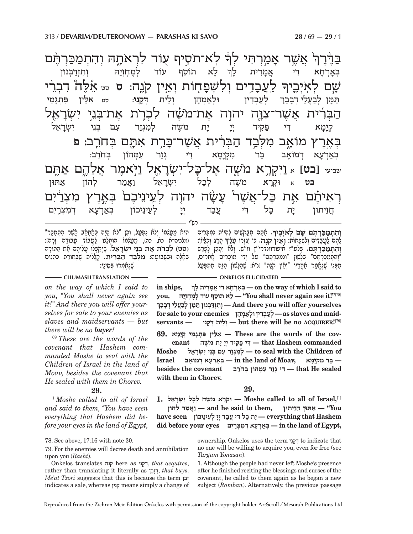לֹא־תֹסיף עוֹד לראתה והתמ .<br>ก ֿ אַ*שֶׁ*ר אָמַרְתִּי לְךָ ְ <del>د</del>َ بُرْ لَـٰ لِ ו<sup>ַ</sup> לַעֲבָדִים וְלִשְׁפָחֻוֹת וְאֵין קֹנֶה: ס<sub>ִ סט</sub> אֵׂלֶה דִבְרִי שָׁם לְאִיְבֶיךּ $\varphi$ הַבְּרִית אֲשֶׁר־צִוָּה יהוְה אֶת־מֹשֶׁה לִכְרָת אֶת־בְּנֵי יִשְׂרָאֵל מוֹאב מקבד הבּרית אשר־כּרת אתם בּחרב<del>ּ</del>: פ שביעי **[כט]** א **וַיִּקְרָא מֹשֶׁה אֶל־כָּל־יִשְׂרָאֵל וַיִּאמֶר אֲלֵהֶם אַתֶּם** רְאִיהָם אֵת כָּל־אֲשֶׁר ּעֲשָׂה יהוָה לְעֵינֵיכֶם בְּאֶרֶץ מִצְרַיִּם ֧֧֧֦֧֢ׅ֖֖֖֖֖֧֚֚֚֚֚֚֝֝<u>֚</u> לָא תוֹסֵף עוֹד לְמֶחְזְיַהּ וְתִזְדַּבְּנוּן בְּאָרְחָא דִי אֲמָרִית לָךְ ֧֧֧֢ׅ֧֚֝<u>֓</u> לְעַבְדִין וּלְאַמְהָן וְלֵית **דְקֵנֵי**: סט אִלֵין פִתְגָמֵי תּמָן לְבַעֲלֵי דְבָבָךְ קִיָמָא דִּי פַקִּיד יְיָ יָח מֹשֶׁה לְמִגְזַר עִם בְּנֵי יִשְׂרָאֵל בְּאַרְעָא דְמוֹאָב בַּר מִקְיָמָא דִי גְזַר עִמְּהוֹן בְּחֹרֵב: כט <sub>א וּ</sub>קְרָא מֹשֶׁה לְכָל יִשְׂרָאֵל וַאֲמַר לְהוֹן אַתּוּן ָחֲזִיתוּן יָת כָּל דִי עֲבַד יְיָ לְעֵינֵיכוֹן בְּאַרְעָא דְמִצְרֵיִם

רש"י

(מלכים־א כא, כה), מֵטַלִמוֹ הוּחְלַט לַטֲבוֹד טֵבוֹדָה זָרָה): הוּחֿ מֵטַנְמוֹ וְלֹחُ נִפְטַל, וְכֵן "לֹחُ הָיָה כְּחַׁחָת חֲשֶׁר הִתְמֵכֶּר" **ִ (סט) ל ְכרֹ ֶת א ְת בֵּנ ִ י י ְשׂרֵ אל.** ֶשְׁיּקְ בּ ֲ לוּ עֵל ֶיה ֶם את ה ָ תּוֹרה ֶשֶׁנֶּאְמ ְ רוּ בִּסיני: ְבָּאָלּ ִ ה וּבְשׁ ָבוּעה: **ִמ ְלּבד ה ְ בִּרית.** ְקָל ֶ לוֹת שְׁבּתוֹר ֹ ת כֲּהִנים

**ָוהתמברתם שם לאיביר.** אִפּס מבקשיס להיוֹת נמכרים ָלָהֶס לַטֲבָדִיס וְלִשְׁפָתוֹת: וְאֵין קֹנֶה. כִּי יִגְזְרוּ עָלֶיךָ הֶרֶג וְכִלָּיוֹן: ו**ְהִתְמַכֵּרְהֶם. בְּלִט"ז איפורוונדרי"ן וו<sup>יי</sup>ש. וְלֹא יִתְּכֵן לְפָרָע** מִפְּנֵי שֶׁנֶּאֲמַר אֲחֲרֵיו "וְחָיוָ קֹנֶה" [נ"א: שֶׁהֲלָשוֹן הָזֶה מִתְפַּטֶל וְהָתְמַכֵּרְתֵּם" בִּלְשׁוֹן "וְנִמְכַּרְתֵּם" עֲל יְדֵי מוֹכְרִים מֲחֵרִים,

### **CHUMASH TRANSLATION ONKELOS ELUCIDATED**

*on the way of which I said to you, ''You shall never again see it!'' And there you will offer yourselves for sale to your enemies as slaves and maidservants — but there will be no buyer!*

<sup>69</sup> *These are the words of the covenant that Hashem commanded Moshe to seal with the Children of Israel in the land of Moav, besides the covenant that He sealed with them in Chorev.*

### **29.**

1  *Moshe called to all of Israel and said to them, ''You have seen everything that Hashem did before your eyes in the land of Egypt,* 

78. See above, 17:16 with note 30.

**in ships, ְ to said I which** of **way the on — ְבָּאְר ָח ִא דּ ֲ י אָמִר ָ ית לך** [78]**"!it see again never shall You — "ָל ֵ א תוֹס ְ ף עוֹד לֶמ ְחְזיהּ ,you ְ yourselves offer will you there And — ְו ִתְזדּ ְבּ נוּן תָּמּ ְ ן לבֲעֵל ְי דָבָבך for sale to your enemies הןָמְ אוּל ין ְ דִבְ עלְ — as slaves and maidservants — ניֵקָדּ ית ְ לֵוְ — but there will be no ACQUIRER!** [79]

 **commanded Hashem that — ִדּ י פ ִקּ ְ יד יָי ָ ית מֹ ֶשׁה enantcov the of words the are These — ִאֵלּ ִ ין פּ ְתָגֵמ ְ י קָיָמא 69. of Children the with seal to — ְל ִמ ְגז ִר ע ְם בֵּנ ִ י י ְשָׂרֵאל Moshe — בּ ִר מ ְקָּיָמא ,Moav of land the in — ְבּאְרָע ְא ד ָמוֹאב Israel hesides the covenant** — דִּי גִוַר עִמְהוֹן בְּחֹרֵב — that He sealed **with them in Chorev.**

# **29.**

[1]**,Israel of all to called Moshe — ְוּקָרא מֹ ֶשׁ ְ ה לָכ ִל י ְשָׂרֵאל 1. You — "א ֲ תּוּן חֵזיתוּן ,them to said he and — וֲאמ ְ ר להוֹן Hashem that everything — ָי ָת כּ ִל דּ ֲ י עב ְד יָי ְ לֵע ֵיניכוֹן seen have ,Egypt of land the in — ְבּאְרָע ְא ד ִמ ְצרִים eyes your before did**

> ownership. Onkelos uses the term ניֵקדְּ to indicate that no one will be willing to acquire you, even for free (see *Targum Yonasan*).

> 1. Although the people had never left Moshe's presence after he finished reciting the blessings and curses of the covenant, he called to them again as he began a new subject (*Ramban*). Alternatively, the previous passage

<sup>79.</sup> For the enemies will decree death and annihilation upon you (*Rashi*).

Onkelos translates נה;ֶק here as ניֵקדְּ, *that acquires*, rather than translating it literally as בןֵזדְּ, *that buys*. *Me'at Tzori* suggests that this is because the term זבן indicates a sale, whereas קנין means simply a change of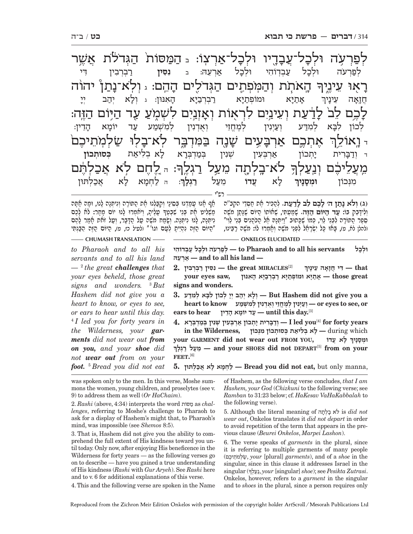רש"י לְפַרְעָה וּלְכָל־עֲבָדֶיוּ וּלְכָל־אַרְצְוֹ: בּהַמַּסוֹת הַגְּדֹלֹת אֲשֶׁר ך הָאתְת וְהַמִּפְתֵים הַגְּדֹלֻים הָהֵם: גּוְלֹא־נָתוֹ יהוה ָרָאָוּ עֵינֶי<del>ְ</del>ךָ לָבֶם לֵבֹ לָדַׁעַת וְעִינַיִם לִרְאָוֹת וְאָזְנַיִם לִשְׁמְעַ עֻד הַיִּוֹם הַזֶּה: ֦֧֦֧֖֖֖֖֖֧ׅׅ֧ׅ֧ׅ֧ׅ֧֧ׅ֧֚֚֚֚֚֚֚֚֚֚֚֚֚֚֚֚֚֝֝֡֓֡֟֓֡֬֓֜֓֡֬֓֡֟֓֡֬֓֜֓֡֬֝֓֜֓ אָתְכֶם אַרְבָּעִים שָׁנָה בּמִּדְבֶּר לֹא־בָלִוּ שַׂלְמִתֵיכֶם ד **וֶאוֹלֵ**ךְ  $\mathsf{a}^\dagger$  : ה ֶ֚ ל ֶח ֣ ם לֹ ֲא אכ ְ' לֶ֔תּם ַּ לֹא־בָלְתֶה מֵעַל רַגְלֶךְ ์<br>ล ְמֵעֲלֵיבֶם וְנַעַלְךָ לְפַרְעֹה וּלְכָל עַבְדְוֹהִי וּלְכָל אַרְעֵהּ<sub>፡ בּ</sub> **יִסִּין** דַבְרְבִין דִי ׇׅ֧֖֖֖֖֖֖֖ׅ֖֧ׅ֦֧֦֧֧֧֚֚֚֚֚֚֚֚֚֚֚֚֚֓֝֬֝֓֡֓֬֝֓֞֓֡֬֓֓֓֞֓֡֬֓֓֞֓֡֓֬֓֓֞֬֝֬֓֞֓֝֬֝֬ אָתַיָּא וּמוֹפְתַיָּא רַבְרְבַיָּא הָאִנּוּן: ג וְלָא יְהַב יְיָ **ְחַזֶאָה עֵינָי**ךִ לְכוֹן לִבָּא לְמִדַּע וְעַיְנִין לְמֶחֱזֵי וְאֻדְנִין לְמִשְׁמַע עַד יוֹמָא הָדֵין: <sup>ד</sup> ְוד' בִּ רית י ְ תכוֹן אְ' ר ְבּ ִע ְ ין שִׁנ ְ ין בּמְ' ד ְבּרא ל א ְב ִליא' ת **ְכּ ְסוּתכוֹן ְ**<u>רגל</u>ר: ה לחמא לא אכלתון **ְ** ל א **ֲעדוֹ** ֵמע' ל **רְ גל ך** מנּכוֹן **וּמִסַנַי**רִּ

ַּחַף חָנוּ טָמַדְנוּ בִּסִינֵי וִקְבַּלְנוּ חֶת הַתּוֹרָה וְנִיתִּנָה לַנוּ, וּמַה חַתַּה ָ ָ עֶל ָיה ְ , ויֹ ְאמ ָ רוּ ל ָ נוּ יוֹם מָחר: לֹ ָא לֶכם מ ְ שִׁל ֶ יט א ְ ת בֵּנ ִ י שְׁבְטך נִיתְּנָה, לָנוּ נִיתְּנָה. וְשָׂמַח מֹשֶׁה עַל הַדֶּבָר, וְעַל זֹאת אֲמַר לָהֶם<br>"הֵיּוֹם הָזֶה נְהָיֵית לִטָּם וּגוֹ " ולִטיל כז, ט), הַיּוֹם הַזֶּה הַבַּנְתִּי

**ְ (ג) ולֹא נ ת ן ה' לֶ כ ֵם לב ל ד ע ת.** ְלהִ כּ ֶ יר את חְ סֵדי הקב''ה (להלן לא, ט), באו כל ישראל לפני משה ואמרו לו: משה רבינו, וְלִידֶבֵק בּוֹ: **עַד הַיּוֹם הַזֶּה.** שָׁמַטְתַּי, שֶׁאוֹתוֹ הַיּוֹם שֶׁנָּתַן משֶׁה<br>ספר התּוֹרה לבני לוי, כּמוֹ שִׁכִּתוּב "וּיתּנה אל הכֹהנים בּני לוי"

**CHUMASH TRANSLATION ---- <b>CHUMASH TRANSLATION** --- **ONKELOS ELUCIDATED** *to Pharaoh and to all his* 

*servants and to all his land* 

*your eyes beheld, those great signs and wonders.* <sup>3</sup>  *But Hashem did not give you a heart to know, or eyes to see, or ears to hear until this day.*  4  *I led you for forty years in the Wilderness, your garments did not wear out from on you, and your shoe did not wear out from on your foot.* <sup>5</sup>  *Bread you did not eat* 

**ְ וּלָכל servants his all to and Pharaoh to — ְלפְר ֹע ְ ה וּלָכ ל ע ְב ִדוֹהי עהֵּרְא — and to all his land — ְ** [2]**MIRACLES great the — ִנ ִסּ ין ר ְבְר ִבין 2.** *—* <sup>2</sup>  *the great challenges that* 

- **hat** די חזאה עיניך  $\gamma$ great אֶתַּיָּא וּמוֹפְתַיָּא רַבְרְבַיָּא הַאִנּוּן (those great **signs and wonders.**
- **a you give not did Hashem But — ְו ָל ְא יה ְב יָי ְ ל ִ כוֹן לָבּ ְא ל ִמדּע 3. or eyes to see, or – ְעֵיִנִין לִמְחֵזֵי וְאִדְנִין לְמִשְׁמַע** – or eyes to see, or  $\alpha$  **ears** to hear **עד יוֹמֹא הֹדין** — until this day.<sup>[3]</sup>

 $\bf{4.}$  **4.** יְדָבִּרִית יַתְכוֹן אֲרִבְּעִין שִׁנִּין בְּמֵדְבָּרָא  $\bf{I}$  led you $^{[4]}$  for forty years which during **— ָל ְא ב ִל יא ְת כּ ְסוּת ִ כוֹן מְנּכוֹן ,Wilderness the in your GARMENT did not wear out FROM YOU, עדוֹ אֲ ל ָ ְ ְ ְ וּמָסָניך לךָגְר ל עמֵ — and your SHOES did not DEPART**[5] **from on your FEET.** [6]

,manna only but **,eat not did you Bread — ל ְחָמ ָא ל ֲא אכ ְלתּוּן 5.**

was spoken only to the men. In this verse, Moshe summons the women, young children, and proselytes (see v. 9) to address them as well (*Or HaChaim*).

2. *Rashi* (above, 4:34) interprets the word מסּוֹת as *challenges*, referring to Moshe's challenge to Pharaoh to ask for a display of Hashem's might that, to Pharaoh's mind, was impossible (see *Shemos* 8:5).

3. That is, Hashem did not give you the ability to comprehend the full extent of His kindness toward you until today. Only now, after enjoying His beneficence in the Wilderness for forty years — as the following verses go on to describe — have you gained a true understanding of His kindness (*Rashi* with *Gur Aryeh*). See *Rashi* here and to v. 6 for additional explanations of this verse.

4. This and the following verse are spoken in the Name

of Hashem, as the following verse concludes, *that I am Hashem, your God* (*Chizkuni* to the following verse; see *Ramban* to 31:23 below; cf. *HaKesav VaHaKabbalah* to the following verse).

5. Although the literal meaning of תהלְ ב א ; ל is *did not wear out*, Onkelos translates it *did not depart* in order to avoid repetition of the term that appears in the previous clause (*Beurei Onkelos*, *Marpei Lashon*).

6. The verse speaks of *garments* in the plural, since it is referring to multiple garments of many people (יכםֶ ת;ֵלמְ שׂ , *your* [plural] *garments*), and of a *shoe* in the singular, since in this clause it addresses Israel in the singular ( לךְ ע
נ , *your* [singular] *shoe*); see *Pesikta Zutrasi*. Onkelos, however, refers to a *garment* in the singular and to *shoes* in the plural*,* since a person requires only

Reproduced from the Zichron Meir Edition Onkelos with permission of the copyright holder ArtScroll / Mesorah Publications Ltd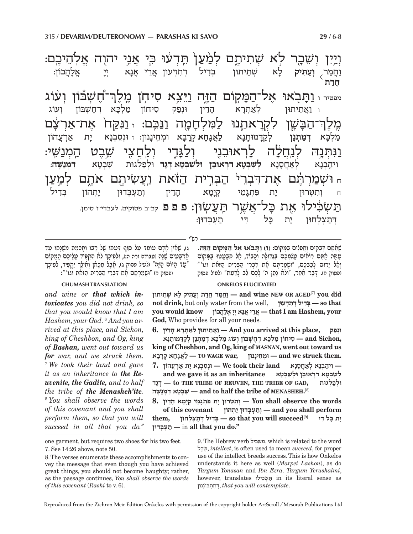ֹשְׁתִיתֵם לִמַעַן חֵדְעוּ כֵּי אֲנֵי יהוה אֱלֹהֵיכֵם: ֦֧֦֧֖֖֧ׅׅ֧ׅ֧֧֧֚֚֚֚֚֚֚֚֚֚֚֚֚֚֚֚֚֚֚֚֚֚֝֡֓֡֟֓֡֟֓֡֟֓֡֡֟֓֡֬֜֓֡֬֝֓֝ רוֹשׁבֿוֹז $\dot{\bf m}$ <sub>מפטיר ו</sub> וַתַּבְאוּ אֵל־הַמַּקוֹם הַזֵּה וַיִּצֵא סִיחֹן מִ ְ־הַבָּשָׁן לִקְרָאתֵנוּ לַמִּלְחָמֶה וַנַּכֵּם: נִוּקַח אֶת־אַרְצָם ٰ طُخْ ك וַנִּתְּנָהּ לְנִחֲלָה לָרְאוּבִנֶי וְלַגָּדֶי וְלַחֲצָי *ש*ֶׁבֶט הַמְנַשֵּׁי: ח וּשְׁמַרְתֶּם אֶת־דִּבְרֵי<sup>ּ</sup> הַבְּרֵית הַדֹּאת וַעֲשִׂיהֶם אֹתֶם לְמַעַן **וֹ את כֵּל־אַשֵׁר הַעֲשׂוּן: פ פ פ** קכ״ב פסוקים. לעבדי״ו סימן. וֲ' חמ'ר **ְוע ִ תּיק** ל ְ א שֵׁת ְ יתוּן בִּד ְ יל ד ִתְדּ ֲ עוּן אֵר ֲ י אנ ְ א יי ֱ אלֲ הכוֹן:  $\overline{\langle}$  **ֲחד ת** ּוּ וַאֲתֵיתוּן לְאַתְרָא הָדֵין וּנְפַק סִיחוֹן מַלְכָּא דְחֶשְׁבּוֹן וְעוֹג מ ְ ' לכּ א **ְדמ ְ תנ ן** ְלק' דּ מוּת( נ א **לֲ אג ח א** ְ קר ב ְ א וּמח" ינ נוּן: <sup>ז</sup> ְוּנס ְ" בנא ית אְ' רֲעהוֹן ִויה 0ְ בנ ְ א לאֲ ' חס נ א **ְל ִשׁ ְבט א ִדְר ֵאוּב ְ ן וּל ִשׁ ְבט א ְדג ד** ְוּלפ ְ ' ל ִ גוּת שְׁבט א **ִד ְמנֶ שּׁה**: ּח וְתִשְּרוּן יָת פִּתְגָמֵי קְיָמָא הָדֵין וְתַעְבְּדוּן יָתְהוֹן בְּדִיל ית כּל די תעבּדוּן:

רש"י

ג), שֵׁאֵין אָדָם עוֹמֵד עַל סוֹף דַּעִתּוֹ שֵׁל רַבּוֹ וְחָכִמַת מִשְׁנָתוֹ עַד גּו, שֶׂמֵין חָדָם עוּמֵד עַנ סוף דַּעְתּוּ שֶׁנ רַבּוּ וְחָכְמַת מִשְׁנָתוּ עַד<br>אַרְבָּעִים שָׁנָה (עבודה זרה ה:), וּלְפִיכָךְ לֹא הִקְפִּיד עֲלֵיכֶם הַמֶּקוֹם<br>"מִר רוֹוֹם רִיב" (איזו רבות ג׳), אבי מראי ואול- ורכוב לכורב מַרְבָּעִים שָנָה ועבודה זרה הזו, וּנְפִיכָןְ נק הִקְפִּיד עֲגֵיכֶם הַמָּקוֹם<br>"עד היּוֹם הזה" ולטיל פסוק ג). אבל מכּאו ואילוּ יקפּיד. לפיכוּ יִי זִּר יִי דְּבָרִי יִתְּבְּיִי יִי זֶיוּ יִי זִּרְבִי יִי זִּרְבִּי יִי זִּרְבִי יִ<br>וַפְּסוְהָ חָ) "וְשִׁמְרָתִּם חִם דְּבַרִי הְבַּרִית הָזֹּחַת וגו' ":

שֶׁמָּם דְּבֵקִים וַחֲפֵגִים בַּמֶּקוֹם: (ו) וַתָּבֹאוּ אֶל הַמָּקוֹם הַזֶּה.<br>עַתֵּה מִתֵּם רוֹחִים עַגִמְכֵם בִּגְדוּלָה וְכַבוֹד, מִל תִּבַעֲטוּ בַּמִּקוֹם וְאַל יָרוּם לְבַבְּבֶם, "וּשְׁמַרְתֶּם חֶת דִּבְרֵי הַבְּרִית הַזֹּאת וגו'"<br>ופסוק ח). דַּבַר אֲחֵר, "וְלֹא נָתֵן ה' לָכֶם לֶב לָדָעֲת" ולעיל פסוק

**CHUMASH TRANSLATION ONKELOS ELUCIDATED** 

*and wine or that which intoxicates you did not drink, so that you would know that I am Hashem, your God.* <sup>6</sup>  *And you arrived at this place, and Sichon, king of Cheshbon, and Og, king of Bashan, went out toward us for war, and we struck them.* 7  *We took their land and gave it as an inheritance to the Reuvenite, the Gadite, and to half the tribe of the Menasheh'ite.* 8  *You shall observe the words of this covenant and you shall perform them, so that you will succeed in all that you do.''*

 **did you**]7[**AGED OR NEW wine and — וֲחמ ֲר חד ְת וע ִתּ ָ יק ל ְא שֵׁתיתוּן not drink,** but only water from the well, **דּעוּןְתִ ד יל ְ דִבְּ — so that your ,Hashem am I that — ֲאֵר ֲ י אָנ ְא יָיֱ אָלֲהכוֹן know would you God,** Who provides for all your needs.

**ְ וּנפק ,place this at arrived you And — וֲאֵת ְ יתוּן לא ְתָר ָא הֵדין 6. ,Sichon and — ִס יחוֹן מ ְלָכּ ְא ד ֶח ְשׁ ְ בּוֹן ו עוֹג מ ְלָכּ ְא דמ ְתָנ ְ ן לקָדּ ָמוּתָנא king of Cheshbon, and Og, king of MASNAN, went out toward us .them struck we and — ְוּמֵח ָיננוּן ,war WAGE TO — לֲאָגָח ְא קָרָבא**

**— ִו יה ְבָנ ְא לאֲחָסָנא land their took We — ְוּנֵס ְבָנ ָא י ת אְרֲעהוֹן 7. ְ ל ִשׁ ְבָט ִא דְר ֵאוּב ְ ן וּל ִשׁ ְבָטא inheritance an as it gave we and גדָדְ — to THE TRIBE OF REUVEN, THE TRIBE OF GAD, לגוּתְ פוּל ְ .MENASHEH of tribe the half to and — ִשׁ ְבָט ִא ד ְמנֶשּׁה** [8]

 **words the observe shall You — ְו ִת ְטּ ָ רוּן י ִת פּ ְתָגֵמ ְ י קָיָמ ָא הֵדין 8. perform shall you and — ְות ְע ְבּ ָ דוּן י ְתהוֹן covenant this of**  $\mathbf{p}$  **יָת כָּל דִּי**  $\mathbf{p}$  = so that you will succeed  $\mathbf{p}$  ; יְת כָּל דִּי **בּדוּןְ עְ ת —** in **all that you do."**

one garment, but requires two shoes for his two feet.

9. The Hebrew verb משכיל, which is related to the word כלֶשֵׂ , *intellect*, is often used to mean *succeed*, for proper use of the intellect breeds success. This is how Onkelos understands it here as well (*Marpei Lashon*), as do *Targum Yonasan* and *Ibn Ezra*. *Targum Yerushalmi*, however, translates כּילוִּ שְׂ תּ in its literal sense as .*contemplate will you that* ְ,דּ ִת ְתבּוְ;ננוּן

<sup>7.</sup> See 14:26 above, note 50.

<sup>8.</sup> The verses enumerate these accomplishments to convey the message that even though you have achieved great things, you should not become haughty; rather, as the passage continues, *You shall observe the words of this covenant* (*Rashi* to v. 6).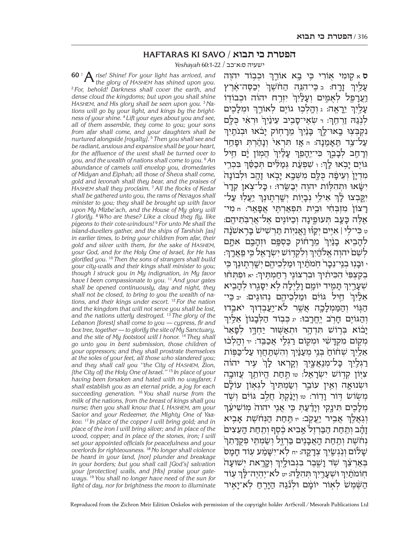# **הפטרת כי תבוא / SAVO KI HAFTARAS**

ישעיה ס:א־כב / 60:1-22 *Yeshayah*

**60** <sup>1</sup> A *rise! Shine! For your light has arrived, and the glory of HASHEM has shined upon you.* <sup>2</sup> *For, behold! Darkness shall cover the earth, and dense cloud the kingdoms; but upon you shall shine*  HASHEM, and His glory shall be seen upon you.<sup>3</sup> Na*tions will go by your light, and kings by the brightness of your shine.* <sup>4</sup> *Lift your eyes about you and see, all of them assemble, they come to you; your sons from afar shall come, and your daughters shall be nurtured alongside [royalty].* <sup>5</sup> *Then you shall see and be radiant, anxious and expansive shall be your heart, for the affluence of the west shall be turned over to you, and the wealth of nations shall come to you.* <sup>6</sup> *An abundance of camels will envelop you, dromedaries of Midyan and Eiphah; all those of Sheva shall come, gold and levonah shall they bear, and the praises of HASHEM shall they proclaim.* <sup>7</sup> *All the flocks of Kedar shall be gathered unto you, the rams of Nevayos shall minister to you; they shall be brought up with favor upon My Mizbe'ach, and the House of My glory will I glorify.* <sup>8</sup> *Who are these? Like a cloud they fly, like pigeons to their cote-windows!* <sup>9</sup> *For unto Me shall the island-dwellers gather, and the ships of Tarshish [as] in earlier times, to bring your children from afar, their gold and silver with them, for the sake of HASHEM, your God, and for the Holy One of Israel, for He has glorified you.* <sup>10</sup> *Then the sons of strangers shall build your city-walls and their kings shall minister to you; though I struck you in My indignation, in My favor have I been compassionate to you.* <sup>11</sup> *And your gates shall be opened continuously, day and night, they shall not be closed, to bring to you the wealth of nations, and their kings under escort.* <sup>12</sup> *For the nation and the kingdom that will not serve you shall be lost, and the nations utterly destroyed.* <sup>13</sup> *The glory of the Lebanon [forest] shall come to you — cypress, fir and box tree, together — to glorify the site of My Sanctuary, and the site of My footstool will I honor.* <sup>14</sup> *They shall go unto you in bent submission, those children of your oppressors; and they shall prostrate themselves at the soles of your feet, all those who slandered you; and they shall call you ''the City of HASHEM, Zion, [the City of] the Holy One of Israel.''* <sup>15</sup> *In place of your having been forsaken and hated with no wayfarer, I shall establish you as an eternal pride, a joy for each succeeding generation.* <sup>16</sup> *You shall nurse from the milk of the nations, from the breast of kings shall you nurse; then you shall know that I, HASHEM, am your Savior and your Redeemer, the Mighty One of Yaakov.* <sup>17</sup> *In place of the copper I will bring gold; and in place of the iron I will bring silver; and in place of the wood, copper; and in place of the stones, iron; I will set your appointed officials for peacefulness and your overlords for righteousness.* <sup>18</sup> *No longer shall violence be heard in your land, [nor] plunder and breakage in your borders; but you shall call [God's] salvation your [protective] walls, and [His] praise your gateways.* <sup>19</sup> *You shall no longer have need of the sun for light of day, nor for brightness the moon to illuminate* 

ׇׅ֧֧֧֦֧֢ׅ֖֧֓֝֬֓֓֓֓֓֓<u>֓</u> ס א קוּמִי אָוֹרִי כִּי בָא אוֹרֶךְ וּכְב*ְוֹד* יהוְה עָלַיִרְ וָרֶח: בּבְי־הַנֵּה הַחֹשֶׁךְ יְכַסֶה־אֶרֶץ ֧֧֧֧֦֧֢ׅ֖֖֖֧֚֚֚֚֚֝֝֬<u>֚</u> וַעֲרָפֶל לְאֻמֶּים וְעָלַיִּן יִזְרַח יהוֹה וּכְבוֹדֻוֹ ׇׅ֧֧֖֧֦֧֚֓֝֬<u>֓</u> ֧֧֧֦֧֢ׅ֧֢ׅ֖֖֖֖֖֖֖֧֚֚֚֚֚֚֚֚֝֝<u>֚</u> עַלַיִךְ יֵרָאֶה: ג וְהֶלְכִוּ גוֹיֶם לְאוֹרֶךְ וּמְלָכֶים לְנָנּהּ וַרְחֵךְ: דּשְׂאִי־סָבִיב עֵינַ֫יִךְ וּרְאִי כֻּלֶֻם<br>נקבצו באוּ־לֹרְ בּנִיּרְ מרחוֹק יבֹאוּ וּבנתיר ֧֧֧֦֧֢ׅ֧֢ׅ֖֖֖֖֖֖֖֧֚֚֚֚֚֚֚֚֝֝<u>֚</u> ׇׅ֧֧֖֧֦֧֚֓֝֬<u>֓</u> וִקְבְּצְוּ בְאוּ־לֶךְ בְּנַ֫יִּךְ מֵרָחְוֹק יָבֹאוּ וּבְנתֻיִךְ ׇׅ֧֧֧֦֧֢ׅ֖֦֧֓֝֬֓֓֓֓֓֓֡֬֓֓֡<u>֓</u> עַל־צֶד תֵּאַמֵנַה: הּאָז תִּרְאִיֹ וְנַהַ֫רְתָּ וּפַחֲד וְרָחֶב לְבָבֶךְ כִּי־יֵהָפֵׂךְ עָלַיִּךְ הֲמְוֹן יָם חֵיל ֧֧֧֦֧֢ׅ֧֢ׅ֖֖֖֖֖֖֖֧֚֚֚֚֚֚֚֚֝֝<u>֚</u> ׇׅ֧֧֖֧֦֧֚֓֝֬<u>֓</u> ֧֧֧֧֦֧֢ׅ֖֖֖֧֚֚֚֚֚֝֝֬<u>֚</u> גּוֹיֶם יָבְאוּ לֶךְ: <sub>י</sub> שִׁפְעַ*ֹּ*ת גְּמַלִּים תְּכַסֵּךְ בִּכְרֶי ׇׅ֧֧֖֧֚֓֝֬<u>֓</u> מִדְיָןۢ וְעֵיפָה כִּלֵּם מִשִּׁבָא יַבְאוּ זָהֶב וּלְבוֹנָהֹ יִשַּׂאוּ וּתְהִלְוֹת יהוָה יְבַשֵּׂרוּ: ז כַּל־צִאן קֵדַר יִקֶּבְצוּ לָיְךָ אֵילֵי נְבָיָוֹת יְשֶׁרְתֶוּנֶךְ יַעֲלְוּ עַל־ ׇׅ֧֧֧֦֧֢ׅ֖֦֧֓֝֬֓֓֓֓֓֓֡֬֓֓֡<u>֓</u> רַצוֹןׂ מִזִבְּחִי וּבֵית תִּפְאַרְתֵּי אֲפָאֵר: ח מִי־ אֵלֶה כָּעֲב תִּעוּפֵינָה וִכַיּוֹנִים אֵל־אֲרֻבְּתֵיהֶם: <sup>ט</sup> ִ כּ י־ל ִ י ׀ איּ ְ ים יק ֗' וּוּ וֳ( אִנ֤יּוֹת תְּ' ר ִשׁישׁ֙ בּ ר אשֹׁ֔נה לְהָבִיא בְנַיִּךְ מֵרָחוֹק כַּסְפֶּם וּזְהָבֶם אִתֶּם ׇׇׅ֧֧֓<u>֓</u> ְלְשֵׁם יהוְה אֱלֹדַיִךְ וְלִקְרָוֹש יִשְׁרָאֵל כִּי פִאֲרֶךְ: ׇׅ֖֖֖֖֖֖֖֖֖֖֖ׅ֖ׅ֖ׅ֖֧ׅ֖֧֧֚֚֚֚֚֚֚֚֚֚֚֚֚֚֚֚֚֓֝֬֝֓֞֝֓֞֟֓֡֓֬֝֓֞֝֬ י וּבָנָוּ בְנֵי־נֵבָר חְמֹתַ֫יִךְ וּמַלְבִיהֶם יְשָׁרְתֶוּנֶךְ בֵי ֧֧֧֧֦֧֢ׅ֖֖֖֧֚֚֚֚֚֝֝֬<u>֚</u> בְקִצְפִּיֹ הִכִּיתִיךְ וּבִרְצוֹנֶי רְחַמְתִּיךְ: אוּ וּפִתְּחֹוּ ׇׅ֧֧֖֧֚֓֝֬<u>֓</u>  $\mu$ עֲרֵיךְ תָּמֶיד יוֹמָם וָלֵיְלָה לְא יִסָּגֶרוּ לְהָבִיא ַאֲלֵיִן ׁ חֵיל גּוֹיִם וּמַלְבֵיהֶם נְהוּגִים: יב כִּי־ ֖֖֖֖֧ׅ֧ׅ֧֧֧֚֚֚֚֚֚֚֚֚֚֚֚֚֚֚֚֚֚֚֚֝֝֓֝֓֝֓֓֡֬֝֓֞֝֬֝֓֞֬֝֬֝֓֓֝֬֝֬֝֬ הַגְּוֹי וְהַמַּמְלָכֶה אֲשֶר לֹא־יַעֲבְדִיוּךְ יאבְדוּ<br>והגּוֹים חרב יחרבוּ: יו בּבוֹד הלבנוֹו אליר וְהַגּוֹיָם חַרִב יֵחֲרָבוּ: יג כִּבְוֹד הַלְּבָנוֹןׂ אֶלֶיךָ יַבוֹא בִּרְוֹשׁ תִּדְהָר וּתְאַשְׁוּר יַחִדֵּו לִפַּאֵר ְמִקְוֹם מִקְדַּשִׁי וּמִקְוֹם רַגְלֵי אֲכַבֵּד: יד וְהֵלְכֹוּ ֧֧֧֖֖֖֖֖֖֧֚֚֚֚֚֚֚֝֝֬<u>֓</u> אַלֵיִךְ שְׁחֹוֹחַ בְּנֵי מְעַנֵּ֫יִךְ וְהִשְׁתַּחֲוֶוּ עַל־כַּפִּוֹת ֧֧֧֖֧֢ׅ֧֢ׅ֧֚֚֝֝֓֓֓<u>֚</u> רַיְלָיָךְ בָל־מְנַאֲצֶיִךְ וְקֶרְאוּ לָךְ עִיר יהוה ֖֖֖֖֖֖֖֖ׅ֖ׅ֖ׅ֖ׅ֖ׅ֖֧ׅ֖ׅ֖֧֧ׅ֖֧ׅ֧ׅ֖֧֧ׅ֧֧֚֚֚֚֚֚֚֚֚֚֚֚֚֚֚֚֚֚֚֚֝֝֝֝֟֓֞֝֬֝֓֝֞֝֬֝֓֝֬֝֝֞֝ ׇׅ֧֧֧֦֧֢ׅ֖֧֓֝֬֓֓֓֓֓֓֡֬֓֓֡֬֓֓֡֬֓֓֡֬֓֓֡֬֓֓ ֧֧֧֦֧֢ׅ֧֢ׅ֖֖֖֖֖֖֖֧֚֚֚֚֚֚֚֚֝֝<u>֚</u> צִיּוֹן קְדָוֹשׁ יִשְׂרָאֵל: <sub>שׁׁ</sub> תַּחַת הֱיוֹתֵן ּ עֲזוּבָה וּשְׂנוּאָה וְאֵין עוֹבֶר וְשַׂמְתִּיךְ לִגְאָוֹן עוֹלָם ֧֧֧֢ׅ֧֚֝<u>֚</u> מִשְׂוֹשׂ דְּוֹר וַדְוֹר: <sub>טז</sub> וְיָנַקְתְּ חֲלֵב גּוֹיִם וְשָׁד מִלָּכֵים תִּינָקִי וְיָדַֹעַתְּ כֵּי אֲנֵי יהוה מְוֹשִׁיעֵרְ ׇׅ֧֧֧֦֧֢ׅ֖֧֓֝֬֓֓֓֓֓֓֡֬֓֓֡֬֓֓֡֬֓֓֡֬֓֓֡֬֓֓ וְגְאֲלֶךְ אֲבִיר יַעֲקְב: <sub>יו</sub> תָּחַת הַנְּחֹשֶׁת אָבִיא ֿוָהָב וְתָחַת הַבַּרְזֶל אֲבִיא כֶּסֶף וְתָחַת הֶעֵצִים ا<br>ا ׇׅ֧֧֧֦֧֢ׅ֖֧֓֝֬֓֓֓֓֓֓֡֬֓֓֡֬֓֓֡֬֓֓֡֬֓֓֡֬֓֓ נְחֹשֶׁת וְתָחַת הָאֲבָנֶים בַּרְזֶל וְשַׂמְתֵּי פִקְדָּתֵךְ ׇׅ֧֧֖֧֦֧֚֓֝֬<u>֓</u> שָׁלֹוֹם וְנִגְשֵׂיִךְ צְדָקֳה: ּח לְא־יִשָּׁמַע עָוֹד חָמָס ׇׅ֧֧֧֦֧֢ׅ֖֧֦֧֓֝֬֓֓֓֓<u>֓</u> בְּאַרְצֵרְ שָׁד וָשֶׁבֶר בִּגְבוּלֶיִךְ וְקָרֶאת יְשׁוּעָה ׇׅ֧֧֧֦֧֢ׅ֖֧֦֧֓֝֬֓֓֓֓<u>֓</u> ׇׅ֧֧֖֧֦֧֚֓֝֬<u>֓</u> חוֹמֹתַיִךְ וּשְׁעָרֶיִךְ תְּהִלֶּה: ּש לֹא־יֶהְיֶה־לָּךְ עָוֹד ֖֖֖֖֖ׅ֖ׅ֧ׅ֪ׅ֧֧֧֧֧֧ׅ֧֖ׅ֧֚֚֚֚֚֚֚֚֚֚֚֚֚֚֚֚֚֚֚֚֚֝֟֓֟֓֝֬֝֬֝֓֡֬֝֬֝֓֝֬֝֬֝֬֝֬֝֬֝֬֝֬֝֬֝֬֝֬֝֝֬ ׇׅ֧֧֧֦֧֢ׅ֦֧֓֝֬֓֓֓֓֓֓֡֬֓֓֓֡<u>֓</u> הַשֵּׁמשׂ לִאוֹר יוֹמַם וּלִנגַה הַיָּרֵחַ לֹא־יַאֵיר